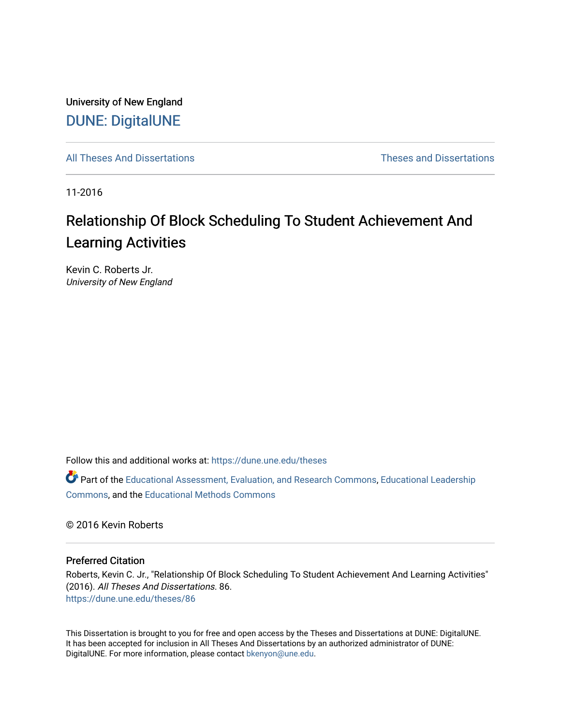University of New England [DUNE: DigitalUNE](https://dune.une.edu/) 

[All Theses And Dissertations](https://dune.une.edu/theses) [Theses and Dissertations](https://dune.une.edu/theses_dissertations) 

11-2016

# Relationship Of Block Scheduling To Student Achievement And Learning Activities

Kevin C. Roberts Jr. University of New England

Follow this and additional works at: [https://dune.une.edu/theses](https://dune.une.edu/theses?utm_source=dune.une.edu%2Ftheses%2F86&utm_medium=PDF&utm_campaign=PDFCoverPages) 

Part of the [Educational Assessment, Evaluation, and Research Commons](http://network.bepress.com/hgg/discipline/796?utm_source=dune.une.edu%2Ftheses%2F86&utm_medium=PDF&utm_campaign=PDFCoverPages), [Educational Leadership](http://network.bepress.com/hgg/discipline/1230?utm_source=dune.une.edu%2Ftheses%2F86&utm_medium=PDF&utm_campaign=PDFCoverPages) [Commons](http://network.bepress.com/hgg/discipline/1230?utm_source=dune.une.edu%2Ftheses%2F86&utm_medium=PDF&utm_campaign=PDFCoverPages), and the [Educational Methods Commons](http://network.bepress.com/hgg/discipline/1227?utm_source=dune.une.edu%2Ftheses%2F86&utm_medium=PDF&utm_campaign=PDFCoverPages) 

© 2016 Kevin Roberts

#### Preferred Citation

Roberts, Kevin C. Jr., "Relationship Of Block Scheduling To Student Achievement And Learning Activities" (2016). All Theses And Dissertations. 86. [https://dune.une.edu/theses/86](https://dune.une.edu/theses/86?utm_source=dune.une.edu%2Ftheses%2F86&utm_medium=PDF&utm_campaign=PDFCoverPages) 

This Dissertation is brought to you for free and open access by the Theses and Dissertations at DUNE: DigitalUNE. It has been accepted for inclusion in All Theses And Dissertations by an authorized administrator of DUNE: DigitalUNE. For more information, please contact [bkenyon@une.edu.](mailto:bkenyon@une.edu)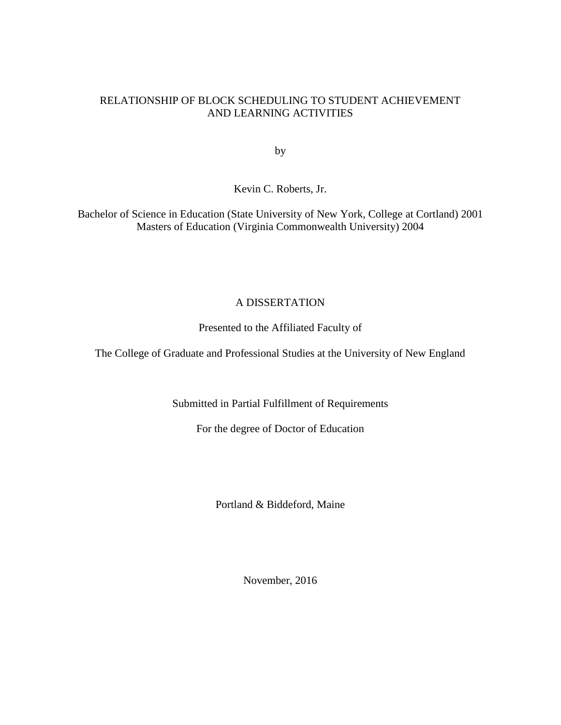## RELATIONSHIP OF BLOCK SCHEDULING TO STUDENT ACHIEVEMENT AND LEARNING ACTIVITIES

by

Kevin C. Roberts, Jr.

Bachelor of Science in Education (State University of New York, College at Cortland) 2001 Masters of Education (Virginia Commonwealth University) 2004

# A DISSERTATION

Presented to the Affiliated Faculty of

The College of Graduate and Professional Studies at the University of New England

Submitted in Partial Fulfillment of Requirements

For the degree of Doctor of Education

Portland & Biddeford, Maine

November, 2016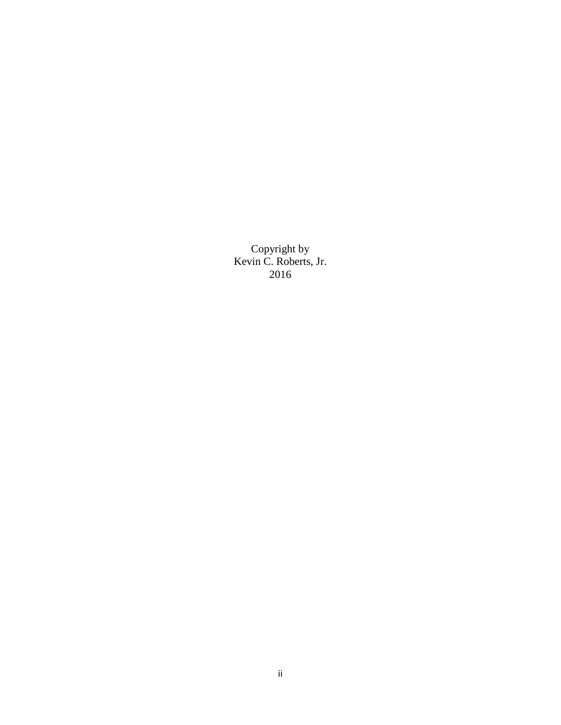Copyright by Kevin C. Roberts, Jr. 2016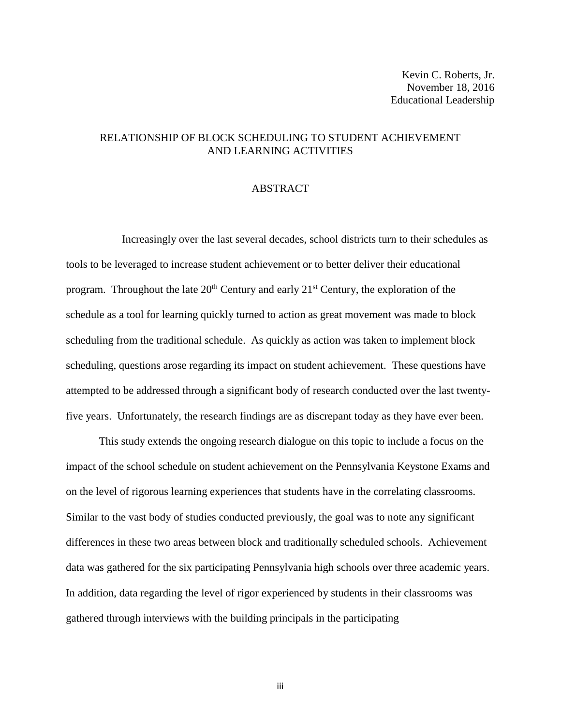## RELATIONSHIP OF BLOCK SCHEDULING TO STUDENT ACHIEVEMENT AND LEARNING ACTIVITIES

#### ABSTRACT

Increasingly over the last several decades, school districts turn to their schedules as tools to be leveraged to increase student achievement or to better deliver their educational program. Throughout the late  $20<sup>th</sup>$  Century and early  $21<sup>st</sup>$  Century, the exploration of the schedule as a tool for learning quickly turned to action as great movement was made to block scheduling from the traditional schedule. As quickly as action was taken to implement block scheduling, questions arose regarding its impact on student achievement. These questions have attempted to be addressed through a significant body of research conducted over the last twentyfive years. Unfortunately, the research findings are as discrepant today as they have ever been.

This study extends the ongoing research dialogue on this topic to include a focus on the impact of the school schedule on student achievement on the Pennsylvania Keystone Exams and on the level of rigorous learning experiences that students have in the correlating classrooms. Similar to the vast body of studies conducted previously, the goal was to note any significant differences in these two areas between block and traditionally scheduled schools. Achievement data was gathered for the six participating Pennsylvania high schools over three academic years. In addition, data regarding the level of rigor experienced by students in their classrooms was gathered through interviews with the building principals in the participating

iii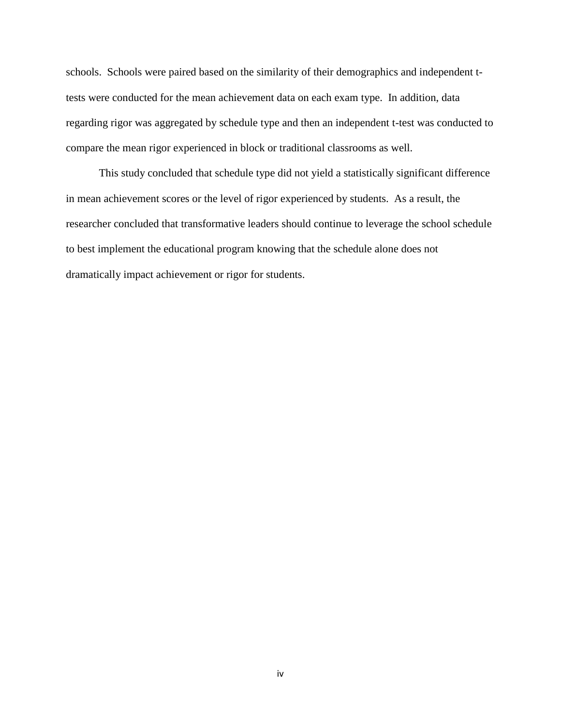schools. Schools were paired based on the similarity of their demographics and independent ttests were conducted for the mean achievement data on each exam type. In addition, data regarding rigor was aggregated by schedule type and then an independent t-test was conducted to compare the mean rigor experienced in block or traditional classrooms as well.

This study concluded that schedule type did not yield a statistically significant difference in mean achievement scores or the level of rigor experienced by students. As a result, the researcher concluded that transformative leaders should continue to leverage the school schedule to best implement the educational program knowing that the schedule alone does not dramatically impact achievement or rigor for students.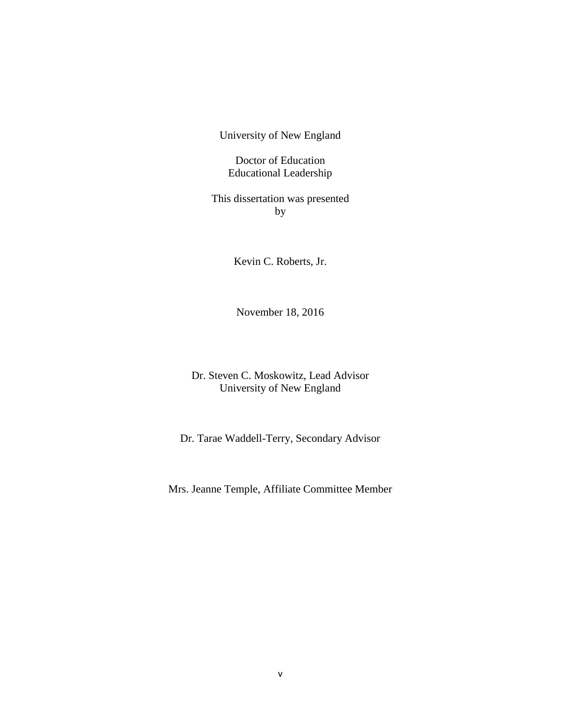University of New England

Doctor of Education Educational Leadership

This dissertation was presented by

Kevin C. Roberts, Jr.

November 18, 2016

Dr. Steven C. Moskowitz, Lead Advisor University of New England

Dr. Tarae Waddell-Terry, Secondary Advisor

Mrs. Jeanne Temple, Affiliate Committee Member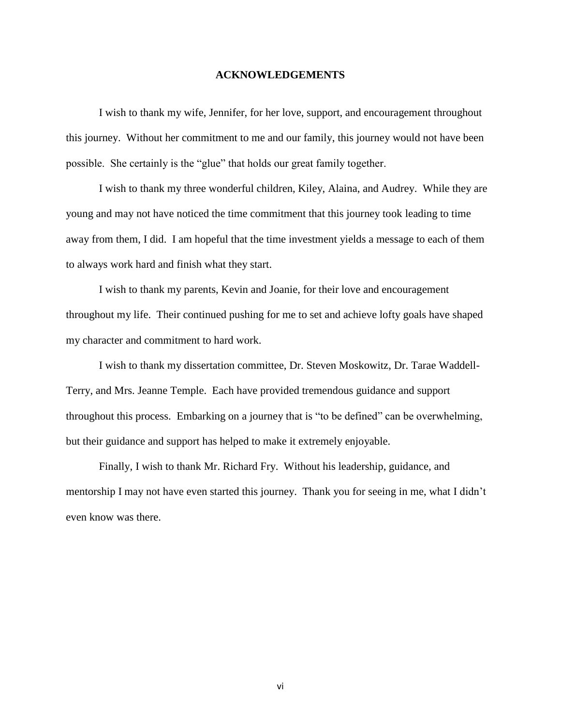#### **ACKNOWLEDGEMENTS**

I wish to thank my wife, Jennifer, for her love, support, and encouragement throughout this journey. Without her commitment to me and our family, this journey would not have been possible. She certainly is the "glue" that holds our great family together.

I wish to thank my three wonderful children, Kiley, Alaina, and Audrey. While they are young and may not have noticed the time commitment that this journey took leading to time away from them, I did. I am hopeful that the time investment yields a message to each of them to always work hard and finish what they start.

I wish to thank my parents, Kevin and Joanie, for their love and encouragement throughout my life. Their continued pushing for me to set and achieve lofty goals have shaped my character and commitment to hard work.

I wish to thank my dissertation committee, Dr. Steven Moskowitz, Dr. Tarae Waddell-Terry, and Mrs. Jeanne Temple. Each have provided tremendous guidance and support throughout this process. Embarking on a journey that is "to be defined" can be overwhelming, but their guidance and support has helped to make it extremely enjoyable.

Finally, I wish to thank Mr. Richard Fry. Without his leadership, guidance, and mentorship I may not have even started this journey. Thank you for seeing in me, what I didn't even know was there.

vi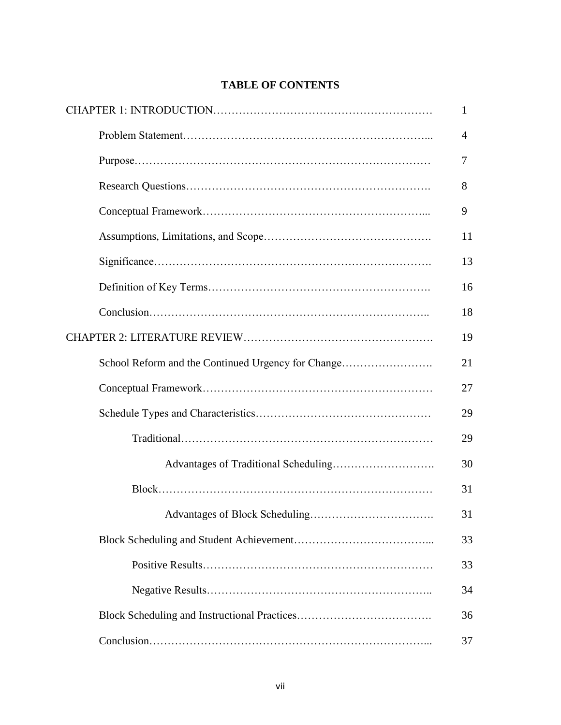# **TABLE OF CONTENTS**

|                                                    | 1              |
|----------------------------------------------------|----------------|
|                                                    | $\overline{4}$ |
|                                                    | 7              |
|                                                    | 8              |
|                                                    | 9              |
|                                                    | 11             |
|                                                    | 13             |
|                                                    | 16             |
|                                                    | 18             |
|                                                    | 19             |
| School Reform and the Continued Urgency for Change | 21             |
|                                                    | 27             |
|                                                    | 29             |
|                                                    | 29             |
|                                                    | 30             |
|                                                    | 31             |
|                                                    | 31             |
|                                                    | 33             |
|                                                    | 33             |
|                                                    | 34             |
|                                                    | 36             |
|                                                    | 37             |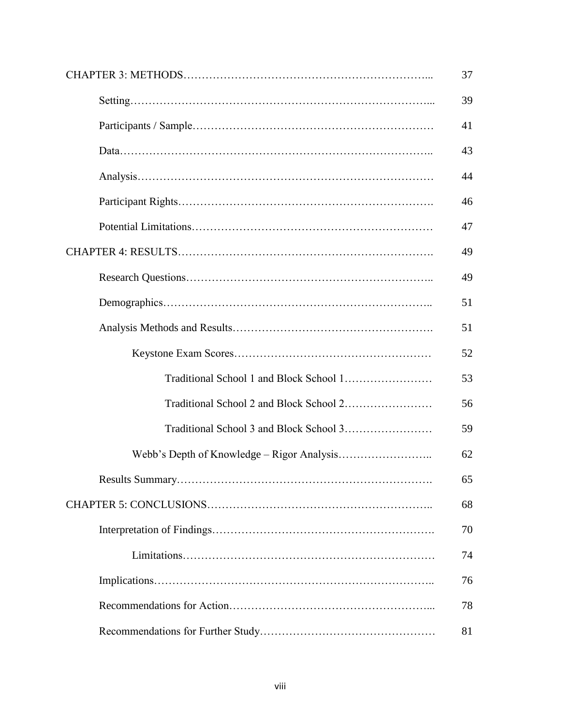|  | 39 |
|--|----|
|  | 41 |
|  | 43 |
|  | 44 |
|  | 46 |
|  | 47 |
|  | 49 |
|  | 49 |
|  | 51 |
|  | 51 |
|  | 52 |
|  | 53 |
|  | 56 |
|  | 59 |
|  | 62 |
|  | 65 |
|  | 68 |
|  | 70 |
|  | 74 |
|  | 76 |
|  | 78 |
|  | 81 |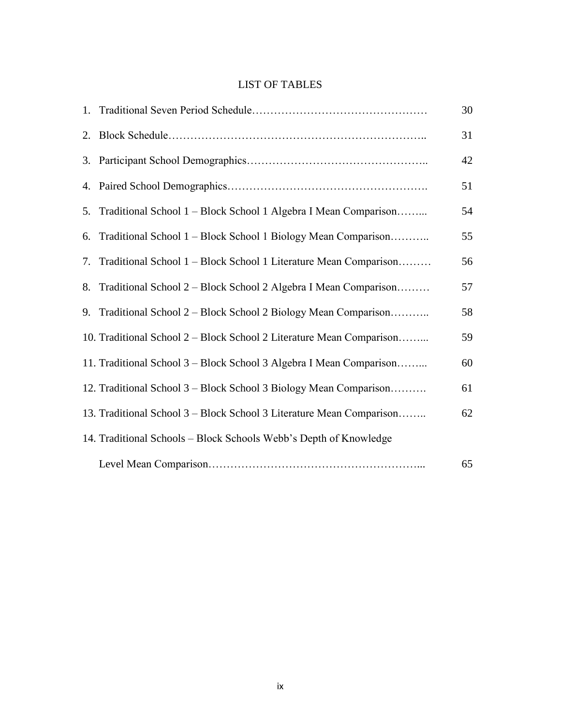# LIST OF TABLES

|    |                                                                      | 30 |
|----|----------------------------------------------------------------------|----|
|    |                                                                      | 31 |
|    |                                                                      | 42 |
|    |                                                                      | 51 |
| 5. | Traditional School 1 – Block School 1 Algebra I Mean Comparison      | 54 |
| 6. | Traditional School 1 – Block School 1 Biology Mean Comparison        | 55 |
| 7. | Traditional School 1 – Block School 1 Literature Mean Comparison     | 56 |
| 8. | Traditional School 2 – Block School 2 Algebra I Mean Comparison      | 57 |
|    | 9. Traditional School 2 – Block School 2 Biology Mean Comparison     | 58 |
|    | 10. Traditional School 2 – Block School 2 Literature Mean Comparison | 59 |
|    | 11. Traditional School 3 - Block School 3 Algebra I Mean Comparison  | 60 |
|    | 12. Traditional School 3 - Block School 3 Biology Mean Comparison    | 61 |
|    | 13. Traditional School 3 - Block School 3 Literature Mean Comparison | 62 |
|    | 14. Traditional Schools - Block Schools Webb's Depth of Knowledge    |    |
|    |                                                                      | 65 |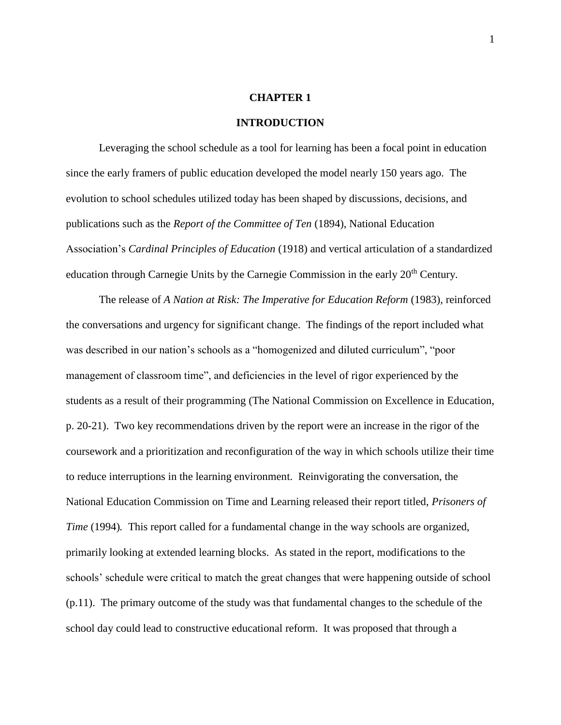#### **CHAPTER 1**

#### **INTRODUCTION**

Leveraging the school schedule as a tool for learning has been a focal point in education since the early framers of public education developed the model nearly 150 years ago. The evolution to school schedules utilized today has been shaped by discussions, decisions, and publications such as the *Report of the Committee of Ten* (1894), National Education Association's *Cardinal Principles of Education* (1918) and vertical articulation of a standardized education through Carnegie Units by the Carnegie Commission in the early 20<sup>th</sup> Century.

The release of *A Nation at Risk: The Imperative for Education Reform* (1983), reinforced the conversations and urgency for significant change. The findings of the report included what was described in our nation's schools as a "homogenized and diluted curriculum", "poor management of classroom time", and deficiencies in the level of rigor experienced by the students as a result of their programming (The National Commission on Excellence in Education, p. 20-21). Two key recommendations driven by the report were an increase in the rigor of the coursework and a prioritization and reconfiguration of the way in which schools utilize their time to reduce interruptions in the learning environment. Reinvigorating the conversation, the National Education Commission on Time and Learning released their report titled, *Prisoners of Time* (1994). This report called for a fundamental change in the way schools are organized, primarily looking at extended learning blocks. As stated in the report, modifications to the schools' schedule were critical to match the great changes that were happening outside of school (p.11). The primary outcome of the study was that fundamental changes to the schedule of the school day could lead to constructive educational reform. It was proposed that through a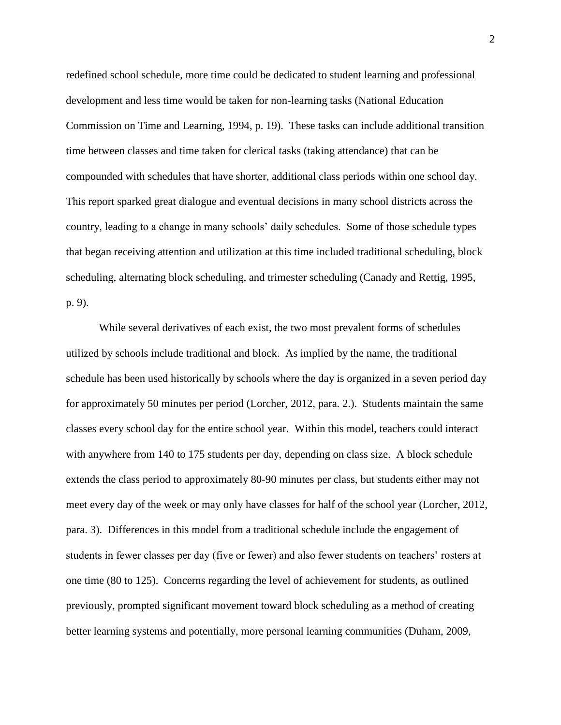redefined school schedule, more time could be dedicated to student learning and professional development and less time would be taken for non-learning tasks (National Education Commission on Time and Learning, 1994, p. 19). These tasks can include additional transition time between classes and time taken for clerical tasks (taking attendance) that can be compounded with schedules that have shorter, additional class periods within one school day. This report sparked great dialogue and eventual decisions in many school districts across the country, leading to a change in many schools' daily schedules. Some of those schedule types that began receiving attention and utilization at this time included traditional scheduling, block scheduling, alternating block scheduling, and trimester scheduling (Canady and Rettig, 1995, p. 9).

While several derivatives of each exist, the two most prevalent forms of schedules utilized by schools include traditional and block. As implied by the name, the traditional schedule has been used historically by schools where the day is organized in a seven period day for approximately 50 minutes per period (Lorcher, 2012, para. 2.). Students maintain the same classes every school day for the entire school year. Within this model, teachers could interact with anywhere from 140 to 175 students per day, depending on class size. A block schedule extends the class period to approximately 80-90 minutes per class, but students either may not meet every day of the week or may only have classes for half of the school year (Lorcher, 2012, para. 3). Differences in this model from a traditional schedule include the engagement of students in fewer classes per day (five or fewer) and also fewer students on teachers' rosters at one time (80 to 125). Concerns regarding the level of achievement for students, as outlined previously, prompted significant movement toward block scheduling as a method of creating better learning systems and potentially, more personal learning communities (Duham, 2009,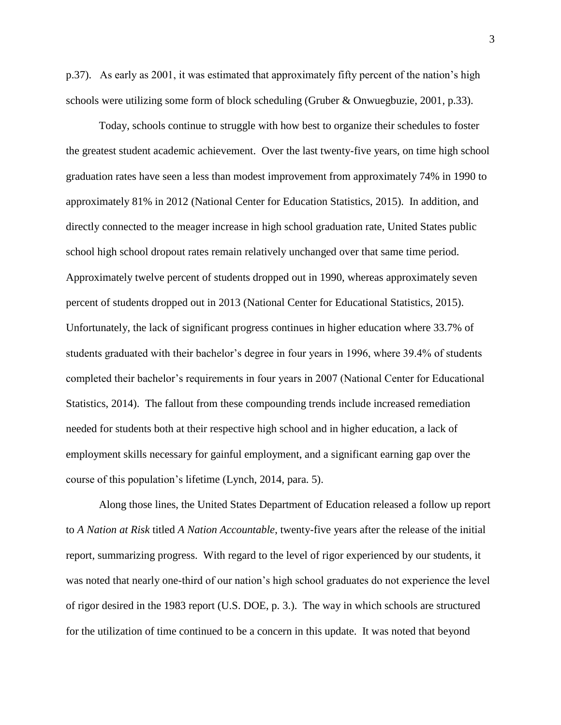p.37). As early as 2001, it was estimated that approximately fifty percent of the nation's high schools were utilizing some form of block scheduling (Gruber & Onwuegbuzie, 2001, p.33).

Today, schools continue to struggle with how best to organize their schedules to foster the greatest student academic achievement. Over the last twenty-five years, on time high school graduation rates have seen a less than modest improvement from approximately 74% in 1990 to approximately 81% in 2012 (National Center for Education Statistics, 2015). In addition, and directly connected to the meager increase in high school graduation rate, United States public school high school dropout rates remain relatively unchanged over that same time period. Approximately twelve percent of students dropped out in 1990, whereas approximately seven percent of students dropped out in 2013 (National Center for Educational Statistics, 2015). Unfortunately, the lack of significant progress continues in higher education where 33.7% of students graduated with their bachelor's degree in four years in 1996, where 39.4% of students completed their bachelor's requirements in four years in 2007 (National Center for Educational Statistics, 2014). The fallout from these compounding trends include increased remediation needed for students both at their respective high school and in higher education, a lack of employment skills necessary for gainful employment, and a significant earning gap over the course of this population's lifetime (Lynch, 2014, para. 5).

Along those lines, the United States Department of Education released a follow up report to *A Nation at Risk* titled *A Nation Accountable*, twenty-five years after the release of the initial report, summarizing progress. With regard to the level of rigor experienced by our students, it was noted that nearly one-third of our nation's high school graduates do not experience the level of rigor desired in the 1983 report (U.S. DOE, p. 3.). The way in which schools are structured for the utilization of time continued to be a concern in this update. It was noted that beyond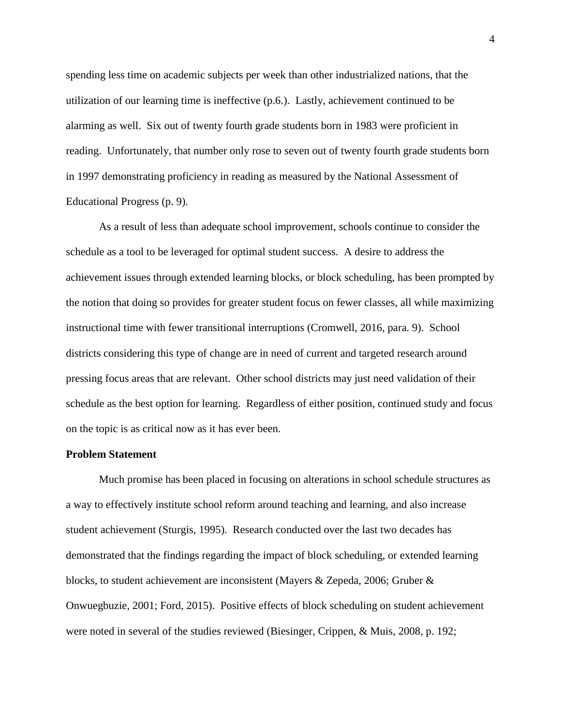spending less time on academic subjects per week than other industrialized nations, that the utilization of our learning time is ineffective (p.6.). Lastly, achievement continued to be alarming as well. Six out of twenty fourth grade students born in 1983 were proficient in reading. Unfortunately, that number only rose to seven out of twenty fourth grade students born in 1997 demonstrating proficiency in reading as measured by the National Assessment of Educational Progress (p. 9).

As a result of less than adequate school improvement, schools continue to consider the schedule as a tool to be leveraged for optimal student success. A desire to address the achievement issues through extended learning blocks, or block scheduling, has been prompted by the notion that doing so provides for greater student focus on fewer classes, all while maximizing instructional time with fewer transitional interruptions (Cromwell, 2016, para. 9). School districts considering this type of change are in need of current and targeted research around pressing focus areas that are relevant. Other school districts may just need validation of their schedule as the best option for learning. Regardless of either position, continued study and focus on the topic is as critical now as it has ever been.

#### **Problem Statement**

Much promise has been placed in focusing on alterations in school schedule structures as a way to effectively institute school reform around teaching and learning, and also increase student achievement (Sturgis, 1995). Research conducted over the last two decades has demonstrated that the findings regarding the impact of block scheduling, or extended learning blocks, to student achievement are inconsistent (Mayers & Zepeda, 2006; Gruber & Onwuegbuzie, 2001; Ford, 2015). Positive effects of block scheduling on student achievement were noted in several of the studies reviewed (Biesinger, Crippen, & Muis, 2008, p. 192;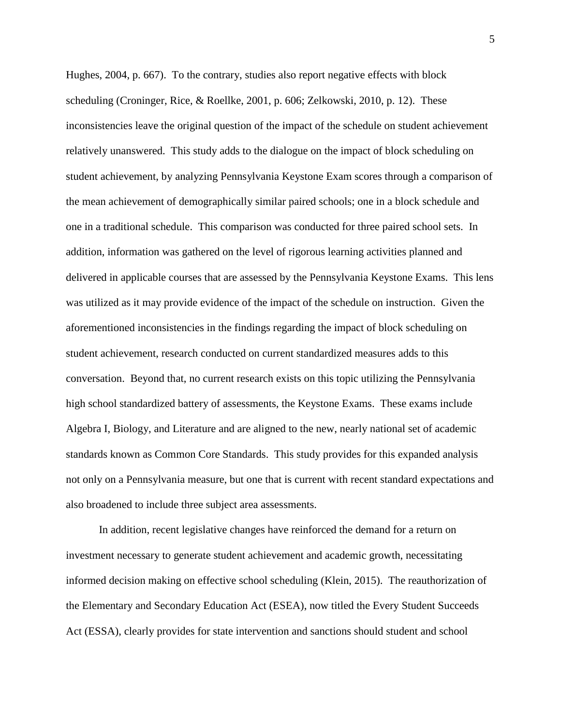Hughes, 2004, p. 667). To the contrary, studies also report negative effects with block scheduling (Croninger, Rice, & Roellke, 2001, p. 606; Zelkowski, 2010, p. 12). These inconsistencies leave the original question of the impact of the schedule on student achievement relatively unanswered. This study adds to the dialogue on the impact of block scheduling on student achievement, by analyzing Pennsylvania Keystone Exam scores through a comparison of the mean achievement of demographically similar paired schools; one in a block schedule and one in a traditional schedule. This comparison was conducted for three paired school sets. In addition, information was gathered on the level of rigorous learning activities planned and delivered in applicable courses that are assessed by the Pennsylvania Keystone Exams. This lens was utilized as it may provide evidence of the impact of the schedule on instruction. Given the aforementioned inconsistencies in the findings regarding the impact of block scheduling on student achievement, research conducted on current standardized measures adds to this conversation. Beyond that, no current research exists on this topic utilizing the Pennsylvania high school standardized battery of assessments, the Keystone Exams. These exams include Algebra I, Biology, and Literature and are aligned to the new, nearly national set of academic standards known as Common Core Standards. This study provides for this expanded analysis not only on a Pennsylvania measure, but one that is current with recent standard expectations and also broadened to include three subject area assessments.

In addition, recent legislative changes have reinforced the demand for a return on investment necessary to generate student achievement and academic growth, necessitating informed decision making on effective school scheduling (Klein, 2015). The reauthorization of the Elementary and Secondary Education Act (ESEA), now titled the Every Student Succeeds Act (ESSA), clearly provides for state intervention and sanctions should student and school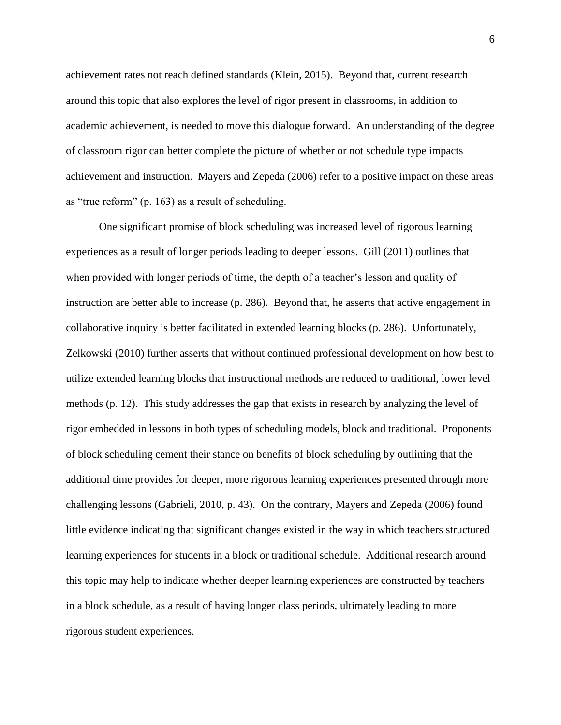achievement rates not reach defined standards (Klein, 2015). Beyond that, current research around this topic that also explores the level of rigor present in classrooms, in addition to academic achievement, is needed to move this dialogue forward. An understanding of the degree of classroom rigor can better complete the picture of whether or not schedule type impacts achievement and instruction. Mayers and Zepeda (2006) refer to a positive impact on these areas as "true reform" (p. 163) as a result of scheduling.

One significant promise of block scheduling was increased level of rigorous learning experiences as a result of longer periods leading to deeper lessons. Gill (2011) outlines that when provided with longer periods of time, the depth of a teacher's lesson and quality of instruction are better able to increase (p. 286). Beyond that, he asserts that active engagement in collaborative inquiry is better facilitated in extended learning blocks (p. 286). Unfortunately, Zelkowski (2010) further asserts that without continued professional development on how best to utilize extended learning blocks that instructional methods are reduced to traditional, lower level methods (p. 12). This study addresses the gap that exists in research by analyzing the level of rigor embedded in lessons in both types of scheduling models, block and traditional. Proponents of block scheduling cement their stance on benefits of block scheduling by outlining that the additional time provides for deeper, more rigorous learning experiences presented through more challenging lessons (Gabrieli, 2010, p. 43). On the contrary, Mayers and Zepeda (2006) found little evidence indicating that significant changes existed in the way in which teachers structured learning experiences for students in a block or traditional schedule. Additional research around this topic may help to indicate whether deeper learning experiences are constructed by teachers in a block schedule, as a result of having longer class periods, ultimately leading to more rigorous student experiences.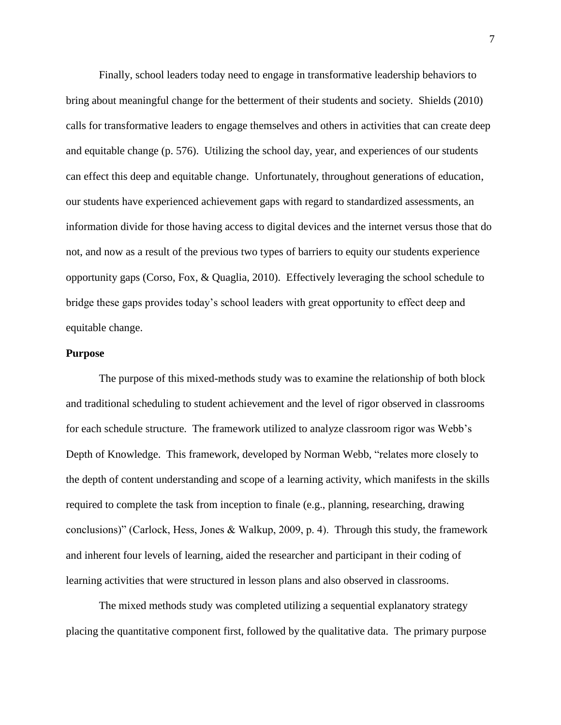Finally, school leaders today need to engage in transformative leadership behaviors to bring about meaningful change for the betterment of their students and society. Shields (2010) calls for transformative leaders to engage themselves and others in activities that can create deep and equitable change (p. 576). Utilizing the school day, year, and experiences of our students can effect this deep and equitable change. Unfortunately, throughout generations of education, our students have experienced achievement gaps with regard to standardized assessments, an information divide for those having access to digital devices and the internet versus those that do not, and now as a result of the previous two types of barriers to equity our students experience opportunity gaps (Corso, Fox, & Quaglia, 2010). Effectively leveraging the school schedule to bridge these gaps provides today's school leaders with great opportunity to effect deep and equitable change.

#### **Purpose**

The purpose of this mixed-methods study was to examine the relationship of both block and traditional scheduling to student achievement and the level of rigor observed in classrooms for each schedule structure. The framework utilized to analyze classroom rigor was Webb's Depth of Knowledge. This framework, developed by Norman Webb, "relates more closely to the depth of content understanding and scope of a learning activity, which manifests in the skills required to complete the task from inception to finale (e.g., planning, researching, drawing conclusions)" (Carlock, Hess, Jones & Walkup, 2009, p. 4). Through this study, the framework and inherent four levels of learning, aided the researcher and participant in their coding of learning activities that were structured in lesson plans and also observed in classrooms.

The mixed methods study was completed utilizing a sequential explanatory strategy placing the quantitative component first, followed by the qualitative data. The primary purpose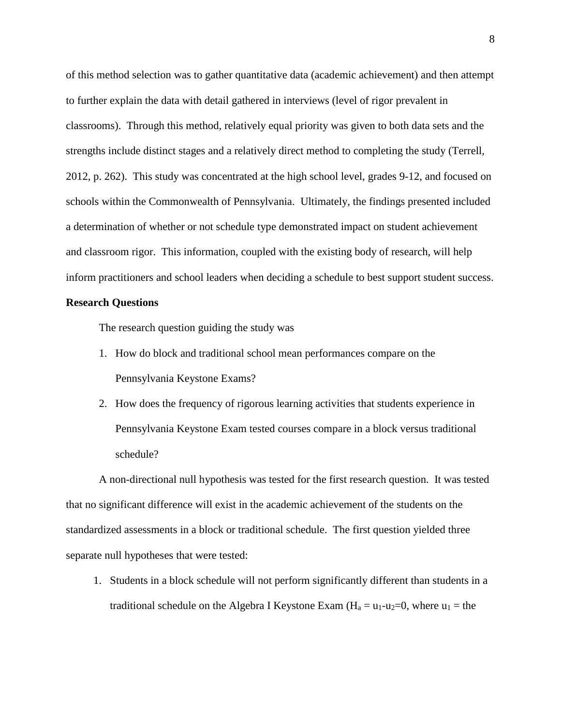of this method selection was to gather quantitative data (academic achievement) and then attempt to further explain the data with detail gathered in interviews (level of rigor prevalent in classrooms). Through this method, relatively equal priority was given to both data sets and the strengths include distinct stages and a relatively direct method to completing the study (Terrell, 2012, p. 262). This study was concentrated at the high school level, grades 9-12, and focused on schools within the Commonwealth of Pennsylvania. Ultimately, the findings presented included a determination of whether or not schedule type demonstrated impact on student achievement and classroom rigor. This information, coupled with the existing body of research, will help inform practitioners and school leaders when deciding a schedule to best support student success.

#### **Research Questions**

The research question guiding the study was

- 1. How do block and traditional school mean performances compare on the Pennsylvania Keystone Exams?
- 2. How does the frequency of rigorous learning activities that students experience in Pennsylvania Keystone Exam tested courses compare in a block versus traditional schedule?

A non-directional null hypothesis was tested for the first research question. It was tested that no significant difference will exist in the academic achievement of the students on the standardized assessments in a block or traditional schedule. The first question yielded three separate null hypotheses that were tested:

1. Students in a block schedule will not perform significantly different than students in a traditional schedule on the Algebra I Keystone Exam  $(H_a = u_1 - u_2 = 0$ , where  $u_1 =$  the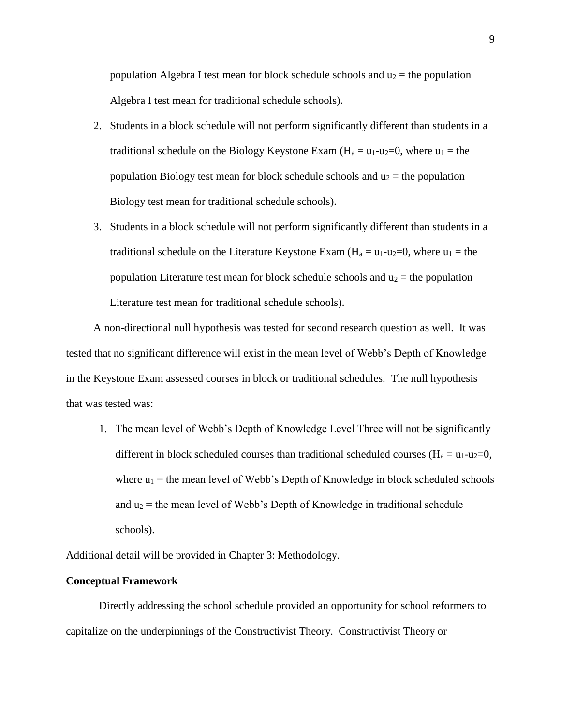population Algebra I test mean for block schedule schools and  $u_2$  = the population Algebra I test mean for traditional schedule schools).

- 2. Students in a block schedule will not perform significantly different than students in a traditional schedule on the Biology Keystone Exam ( $H_a = u_1 - u_2 = 0$ , where  $u_1 =$  the population Biology test mean for block schedule schools and  $u_2$  = the population Biology test mean for traditional schedule schools).
- 3. Students in a block schedule will not perform significantly different than students in a traditional schedule on the Literature Keystone Exam  $(H_a = u_1-u_2=0)$ , where  $u_1 =$  the population Literature test mean for block schedule schools and  $u_2$  = the population Literature test mean for traditional schedule schools).

A non-directional null hypothesis was tested for second research question as well. It was tested that no significant difference will exist in the mean level of Webb's Depth of Knowledge in the Keystone Exam assessed courses in block or traditional schedules. The null hypothesis that was tested was:

1. The mean level of Webb's Depth of Knowledge Level Three will not be significantly different in block scheduled courses than traditional scheduled courses  $(H_a = u_1 - u_2 = 0,$ where  $u_1$  = the mean level of Webb's Depth of Knowledge in block scheduled schools and  $u_2$  = the mean level of Webb's Depth of Knowledge in traditional schedule schools).

Additional detail will be provided in Chapter 3: Methodology.

#### **Conceptual Framework**

Directly addressing the school schedule provided an opportunity for school reformers to capitalize on the underpinnings of the Constructivist Theory. Constructivist Theory or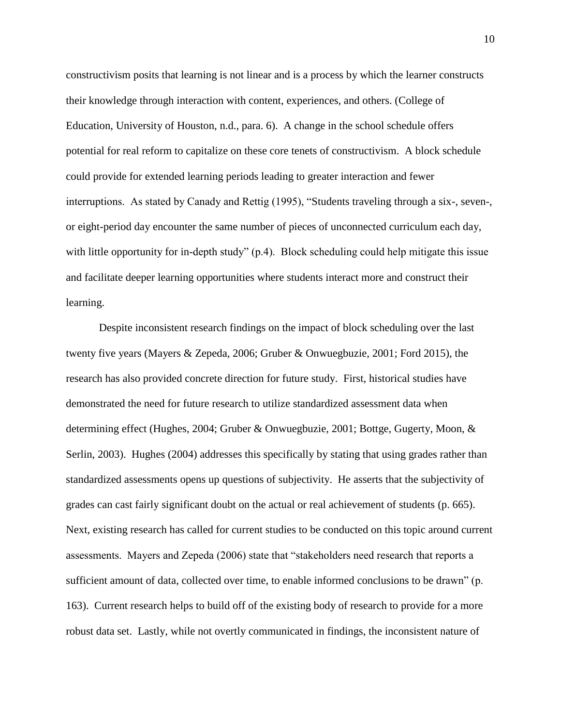constructivism posits that learning is not linear and is a process by which the learner constructs their knowledge through interaction with content, experiences, and others. (College of Education, University of Houston, n.d., para. 6). A change in the school schedule offers potential for real reform to capitalize on these core tenets of constructivism. A block schedule could provide for extended learning periods leading to greater interaction and fewer interruptions. As stated by Canady and Rettig (1995), "Students traveling through a six-, seven-, or eight-period day encounter the same number of pieces of unconnected curriculum each day, with little opportunity for in-depth study" (p.4). Block scheduling could help mitigate this issue and facilitate deeper learning opportunities where students interact more and construct their learning.

Despite inconsistent research findings on the impact of block scheduling over the last twenty five years (Mayers & Zepeda, 2006; Gruber & Onwuegbuzie, 2001; Ford 2015), the research has also provided concrete direction for future study. First, historical studies have demonstrated the need for future research to utilize standardized assessment data when determining effect (Hughes, 2004; Gruber & Onwuegbuzie, 2001; Bottge, Gugerty, Moon, & Serlin, 2003). Hughes (2004) addresses this specifically by stating that using grades rather than standardized assessments opens up questions of subjectivity. He asserts that the subjectivity of grades can cast fairly significant doubt on the actual or real achievement of students (p. 665). Next, existing research has called for current studies to be conducted on this topic around current assessments. Mayers and Zepeda (2006) state that "stakeholders need research that reports a sufficient amount of data, collected over time, to enable informed conclusions to be drawn" (p. 163). Current research helps to build off of the existing body of research to provide for a more robust data set. Lastly, while not overtly communicated in findings, the inconsistent nature of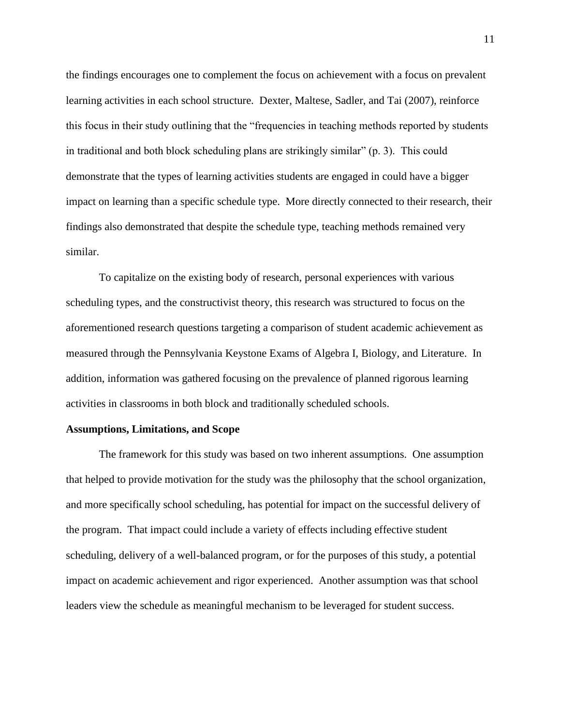the findings encourages one to complement the focus on achievement with a focus on prevalent learning activities in each school structure. Dexter, Maltese, Sadler, and Tai (2007), reinforce this focus in their study outlining that the "frequencies in teaching methods reported by students in traditional and both block scheduling plans are strikingly similar" (p. 3). This could demonstrate that the types of learning activities students are engaged in could have a bigger impact on learning than a specific schedule type. More directly connected to their research, their findings also demonstrated that despite the schedule type, teaching methods remained very similar.

To capitalize on the existing body of research, personal experiences with various scheduling types, and the constructivist theory, this research was structured to focus on the aforementioned research questions targeting a comparison of student academic achievement as measured through the Pennsylvania Keystone Exams of Algebra I, Biology, and Literature. In addition, information was gathered focusing on the prevalence of planned rigorous learning activities in classrooms in both block and traditionally scheduled schools.

#### **Assumptions, Limitations, and Scope**

The framework for this study was based on two inherent assumptions. One assumption that helped to provide motivation for the study was the philosophy that the school organization, and more specifically school scheduling, has potential for impact on the successful delivery of the program. That impact could include a variety of effects including effective student scheduling, delivery of a well-balanced program, or for the purposes of this study, a potential impact on academic achievement and rigor experienced. Another assumption was that school leaders view the schedule as meaningful mechanism to be leveraged for student success.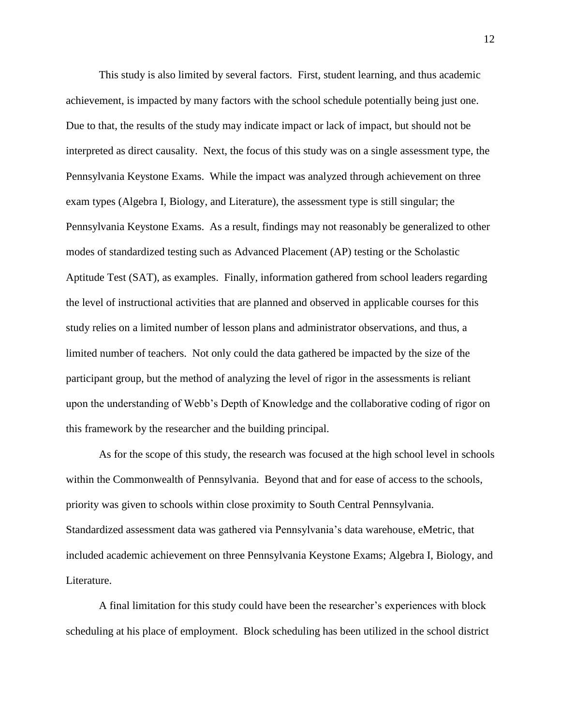This study is also limited by several factors. First, student learning, and thus academic achievement, is impacted by many factors with the school schedule potentially being just one. Due to that, the results of the study may indicate impact or lack of impact, but should not be interpreted as direct causality. Next, the focus of this study was on a single assessment type, the Pennsylvania Keystone Exams. While the impact was analyzed through achievement on three exam types (Algebra I, Biology, and Literature), the assessment type is still singular; the Pennsylvania Keystone Exams. As a result, findings may not reasonably be generalized to other modes of standardized testing such as Advanced Placement (AP) testing or the Scholastic Aptitude Test (SAT), as examples. Finally, information gathered from school leaders regarding the level of instructional activities that are planned and observed in applicable courses for this study relies on a limited number of lesson plans and administrator observations, and thus, a limited number of teachers. Not only could the data gathered be impacted by the size of the participant group, but the method of analyzing the level of rigor in the assessments is reliant upon the understanding of Webb's Depth of Knowledge and the collaborative coding of rigor on this framework by the researcher and the building principal.

As for the scope of this study, the research was focused at the high school level in schools within the Commonwealth of Pennsylvania. Beyond that and for ease of access to the schools, priority was given to schools within close proximity to South Central Pennsylvania. Standardized assessment data was gathered via Pennsylvania's data warehouse, eMetric, that included academic achievement on three Pennsylvania Keystone Exams; Algebra I, Biology, and Literature.

A final limitation for this study could have been the researcher's experiences with block scheduling at his place of employment. Block scheduling has been utilized in the school district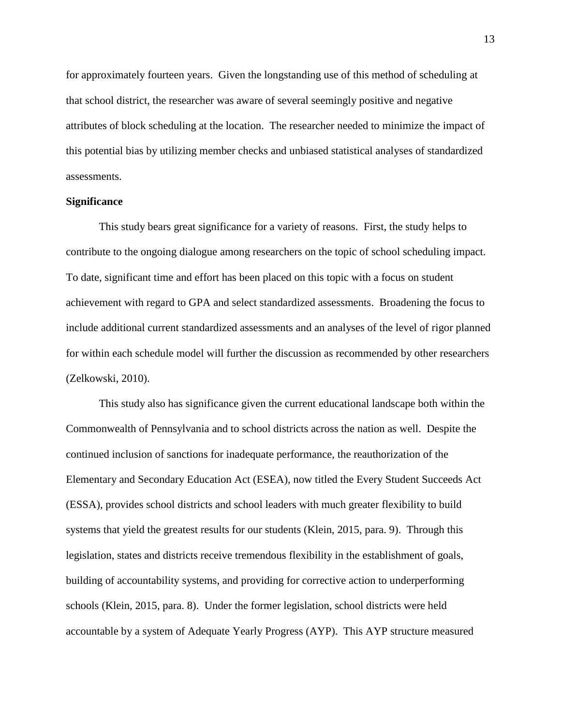for approximately fourteen years. Given the longstanding use of this method of scheduling at that school district, the researcher was aware of several seemingly positive and negative attributes of block scheduling at the location. The researcher needed to minimize the impact of this potential bias by utilizing member checks and unbiased statistical analyses of standardized assessments.

#### **Significance**

This study bears great significance for a variety of reasons. First, the study helps to contribute to the ongoing dialogue among researchers on the topic of school scheduling impact. To date, significant time and effort has been placed on this topic with a focus on student achievement with regard to GPA and select standardized assessments. Broadening the focus to include additional current standardized assessments and an analyses of the level of rigor planned for within each schedule model will further the discussion as recommended by other researchers (Zelkowski, 2010).

This study also has significance given the current educational landscape both within the Commonwealth of Pennsylvania and to school districts across the nation as well. Despite the continued inclusion of sanctions for inadequate performance, the reauthorization of the Elementary and Secondary Education Act (ESEA), now titled the Every Student Succeeds Act (ESSA), provides school districts and school leaders with much greater flexibility to build systems that yield the greatest results for our students (Klein, 2015, para. 9). Through this legislation, states and districts receive tremendous flexibility in the establishment of goals, building of accountability systems, and providing for corrective action to underperforming schools (Klein, 2015, para. 8). Under the former legislation, school districts were held accountable by a system of Adequate Yearly Progress (AYP). This AYP structure measured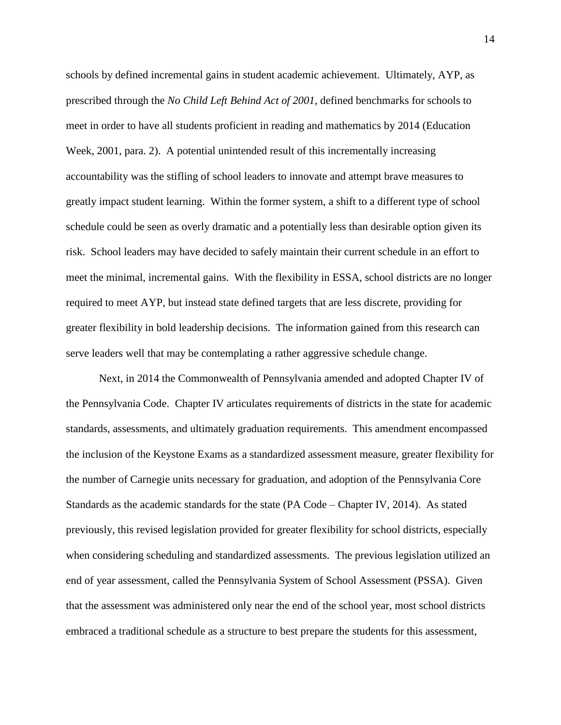schools by defined incremental gains in student academic achievement. Ultimately, AYP, as prescribed through the *No Child Left Behind Act of 2001*, defined benchmarks for schools to meet in order to have all students proficient in reading and mathematics by 2014 (Education Week, 2001, para. 2). A potential unintended result of this incrementally increasing accountability was the stifling of school leaders to innovate and attempt brave measures to greatly impact student learning. Within the former system, a shift to a different type of school schedule could be seen as overly dramatic and a potentially less than desirable option given its risk. School leaders may have decided to safely maintain their current schedule in an effort to meet the minimal, incremental gains. With the flexibility in ESSA, school districts are no longer required to meet AYP, but instead state defined targets that are less discrete, providing for greater flexibility in bold leadership decisions. The information gained from this research can serve leaders well that may be contemplating a rather aggressive schedule change.

Next, in 2014 the Commonwealth of Pennsylvania amended and adopted Chapter IV of the Pennsylvania Code. Chapter IV articulates requirements of districts in the state for academic standards, assessments, and ultimately graduation requirements. This amendment encompassed the inclusion of the Keystone Exams as a standardized assessment measure, greater flexibility for the number of Carnegie units necessary for graduation, and adoption of the Pennsylvania Core Standards as the academic standards for the state (PA Code – Chapter IV, 2014). As stated previously, this revised legislation provided for greater flexibility for school districts, especially when considering scheduling and standardized assessments. The previous legislation utilized an end of year assessment, called the Pennsylvania System of School Assessment (PSSA). Given that the assessment was administered only near the end of the school year, most school districts embraced a traditional schedule as a structure to best prepare the students for this assessment,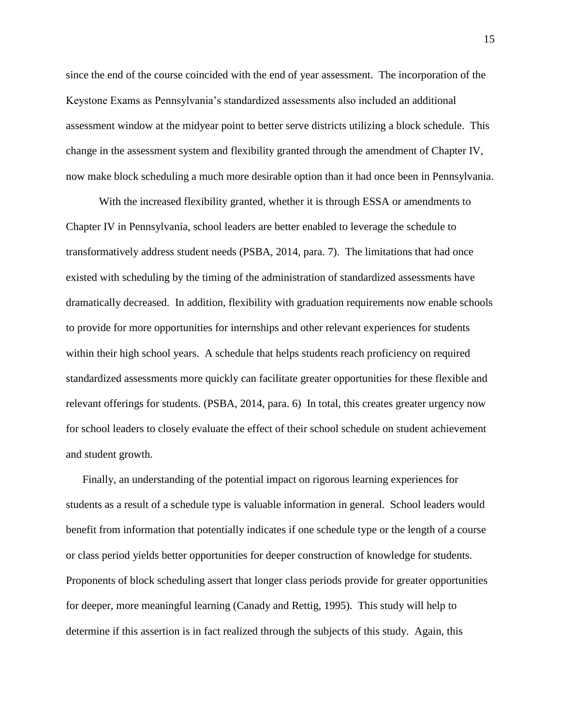since the end of the course coincided with the end of year assessment. The incorporation of the Keystone Exams as Pennsylvania's standardized assessments also included an additional assessment window at the midyear point to better serve districts utilizing a block schedule. This change in the assessment system and flexibility granted through the amendment of Chapter IV, now make block scheduling a much more desirable option than it had once been in Pennsylvania.

With the increased flexibility granted, whether it is through ESSA or amendments to Chapter IV in Pennsylvania, school leaders are better enabled to leverage the schedule to transformatively address student needs (PSBA, 2014, para. 7). The limitations that had once existed with scheduling by the timing of the administration of standardized assessments have dramatically decreased. In addition, flexibility with graduation requirements now enable schools to provide for more opportunities for internships and other relevant experiences for students within their high school years. A schedule that helps students reach proficiency on required standardized assessments more quickly can facilitate greater opportunities for these flexible and relevant offerings for students. (PSBA, 2014, para. 6) In total, this creates greater urgency now for school leaders to closely evaluate the effect of their school schedule on student achievement and student growth.

Finally, an understanding of the potential impact on rigorous learning experiences for students as a result of a schedule type is valuable information in general. School leaders would benefit from information that potentially indicates if one schedule type or the length of a course or class period yields better opportunities for deeper construction of knowledge for students. Proponents of block scheduling assert that longer class periods provide for greater opportunities for deeper, more meaningful learning (Canady and Rettig, 1995). This study will help to determine if this assertion is in fact realized through the subjects of this study. Again, this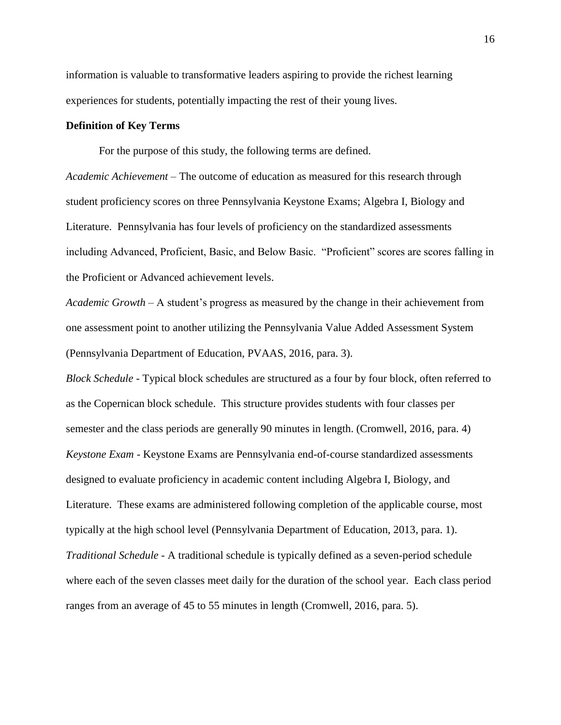information is valuable to transformative leaders aspiring to provide the richest learning experiences for students, potentially impacting the rest of their young lives.

#### **Definition of Key Terms**

For the purpose of this study, the following terms are defined.

*Academic Achievement* – The outcome of education as measured for this research through student proficiency scores on three Pennsylvania Keystone Exams; Algebra I, Biology and Literature. Pennsylvania has four levels of proficiency on the standardized assessments including Advanced, Proficient, Basic, and Below Basic. "Proficient" scores are scores falling in the Proficient or Advanced achievement levels.

*Academic Growth* – A student's progress as measured by the change in their achievement from one assessment point to another utilizing the Pennsylvania Value Added Assessment System (Pennsylvania Department of Education, PVAAS, 2016, para. 3).

*Block Schedule* - Typical block schedules are structured as a four by four block, often referred to as the Copernican block schedule. This structure provides students with four classes per semester and the class periods are generally 90 minutes in length. (Cromwell, 2016, para. 4) *Keystone Exam* - Keystone Exams are Pennsylvania end-of-course standardized assessments designed to evaluate proficiency in academic content including Algebra I, Biology, and Literature. These exams are administered following completion of the applicable course, most typically at the high school level (Pennsylvania Department of Education, 2013, para. 1). *Traditional Schedule* - A traditional schedule is typically defined as a seven-period schedule where each of the seven classes meet daily for the duration of the school year. Each class period ranges from an average of 45 to 55 minutes in length (Cromwell, 2016, para. 5).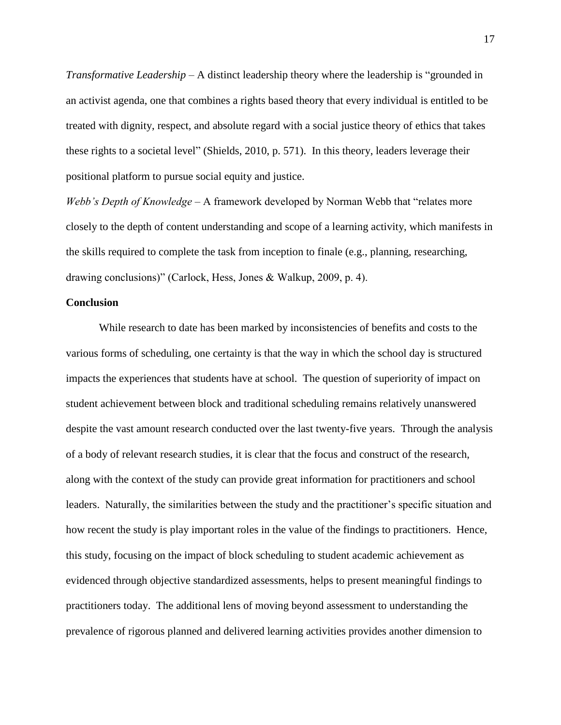*Transformative Leadership* – A distinct leadership theory where the leadership is "grounded in an activist agenda, one that combines a rights based theory that every individual is entitled to be treated with dignity, respect, and absolute regard with a social justice theory of ethics that takes these rights to a societal level" (Shields, 2010, p. 571). In this theory, leaders leverage their positional platform to pursue social equity and justice.

*Webb's Depth of Knowledge* – A framework developed by Norman Webb that "relates more closely to the depth of content understanding and scope of a learning activity, which manifests in the skills required to complete the task from inception to finale (e.g., planning, researching, drawing conclusions)" (Carlock, Hess, Jones & Walkup, 2009, p. 4).

### **Conclusion**

While research to date has been marked by inconsistencies of benefits and costs to the various forms of scheduling, one certainty is that the way in which the school day is structured impacts the experiences that students have at school. The question of superiority of impact on student achievement between block and traditional scheduling remains relatively unanswered despite the vast amount research conducted over the last twenty-five years. Through the analysis of a body of relevant research studies, it is clear that the focus and construct of the research, along with the context of the study can provide great information for practitioners and school leaders. Naturally, the similarities between the study and the practitioner's specific situation and how recent the study is play important roles in the value of the findings to practitioners. Hence, this study, focusing on the impact of block scheduling to student academic achievement as evidenced through objective standardized assessments, helps to present meaningful findings to practitioners today. The additional lens of moving beyond assessment to understanding the prevalence of rigorous planned and delivered learning activities provides another dimension to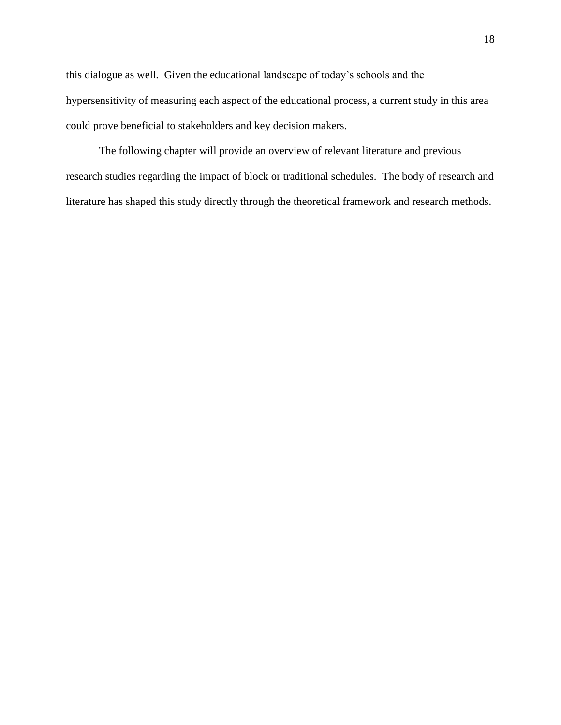this dialogue as well. Given the educational landscape of today's schools and the hypersensitivity of measuring each aspect of the educational process, a current study in this area could prove beneficial to stakeholders and key decision makers.

The following chapter will provide an overview of relevant literature and previous research studies regarding the impact of block or traditional schedules. The body of research and literature has shaped this study directly through the theoretical framework and research methods.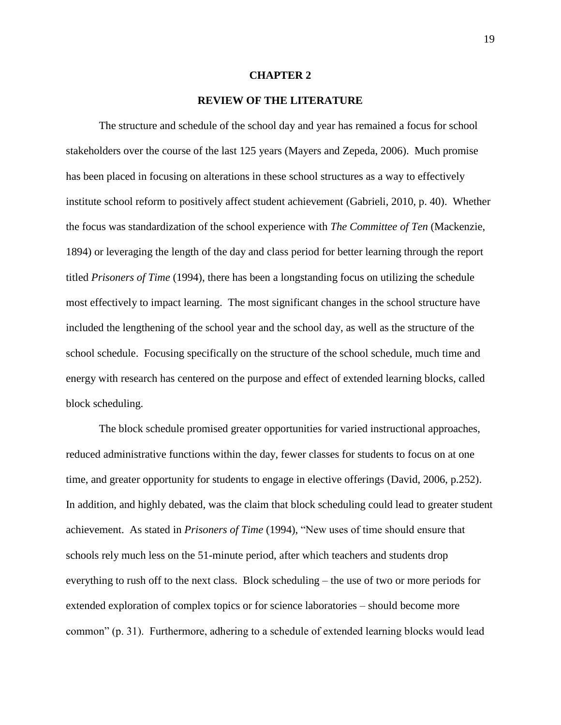#### **CHAPTER 2**

#### **REVIEW OF THE LITERATURE**

The structure and schedule of the school day and year has remained a focus for school stakeholders over the course of the last 125 years (Mayers and Zepeda, 2006). Much promise has been placed in focusing on alterations in these school structures as a way to effectively institute school reform to positively affect student achievement (Gabrieli, 2010, p. 40). Whether the focus was standardization of the school experience with *The Committee of Ten* (Mackenzie, 1894) or leveraging the length of the day and class period for better learning through the report titled *Prisoners of Time* (1994), there has been a longstanding focus on utilizing the schedule most effectively to impact learning. The most significant changes in the school structure have included the lengthening of the school year and the school day, as well as the structure of the school schedule. Focusing specifically on the structure of the school schedule, much time and energy with research has centered on the purpose and effect of extended learning blocks, called block scheduling.

The block schedule promised greater opportunities for varied instructional approaches, reduced administrative functions within the day, fewer classes for students to focus on at one time, and greater opportunity for students to engage in elective offerings (David, 2006, p.252). In addition, and highly debated, was the claim that block scheduling could lead to greater student achievement. As stated in *Prisoners of Time* (1994), "New uses of time should ensure that schools rely much less on the 51-minute period, after which teachers and students drop everything to rush off to the next class. Block scheduling – the use of two or more periods for extended exploration of complex topics or for science laboratories – should become more common" (p. 31). Furthermore, adhering to a schedule of extended learning blocks would lead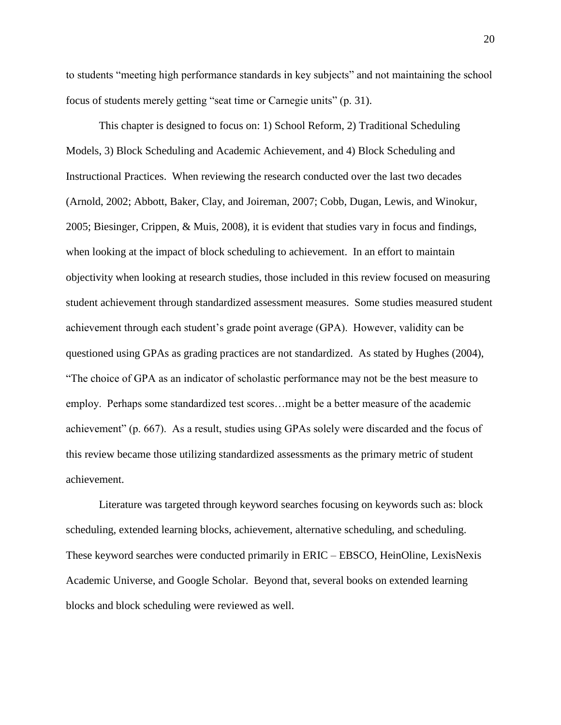to students "meeting high performance standards in key subjects" and not maintaining the school focus of students merely getting "seat time or Carnegie units" (p. 31).

This chapter is designed to focus on: 1) School Reform, 2) Traditional Scheduling Models, 3) Block Scheduling and Academic Achievement, and 4) Block Scheduling and Instructional Practices. When reviewing the research conducted over the last two decades (Arnold, 2002; Abbott, Baker, Clay, and Joireman, 2007; Cobb, Dugan, Lewis, and Winokur, 2005; Biesinger, Crippen, & Muis, 2008), it is evident that studies vary in focus and findings, when looking at the impact of block scheduling to achievement. In an effort to maintain objectivity when looking at research studies, those included in this review focused on measuring student achievement through standardized assessment measures. Some studies measured student achievement through each student's grade point average (GPA). However, validity can be questioned using GPAs as grading practices are not standardized. As stated by Hughes (2004), "The choice of GPA as an indicator of scholastic performance may not be the best measure to employ. Perhaps some standardized test scores…might be a better measure of the academic achievement" (p. 667). As a result, studies using GPAs solely were discarded and the focus of this review became those utilizing standardized assessments as the primary metric of student achievement.

Literature was targeted through keyword searches focusing on keywords such as: block scheduling, extended learning blocks, achievement, alternative scheduling, and scheduling. These keyword searches were conducted primarily in ERIC – EBSCO, HeinOline, LexisNexis Academic Universe, and Google Scholar. Beyond that, several books on extended learning blocks and block scheduling were reviewed as well.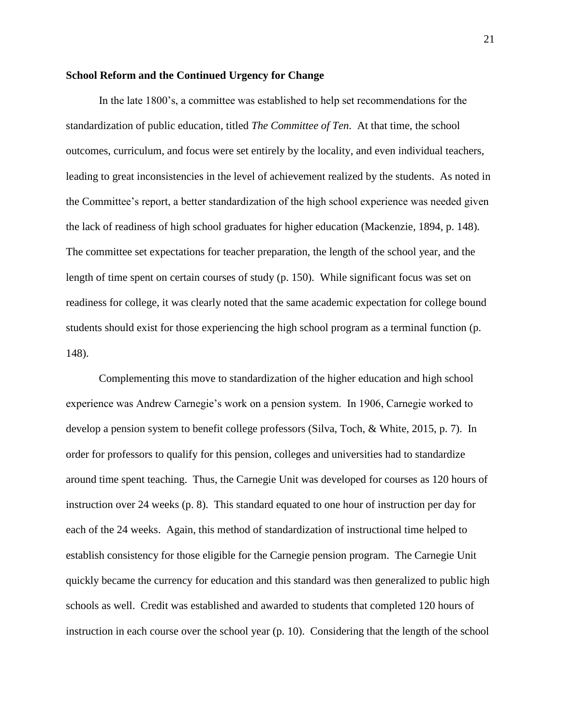#### **School Reform and the Continued Urgency for Change**

In the late 1800's, a committee was established to help set recommendations for the standardization of public education, titled *The Committee of Ten*. At that time, the school outcomes, curriculum, and focus were set entirely by the locality, and even individual teachers, leading to great inconsistencies in the level of achievement realized by the students. As noted in the Committee's report, a better standardization of the high school experience was needed given the lack of readiness of high school graduates for higher education (Mackenzie, 1894, p. 148). The committee set expectations for teacher preparation, the length of the school year, and the length of time spent on certain courses of study (p. 150). While significant focus was set on readiness for college, it was clearly noted that the same academic expectation for college bound students should exist for those experiencing the high school program as a terminal function (p. 148).

Complementing this move to standardization of the higher education and high school experience was Andrew Carnegie's work on a pension system. In 1906, Carnegie worked to develop a pension system to benefit college professors (Silva, Toch, & White, 2015, p. 7). In order for professors to qualify for this pension, colleges and universities had to standardize around time spent teaching. Thus, the Carnegie Unit was developed for courses as 120 hours of instruction over 24 weeks (p. 8). This standard equated to one hour of instruction per day for each of the 24 weeks. Again, this method of standardization of instructional time helped to establish consistency for those eligible for the Carnegie pension program. The Carnegie Unit quickly became the currency for education and this standard was then generalized to public high schools as well. Credit was established and awarded to students that completed 120 hours of instruction in each course over the school year (p. 10). Considering that the length of the school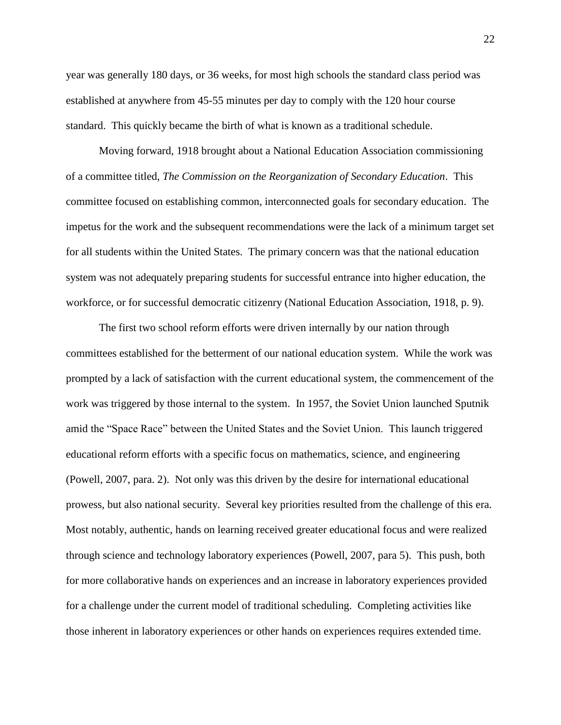year was generally 180 days, or 36 weeks, for most high schools the standard class period was established at anywhere from 45-55 minutes per day to comply with the 120 hour course standard. This quickly became the birth of what is known as a traditional schedule.

Moving forward, 1918 brought about a National Education Association commissioning of a committee titled, *The Commission on the Reorganization of Secondary Education*. This committee focused on establishing common, interconnected goals for secondary education. The impetus for the work and the subsequent recommendations were the lack of a minimum target set for all students within the United States. The primary concern was that the national education system was not adequately preparing students for successful entrance into higher education, the workforce, or for successful democratic citizenry (National Education Association, 1918, p. 9).

The first two school reform efforts were driven internally by our nation through committees established for the betterment of our national education system. While the work was prompted by a lack of satisfaction with the current educational system, the commencement of the work was triggered by those internal to the system. In 1957, the Soviet Union launched Sputnik amid the "Space Race" between the United States and the Soviet Union. This launch triggered educational reform efforts with a specific focus on mathematics, science, and engineering (Powell, 2007, para. 2). Not only was this driven by the desire for international educational prowess, but also national security. Several key priorities resulted from the challenge of this era. Most notably, authentic, hands on learning received greater educational focus and were realized through science and technology laboratory experiences (Powell, 2007, para 5). This push, both for more collaborative hands on experiences and an increase in laboratory experiences provided for a challenge under the current model of traditional scheduling. Completing activities like those inherent in laboratory experiences or other hands on experiences requires extended time.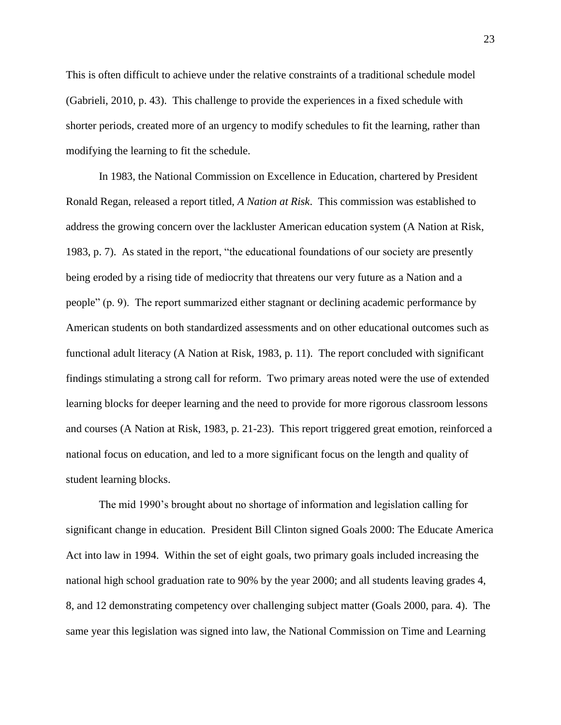This is often difficult to achieve under the relative constraints of a traditional schedule model (Gabrieli, 2010, p. 43). This challenge to provide the experiences in a fixed schedule with shorter periods, created more of an urgency to modify schedules to fit the learning, rather than modifying the learning to fit the schedule.

In 1983, the National Commission on Excellence in Education, chartered by President Ronald Regan, released a report titled, *A Nation at Risk*. This commission was established to address the growing concern over the lackluster American education system (A Nation at Risk, 1983, p. 7). As stated in the report, "the educational foundations of our society are presently being eroded by a rising tide of mediocrity that threatens our very future as a Nation and a people" (p. 9). The report summarized either stagnant or declining academic performance by American students on both standardized assessments and on other educational outcomes such as functional adult literacy (A Nation at Risk, 1983, p. 11). The report concluded with significant findings stimulating a strong call for reform. Two primary areas noted were the use of extended learning blocks for deeper learning and the need to provide for more rigorous classroom lessons and courses (A Nation at Risk, 1983, p. 21-23). This report triggered great emotion, reinforced a national focus on education, and led to a more significant focus on the length and quality of student learning blocks.

The mid 1990's brought about no shortage of information and legislation calling for significant change in education. President Bill Clinton signed Goals 2000: The Educate America Act into law in 1994. Within the set of eight goals, two primary goals included increasing the national high school graduation rate to 90% by the year 2000; and all students leaving grades 4, 8, and 12 demonstrating competency over challenging subject matter (Goals 2000, para. 4). The same year this legislation was signed into law, the National Commission on Time and Learning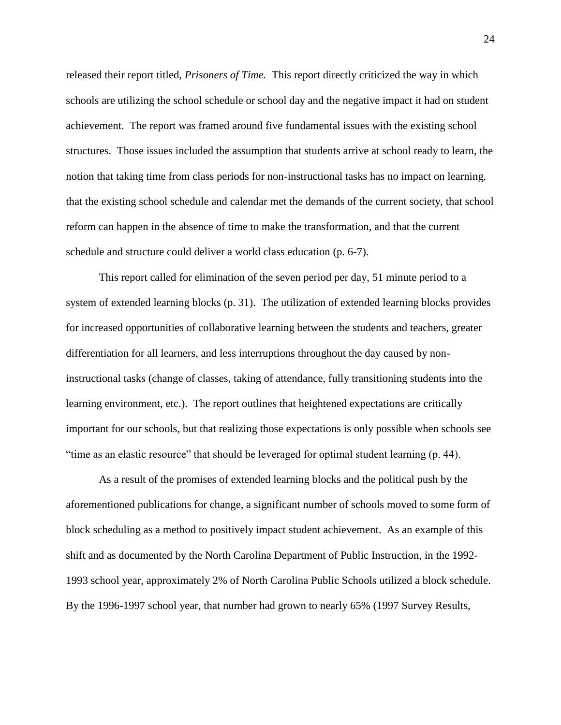released their report titled, *Prisoners of Time.* This report directly criticized the way in which schools are utilizing the school schedule or school day and the negative impact it had on student achievement. The report was framed around five fundamental issues with the existing school structures. Those issues included the assumption that students arrive at school ready to learn, the notion that taking time from class periods for non-instructional tasks has no impact on learning, that the existing school schedule and calendar met the demands of the current society, that school reform can happen in the absence of time to make the transformation, and that the current schedule and structure could deliver a world class education (p. 6-7).

This report called for elimination of the seven period per day, 51 minute period to a system of extended learning blocks (p. 31). The utilization of extended learning blocks provides for increased opportunities of collaborative learning between the students and teachers, greater differentiation for all learners, and less interruptions throughout the day caused by noninstructional tasks (change of classes, taking of attendance, fully transitioning students into the learning environment, etc.). The report outlines that heightened expectations are critically important for our schools, but that realizing those expectations is only possible when schools see "time as an elastic resource" that should be leveraged for optimal student learning (p. 44).

As a result of the promises of extended learning blocks and the political push by the aforementioned publications for change, a significant number of schools moved to some form of block scheduling as a method to positively impact student achievement. As an example of this shift and as documented by the North Carolina Department of Public Instruction, in the 1992- 1993 school year, approximately 2% of North Carolina Public Schools utilized a block schedule. By the 1996-1997 school year, that number had grown to nearly 65% (1997 Survey Results,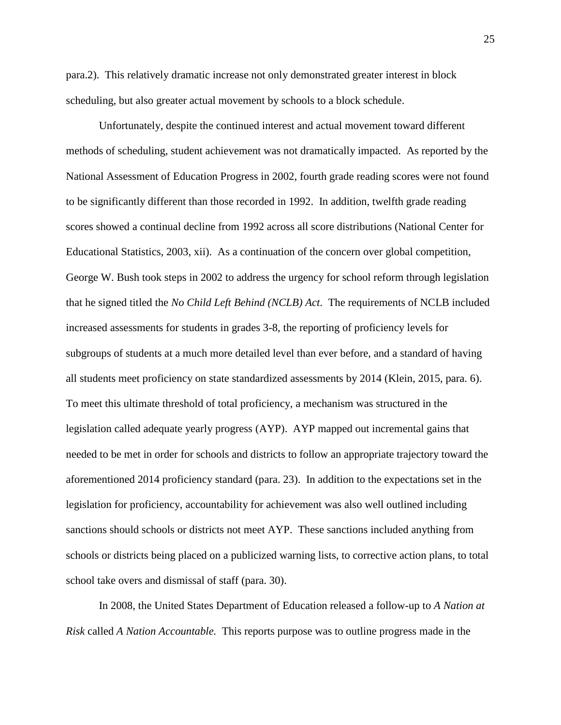para.2). This relatively dramatic increase not only demonstrated greater interest in block scheduling, but also greater actual movement by schools to a block schedule.

Unfortunately, despite the continued interest and actual movement toward different methods of scheduling, student achievement was not dramatically impacted. As reported by the National Assessment of Education Progress in 2002, fourth grade reading scores were not found to be significantly different than those recorded in 1992. In addition, twelfth grade reading scores showed a continual decline from 1992 across all score distributions (National Center for Educational Statistics, 2003, xii). As a continuation of the concern over global competition, George W. Bush took steps in 2002 to address the urgency for school reform through legislation that he signed titled the *No Child Left Behind (NCLB) Act*. The requirements of NCLB included increased assessments for students in grades 3-8, the reporting of proficiency levels for subgroups of students at a much more detailed level than ever before, and a standard of having all students meet proficiency on state standardized assessments by 2014 (Klein, 2015, para. 6). To meet this ultimate threshold of total proficiency, a mechanism was structured in the legislation called adequate yearly progress (AYP). AYP mapped out incremental gains that needed to be met in order for schools and districts to follow an appropriate trajectory toward the aforementioned 2014 proficiency standard (para. 23). In addition to the expectations set in the legislation for proficiency, accountability for achievement was also well outlined including sanctions should schools or districts not meet AYP. These sanctions included anything from schools or districts being placed on a publicized warning lists, to corrective action plans, to total school take overs and dismissal of staff (para. 30).

In 2008, the United States Department of Education released a follow-up to *A Nation at Risk* called *A Nation Accountable.* This reports purpose was to outline progress made in the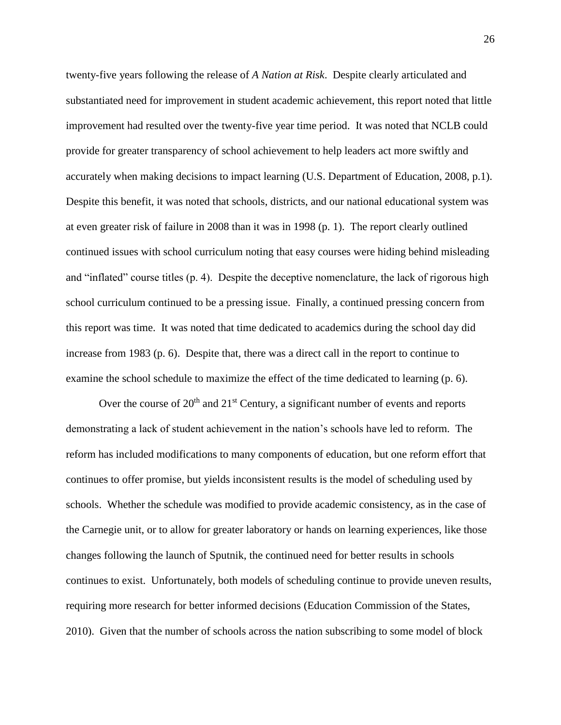twenty-five years following the release of *A Nation at Risk*. Despite clearly articulated and substantiated need for improvement in student academic achievement, this report noted that little improvement had resulted over the twenty-five year time period. It was noted that NCLB could provide for greater transparency of school achievement to help leaders act more swiftly and accurately when making decisions to impact learning (U.S. Department of Education, 2008, p.1). Despite this benefit, it was noted that schools, districts, and our national educational system was at even greater risk of failure in 2008 than it was in 1998 (p. 1). The report clearly outlined continued issues with school curriculum noting that easy courses were hiding behind misleading and "inflated" course titles (p. 4). Despite the deceptive nomenclature, the lack of rigorous high school curriculum continued to be a pressing issue. Finally, a continued pressing concern from this report was time. It was noted that time dedicated to academics during the school day did increase from 1983 (p. 6). Despite that, there was a direct call in the report to continue to examine the school schedule to maximize the effect of the time dedicated to learning (p. 6).

Over the course of  $20<sup>th</sup>$  and  $21<sup>st</sup>$  Century, a significant number of events and reports demonstrating a lack of student achievement in the nation's schools have led to reform. The reform has included modifications to many components of education, but one reform effort that continues to offer promise, but yields inconsistent results is the model of scheduling used by schools. Whether the schedule was modified to provide academic consistency, as in the case of the Carnegie unit, or to allow for greater laboratory or hands on learning experiences, like those changes following the launch of Sputnik, the continued need for better results in schools continues to exist. Unfortunately, both models of scheduling continue to provide uneven results, requiring more research for better informed decisions (Education Commission of the States, 2010). Given that the number of schools across the nation subscribing to some model of block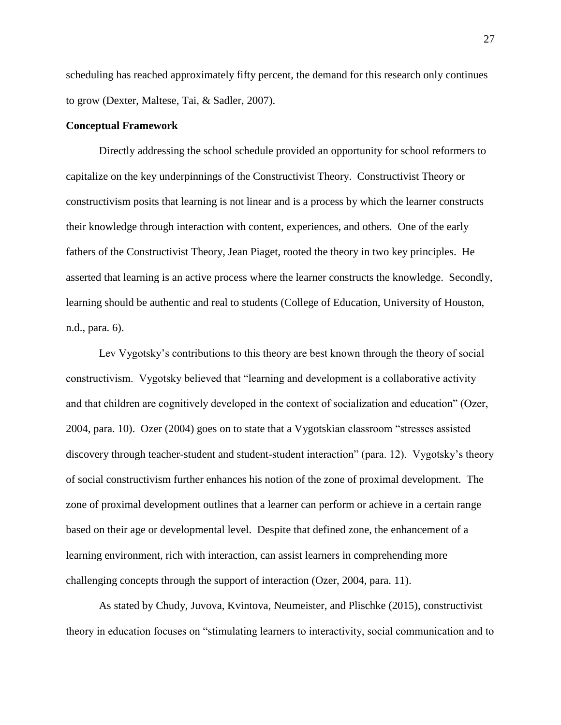scheduling has reached approximately fifty percent, the demand for this research only continues to grow (Dexter, Maltese, Tai, & Sadler, 2007).

# **Conceptual Framework**

Directly addressing the school schedule provided an opportunity for school reformers to capitalize on the key underpinnings of the Constructivist Theory. Constructivist Theory or constructivism posits that learning is not linear and is a process by which the learner constructs their knowledge through interaction with content, experiences, and others. One of the early fathers of the Constructivist Theory, Jean Piaget, rooted the theory in two key principles. He asserted that learning is an active process where the learner constructs the knowledge. Secondly, learning should be authentic and real to students (College of Education, University of Houston, n.d., para. 6).

Lev Vygotsky's contributions to this theory are best known through the theory of social constructivism. Vygotsky believed that "learning and development is a collaborative activity and that children are cognitively developed in the context of socialization and education" (Ozer, 2004, para. 10). Ozer (2004) goes on to state that a Vygotskian classroom "stresses assisted discovery through teacher-student and student-student interaction" (para. 12). Vygotsky's theory of social constructivism further enhances his notion of the zone of proximal development. The zone of proximal development outlines that a learner can perform or achieve in a certain range based on their age or developmental level. Despite that defined zone, the enhancement of a learning environment, rich with interaction, can assist learners in comprehending more challenging concepts through the support of interaction (Ozer, 2004, para. 11).

As stated by Chudy, Juvova, Kvintova, Neumeister, and Plischke (2015), constructivist theory in education focuses on "stimulating learners to interactivity, social communication and to

27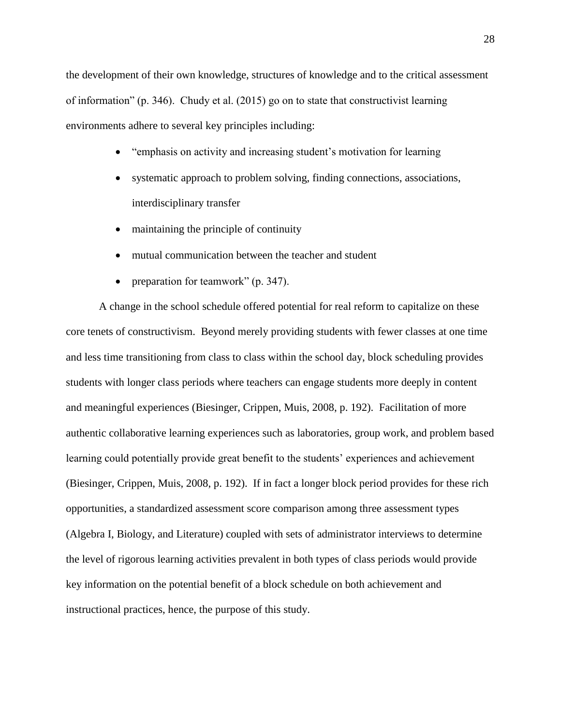the development of their own knowledge, structures of knowledge and to the critical assessment of information" (p. 346). Chudy et al. (2015) go on to state that constructivist learning environments adhere to several key principles including:

- "emphasis on activity and increasing student's motivation for learning
- systematic approach to problem solving, finding connections, associations, interdisciplinary transfer
- maintaining the principle of continuity
- mutual communication between the teacher and student
- preparation for teamwork" (p. 347).

A change in the school schedule offered potential for real reform to capitalize on these core tenets of constructivism. Beyond merely providing students with fewer classes at one time and less time transitioning from class to class within the school day, block scheduling provides students with longer class periods where teachers can engage students more deeply in content and meaningful experiences (Biesinger, Crippen, Muis, 2008, p. 192). Facilitation of more authentic collaborative learning experiences such as laboratories, group work, and problem based learning could potentially provide great benefit to the students' experiences and achievement (Biesinger, Crippen, Muis, 2008, p. 192). If in fact a longer block period provides for these rich opportunities, a standardized assessment score comparison among three assessment types (Algebra I, Biology, and Literature) coupled with sets of administrator interviews to determine the level of rigorous learning activities prevalent in both types of class periods would provide key information on the potential benefit of a block schedule on both achievement and instructional practices, hence, the purpose of this study.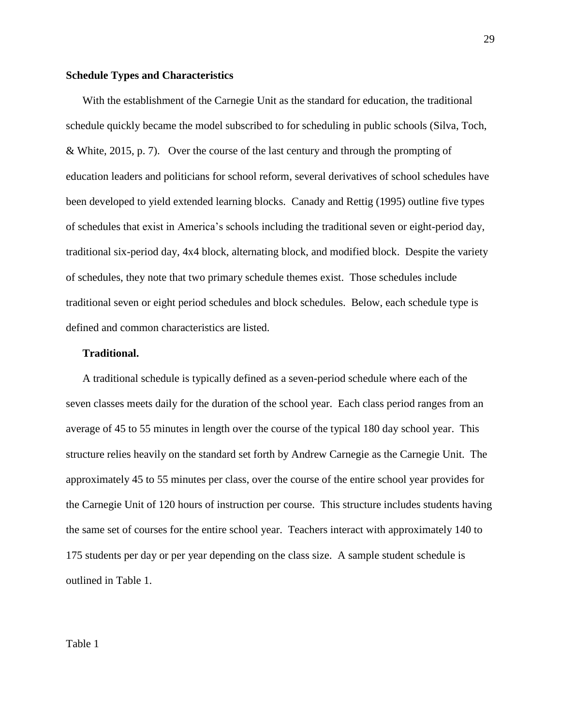## **Schedule Types and Characteristics**

With the establishment of the Carnegie Unit as the standard for education, the traditional schedule quickly became the model subscribed to for scheduling in public schools (Silva, Toch, & White, 2015, p. 7). Over the course of the last century and through the prompting of education leaders and politicians for school reform, several derivatives of school schedules have been developed to yield extended learning blocks. Canady and Rettig (1995) outline five types of schedules that exist in America's schools including the traditional seven or eight-period day, traditional six-period day, 4x4 block, alternating block, and modified block. Despite the variety of schedules, they note that two primary schedule themes exist. Those schedules include traditional seven or eight period schedules and block schedules. Below, each schedule type is defined and common characteristics are listed.

# **Traditional.**

A traditional schedule is typically defined as a seven-period schedule where each of the seven classes meets daily for the duration of the school year. Each class period ranges from an average of 45 to 55 minutes in length over the course of the typical 180 day school year. This structure relies heavily on the standard set forth by Andrew Carnegie as the Carnegie Unit. The approximately 45 to 55 minutes per class, over the course of the entire school year provides for the Carnegie Unit of 120 hours of instruction per course. This structure includes students having the same set of courses for the entire school year. Teachers interact with approximately 140 to 175 students per day or per year depending on the class size. A sample student schedule is outlined in Table 1.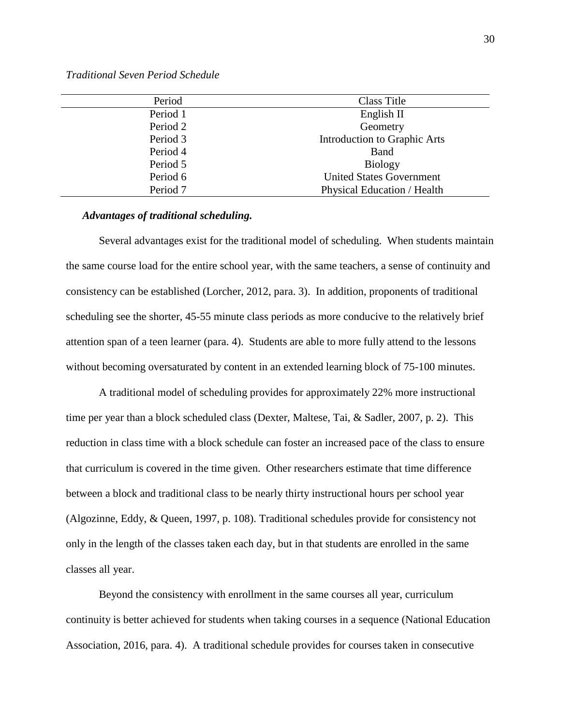*Traditional Seven Period Schedule*

| Period   | Class Title                     |
|----------|---------------------------------|
| Period 1 | English II                      |
| Period 2 | Geometry                        |
| Period 3 | Introduction to Graphic Arts    |
| Period 4 | <b>Band</b>                     |
| Period 5 | <b>Biology</b>                  |
| Period 6 | <b>United States Government</b> |
| Period 7 | Physical Education / Health     |

## *Advantages of traditional scheduling.*

Several advantages exist for the traditional model of scheduling. When students maintain the same course load for the entire school year, with the same teachers, a sense of continuity and consistency can be established (Lorcher, 2012, para. 3). In addition, proponents of traditional scheduling see the shorter, 45-55 minute class periods as more conducive to the relatively brief attention span of a teen learner (para. 4). Students are able to more fully attend to the lessons without becoming oversaturated by content in an extended learning block of 75-100 minutes.

A traditional model of scheduling provides for approximately 22% more instructional time per year than a block scheduled class (Dexter, Maltese, Tai, & Sadler, 2007, p. 2). This reduction in class time with a block schedule can foster an increased pace of the class to ensure that curriculum is covered in the time given. Other researchers estimate that time difference between a block and traditional class to be nearly thirty instructional hours per school year (Algozinne, Eddy, & Queen, 1997, p. 108). Traditional schedules provide for consistency not only in the length of the classes taken each day, but in that students are enrolled in the same classes all year.

Beyond the consistency with enrollment in the same courses all year, curriculum continuity is better achieved for students when taking courses in a sequence (National Education Association, 2016, para. 4). A traditional schedule provides for courses taken in consecutive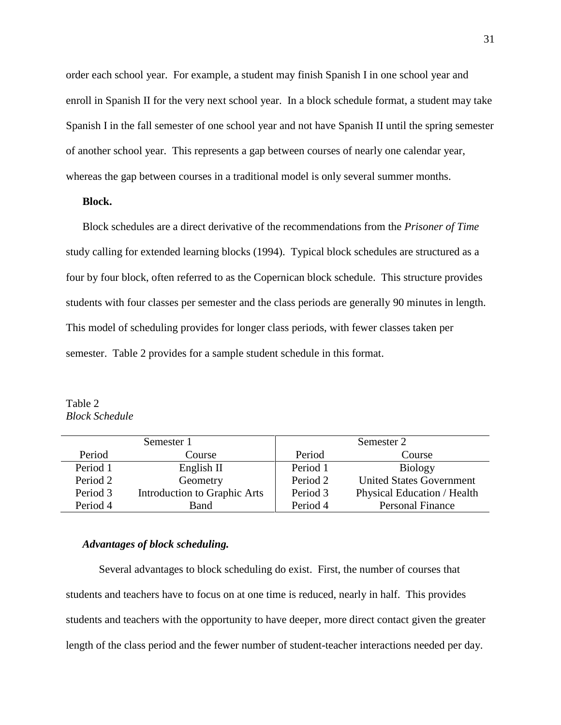order each school year. For example, a student may finish Spanish I in one school year and enroll in Spanish II for the very next school year. In a block schedule format, a student may take Spanish I in the fall semester of one school year and not have Spanish II until the spring semester of another school year. This represents a gap between courses of nearly one calendar year, whereas the gap between courses in a traditional model is only several summer months.

# **Block.**

Block schedules are a direct derivative of the recommendations from the *Prisoner of Time*  study calling for extended learning blocks (1994). Typical block schedules are structured as a four by four block, often referred to as the Copernican block schedule. This structure provides students with four classes per semester and the class periods are generally 90 minutes in length. This model of scheduling provides for longer class periods, with fewer classes taken per semester. Table 2 provides for a sample student schedule in this format.

Table 2 *Block Schedule*

|          | Semester 1                   | Semester 2 |                                 |  |
|----------|------------------------------|------------|---------------------------------|--|
| Period   | Course                       | Period     | Course                          |  |
| Period 1 | English II                   | Period 1   | <b>Biology</b>                  |  |
| Period 2 | Geometry                     | Period 2   | <b>United States Government</b> |  |
| Period 3 | Introduction to Graphic Arts | Period 3   | Physical Education / Health     |  |
| Period 4 | Band                         | Period 4   | <b>Personal Finance</b>         |  |

## *Advantages of block scheduling.*

Several advantages to block scheduling do exist. First, the number of courses that students and teachers have to focus on at one time is reduced, nearly in half. This provides students and teachers with the opportunity to have deeper, more direct contact given the greater length of the class period and the fewer number of student-teacher interactions needed per day.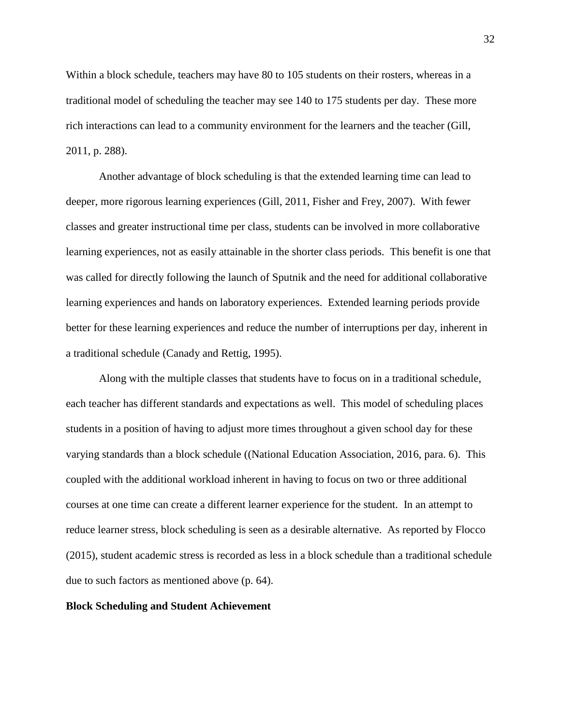Within a block schedule, teachers may have 80 to 105 students on their rosters, whereas in a traditional model of scheduling the teacher may see 140 to 175 students per day. These more rich interactions can lead to a community environment for the learners and the teacher (Gill, 2011, p. 288).

Another advantage of block scheduling is that the extended learning time can lead to deeper, more rigorous learning experiences (Gill, 2011, Fisher and Frey, 2007). With fewer classes and greater instructional time per class, students can be involved in more collaborative learning experiences, not as easily attainable in the shorter class periods. This benefit is one that was called for directly following the launch of Sputnik and the need for additional collaborative learning experiences and hands on laboratory experiences. Extended learning periods provide better for these learning experiences and reduce the number of interruptions per day, inherent in a traditional schedule (Canady and Rettig, 1995).

Along with the multiple classes that students have to focus on in a traditional schedule, each teacher has different standards and expectations as well. This model of scheduling places students in a position of having to adjust more times throughout a given school day for these varying standards than a block schedule ((National Education Association, 2016, para. 6). This coupled with the additional workload inherent in having to focus on two or three additional courses at one time can create a different learner experience for the student. In an attempt to reduce learner stress, block scheduling is seen as a desirable alternative. As reported by Flocco (2015), student academic stress is recorded as less in a block schedule than a traditional schedule due to such factors as mentioned above (p. 64).

## **Block Scheduling and Student Achievement**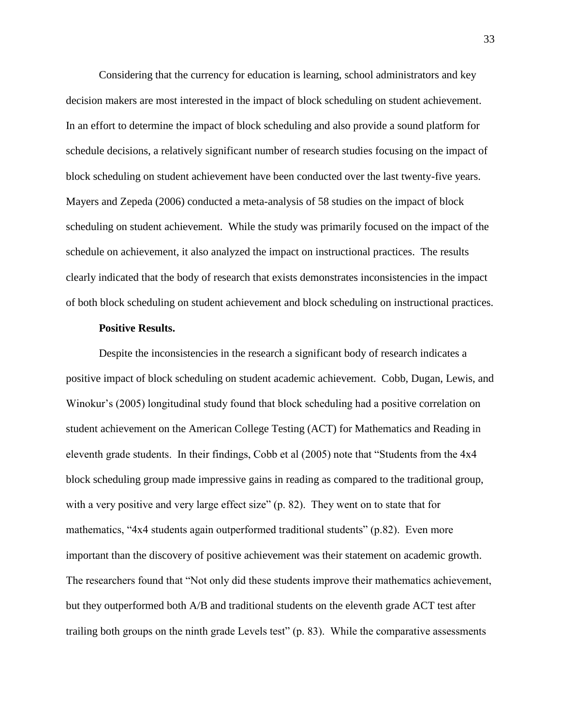Considering that the currency for education is learning, school administrators and key decision makers are most interested in the impact of block scheduling on student achievement. In an effort to determine the impact of block scheduling and also provide a sound platform for schedule decisions, a relatively significant number of research studies focusing on the impact of block scheduling on student achievement have been conducted over the last twenty-five years. Mayers and Zepeda (2006) conducted a meta-analysis of 58 studies on the impact of block scheduling on student achievement. While the study was primarily focused on the impact of the schedule on achievement, it also analyzed the impact on instructional practices. The results clearly indicated that the body of research that exists demonstrates inconsistencies in the impact of both block scheduling on student achievement and block scheduling on instructional practices.

## **Positive Results.**

Despite the inconsistencies in the research a significant body of research indicates a positive impact of block scheduling on student academic achievement. Cobb, Dugan, Lewis, and Winokur's (2005) longitudinal study found that block scheduling had a positive correlation on student achievement on the American College Testing (ACT) for Mathematics and Reading in eleventh grade students. In their findings, Cobb et al (2005) note that "Students from the 4x4 block scheduling group made impressive gains in reading as compared to the traditional group, with a very positive and very large effect size" (p. 82). They went on to state that for mathematics, "4x4 students again outperformed traditional students" (p.82). Even more important than the discovery of positive achievement was their statement on academic growth. The researchers found that "Not only did these students improve their mathematics achievement, but they outperformed both A/B and traditional students on the eleventh grade ACT test after trailing both groups on the ninth grade Levels test" (p. 83). While the comparative assessments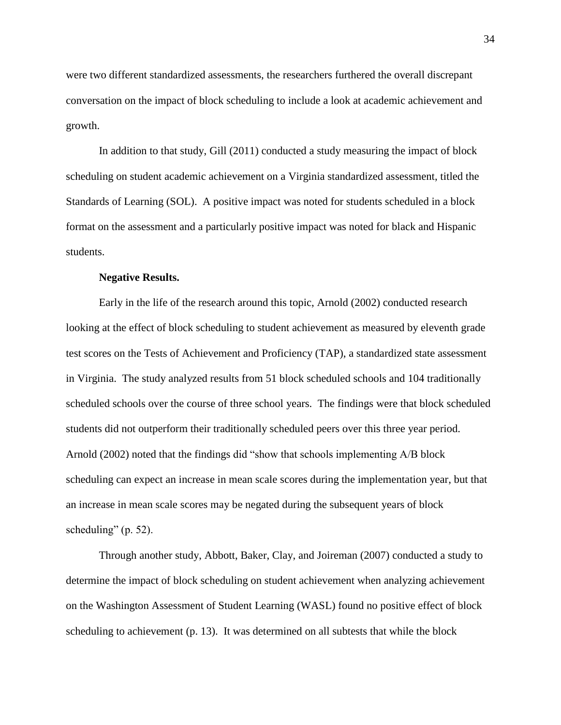were two different standardized assessments, the researchers furthered the overall discrepant conversation on the impact of block scheduling to include a look at academic achievement and growth.

In addition to that study, Gill (2011) conducted a study measuring the impact of block scheduling on student academic achievement on a Virginia standardized assessment, titled the Standards of Learning (SOL). A positive impact was noted for students scheduled in a block format on the assessment and a particularly positive impact was noted for black and Hispanic students.

## **Negative Results.**

Early in the life of the research around this topic, Arnold (2002) conducted research looking at the effect of block scheduling to student achievement as measured by eleventh grade test scores on the Tests of Achievement and Proficiency (TAP), a standardized state assessment in Virginia. The study analyzed results from 51 block scheduled schools and 104 traditionally scheduled schools over the course of three school years. The findings were that block scheduled students did not outperform their traditionally scheduled peers over this three year period. Arnold (2002) noted that the findings did "show that schools implementing A/B block scheduling can expect an increase in mean scale scores during the implementation year, but that an increase in mean scale scores may be negated during the subsequent years of block scheduling" (p. 52).

Through another study, Abbott, Baker, Clay, and Joireman (2007) conducted a study to determine the impact of block scheduling on student achievement when analyzing achievement on the Washington Assessment of Student Learning (WASL) found no positive effect of block scheduling to achievement (p. 13). It was determined on all subtests that while the block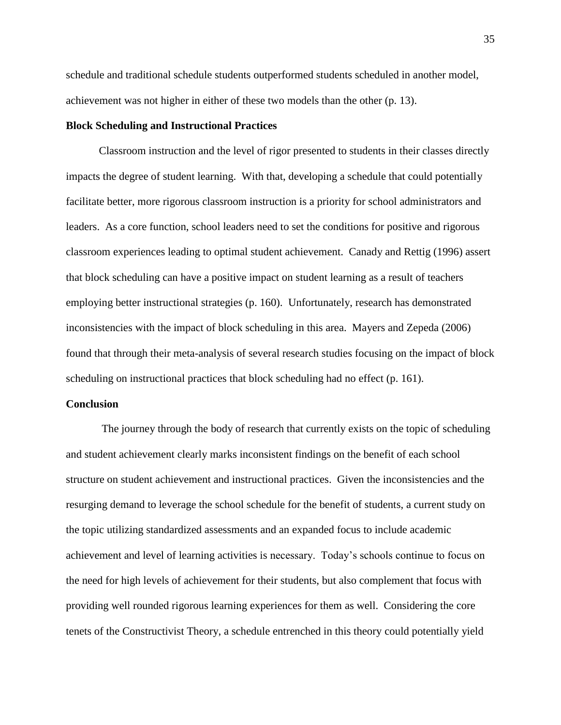schedule and traditional schedule students outperformed students scheduled in another model, achievement was not higher in either of these two models than the other (p. 13).

# **Block Scheduling and Instructional Practices**

Classroom instruction and the level of rigor presented to students in their classes directly impacts the degree of student learning. With that, developing a schedule that could potentially facilitate better, more rigorous classroom instruction is a priority for school administrators and leaders. As a core function, school leaders need to set the conditions for positive and rigorous classroom experiences leading to optimal student achievement. Canady and Rettig (1996) assert that block scheduling can have a positive impact on student learning as a result of teachers employing better instructional strategies (p. 160). Unfortunately, research has demonstrated inconsistencies with the impact of block scheduling in this area. Mayers and Zepeda (2006) found that through their meta-analysis of several research studies focusing on the impact of block scheduling on instructional practices that block scheduling had no effect (p. 161).

## **Conclusion**

The journey through the body of research that currently exists on the topic of scheduling and student achievement clearly marks inconsistent findings on the benefit of each school structure on student achievement and instructional practices. Given the inconsistencies and the resurging demand to leverage the school schedule for the benefit of students, a current study on the topic utilizing standardized assessments and an expanded focus to include academic achievement and level of learning activities is necessary. Today's schools continue to focus on the need for high levels of achievement for their students, but also complement that focus with providing well rounded rigorous learning experiences for them as well. Considering the core tenets of the Constructivist Theory, a schedule entrenched in this theory could potentially yield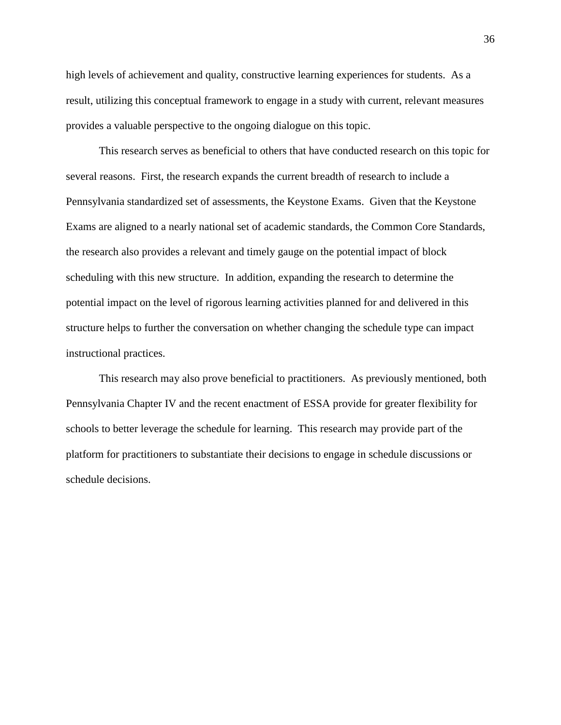high levels of achievement and quality, constructive learning experiences for students. As a result, utilizing this conceptual framework to engage in a study with current, relevant measures provides a valuable perspective to the ongoing dialogue on this topic.

This research serves as beneficial to others that have conducted research on this topic for several reasons. First, the research expands the current breadth of research to include a Pennsylvania standardized set of assessments, the Keystone Exams. Given that the Keystone Exams are aligned to a nearly national set of academic standards, the Common Core Standards, the research also provides a relevant and timely gauge on the potential impact of block scheduling with this new structure. In addition, expanding the research to determine the potential impact on the level of rigorous learning activities planned for and delivered in this structure helps to further the conversation on whether changing the schedule type can impact instructional practices.

This research may also prove beneficial to practitioners. As previously mentioned, both Pennsylvania Chapter IV and the recent enactment of ESSA provide for greater flexibility for schools to better leverage the schedule for learning. This research may provide part of the platform for practitioners to substantiate their decisions to engage in schedule discussions or schedule decisions.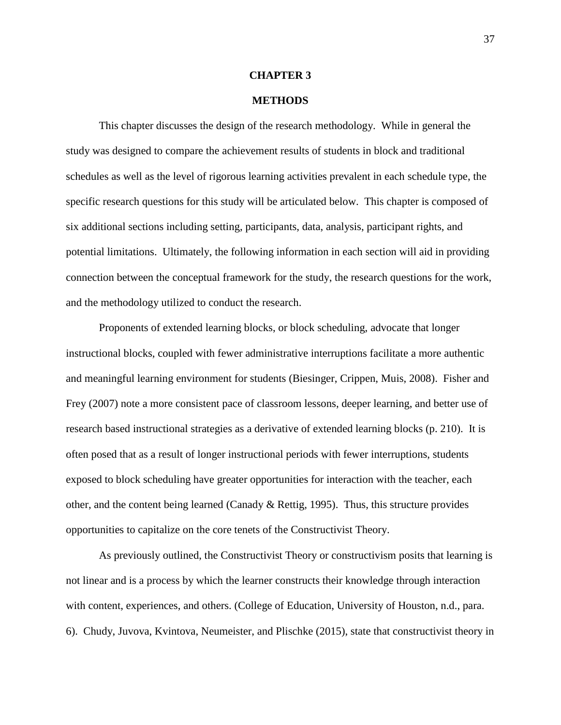## **CHAPTER 3**

## **METHODS**

This chapter discusses the design of the research methodology. While in general the study was designed to compare the achievement results of students in block and traditional schedules as well as the level of rigorous learning activities prevalent in each schedule type, the specific research questions for this study will be articulated below. This chapter is composed of six additional sections including setting, participants, data, analysis, participant rights, and potential limitations. Ultimately, the following information in each section will aid in providing connection between the conceptual framework for the study, the research questions for the work, and the methodology utilized to conduct the research.

Proponents of extended learning blocks, or block scheduling, advocate that longer instructional blocks, coupled with fewer administrative interruptions facilitate a more authentic and meaningful learning environment for students (Biesinger, Crippen, Muis, 2008). Fisher and Frey (2007) note a more consistent pace of classroom lessons, deeper learning, and better use of research based instructional strategies as a derivative of extended learning blocks (p. 210). It is often posed that as a result of longer instructional periods with fewer interruptions, students exposed to block scheduling have greater opportunities for interaction with the teacher, each other, and the content being learned (Canady & Rettig, 1995). Thus, this structure provides opportunities to capitalize on the core tenets of the Constructivist Theory.

As previously outlined, the Constructivist Theory or constructivism posits that learning is not linear and is a process by which the learner constructs their knowledge through interaction with content, experiences, and others. (College of Education, University of Houston, n.d., para. 6). Chudy, Juvova, Kvintova, Neumeister, and Plischke (2015), state that constructivist theory in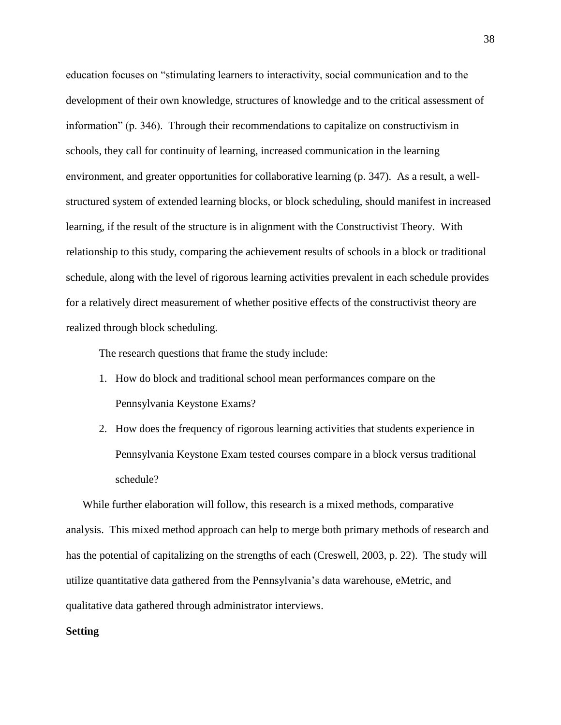education focuses on "stimulating learners to interactivity, social communication and to the development of their own knowledge, structures of knowledge and to the critical assessment of information" (p. 346). Through their recommendations to capitalize on constructivism in schools, they call for continuity of learning, increased communication in the learning environment, and greater opportunities for collaborative learning (p. 347). As a result, a wellstructured system of extended learning blocks, or block scheduling, should manifest in increased learning, if the result of the structure is in alignment with the Constructivist Theory. With relationship to this study, comparing the achievement results of schools in a block or traditional schedule, along with the level of rigorous learning activities prevalent in each schedule provides for a relatively direct measurement of whether positive effects of the constructivist theory are realized through block scheduling.

The research questions that frame the study include:

- 1. How do block and traditional school mean performances compare on the Pennsylvania Keystone Exams?
- 2. How does the frequency of rigorous learning activities that students experience in Pennsylvania Keystone Exam tested courses compare in a block versus traditional schedule?

While further elaboration will follow, this research is a mixed methods, comparative analysis. This mixed method approach can help to merge both primary methods of research and has the potential of capitalizing on the strengths of each (Creswell, 2003, p. 22). The study will utilize quantitative data gathered from the Pennsylvania's data warehouse, eMetric, and qualitative data gathered through administrator interviews.

# **Setting**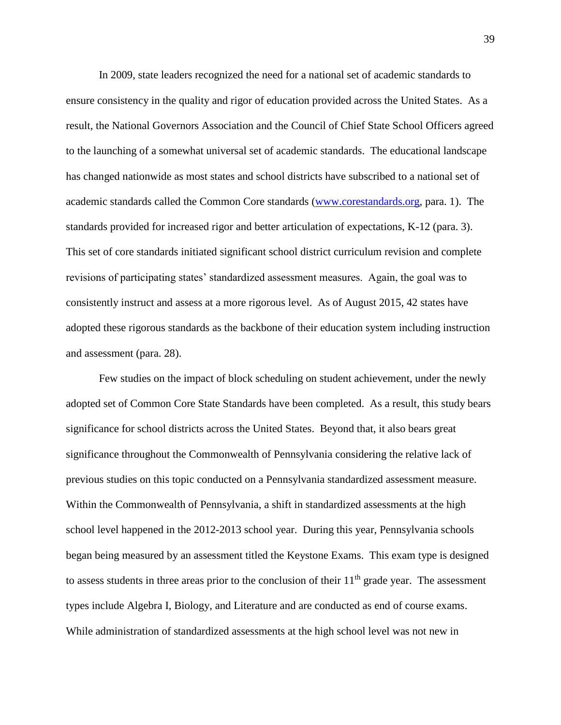In 2009, state leaders recognized the need for a national set of academic standards to ensure consistency in the quality and rigor of education provided across the United States. As a result, the National Governors Association and the Council of Chief State School Officers agreed to the launching of a somewhat universal set of academic standards. The educational landscape has changed nationwide as most states and school districts have subscribed to a national set of academic standards called the Common Core standards [\(www.corestandards.org,](http://www.corestandards.org/) para. 1). The standards provided for increased rigor and better articulation of expectations, K-12 (para. 3). This set of core standards initiated significant school district curriculum revision and complete revisions of participating states' standardized assessment measures. Again, the goal was to consistently instruct and assess at a more rigorous level. As of August 2015, 42 states have adopted these rigorous standards as the backbone of their education system including instruction and assessment (para. 28).

Few studies on the impact of block scheduling on student achievement, under the newly adopted set of Common Core State Standards have been completed. As a result, this study bears significance for school districts across the United States. Beyond that, it also bears great significance throughout the Commonwealth of Pennsylvania considering the relative lack of previous studies on this topic conducted on a Pennsylvania standardized assessment measure. Within the Commonwealth of Pennsylvania, a shift in standardized assessments at the high school level happened in the 2012-2013 school year. During this year, Pennsylvania schools began being measured by an assessment titled the Keystone Exams. This exam type is designed to assess students in three areas prior to the conclusion of their  $11<sup>th</sup>$  grade year. The assessment types include Algebra I, Biology, and Literature and are conducted as end of course exams. While administration of standardized assessments at the high school level was not new in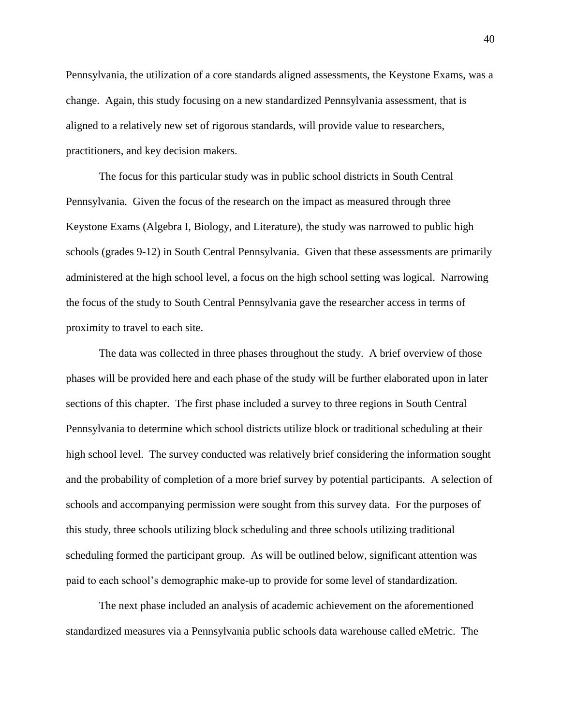Pennsylvania, the utilization of a core standards aligned assessments, the Keystone Exams, was a change. Again, this study focusing on a new standardized Pennsylvania assessment, that is aligned to a relatively new set of rigorous standards, will provide value to researchers, practitioners, and key decision makers.

The focus for this particular study was in public school districts in South Central Pennsylvania. Given the focus of the research on the impact as measured through three Keystone Exams (Algebra I, Biology, and Literature), the study was narrowed to public high schools (grades 9-12) in South Central Pennsylvania. Given that these assessments are primarily administered at the high school level, a focus on the high school setting was logical. Narrowing the focus of the study to South Central Pennsylvania gave the researcher access in terms of proximity to travel to each site.

The data was collected in three phases throughout the study. A brief overview of those phases will be provided here and each phase of the study will be further elaborated upon in later sections of this chapter. The first phase included a survey to three regions in South Central Pennsylvania to determine which school districts utilize block or traditional scheduling at their high school level. The survey conducted was relatively brief considering the information sought and the probability of completion of a more brief survey by potential participants. A selection of schools and accompanying permission were sought from this survey data. For the purposes of this study, three schools utilizing block scheduling and three schools utilizing traditional scheduling formed the participant group. As will be outlined below, significant attention was paid to each school's demographic make-up to provide for some level of standardization.

The next phase included an analysis of academic achievement on the aforementioned standardized measures via a Pennsylvania public schools data warehouse called eMetric. The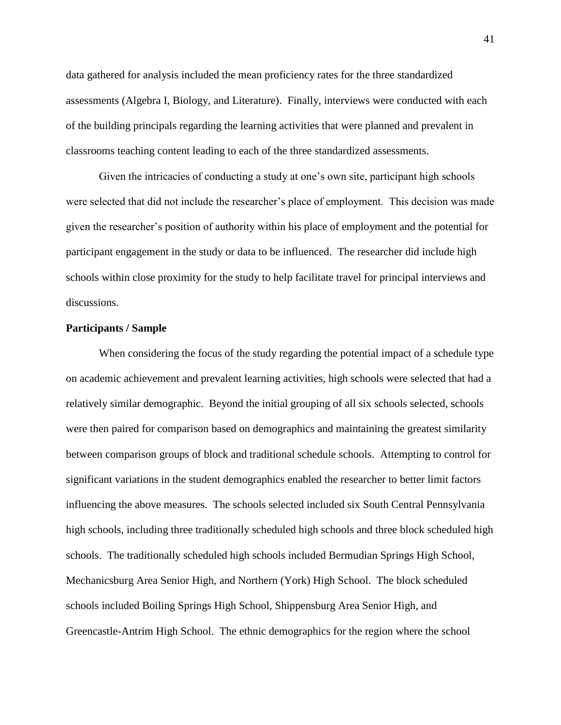data gathered for analysis included the mean proficiency rates for the three standardized assessments (Algebra I, Biology, and Literature). Finally, interviews were conducted with each of the building principals regarding the learning activities that were planned and prevalent in classrooms teaching content leading to each of the three standardized assessments.

Given the intricacies of conducting a study at one's own site, participant high schools were selected that did not include the researcher's place of employment. This decision was made given the researcher's position of authority within his place of employment and the potential for participant engagement in the study or data to be influenced. The researcher did include high schools within close proximity for the study to help facilitate travel for principal interviews and discussions.

## **Participants / Sample**

When considering the focus of the study regarding the potential impact of a schedule type on academic achievement and prevalent learning activities, high schools were selected that had a relatively similar demographic. Beyond the initial grouping of all six schools selected, schools were then paired for comparison based on demographics and maintaining the greatest similarity between comparison groups of block and traditional schedule schools. Attempting to control for significant variations in the student demographics enabled the researcher to better limit factors influencing the above measures. The schools selected included six South Central Pennsylvania high schools, including three traditionally scheduled high schools and three block scheduled high schools. The traditionally scheduled high schools included Bermudian Springs High School, Mechanicsburg Area Senior High, and Northern (York) High School. The block scheduled schools included Boiling Springs High School, Shippensburg Area Senior High, and Greencastle-Antrim High School. The ethnic demographics for the region where the school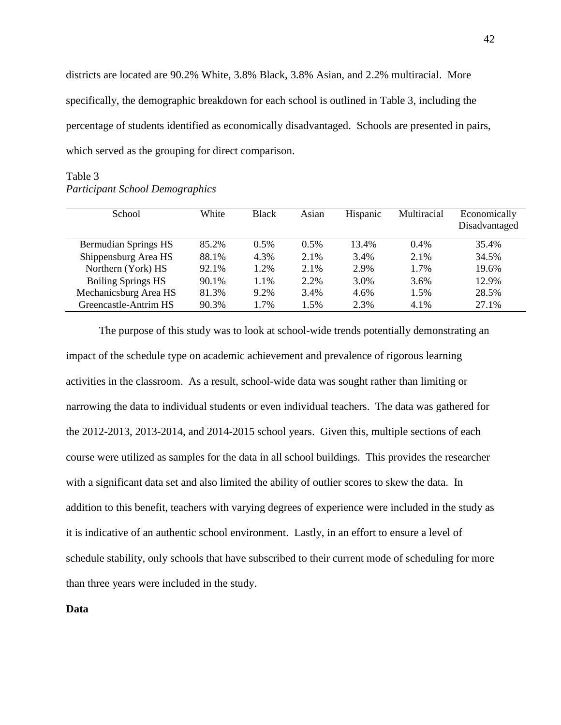districts are located are 90.2% White, 3.8% Black, 3.8% Asian, and 2.2% multiracial. More specifically, the demographic breakdown for each school is outlined in Table 3, including the percentage of students identified as economically disadvantaged. Schools are presented in pairs, which served as the grouping for direct comparison.

| School                      | White | <b>Black</b> | Asian   | Hispanic | Multiracial | Economically<br>Disadvantaged |
|-----------------------------|-------|--------------|---------|----------|-------------|-------------------------------|
| <b>Bermudian Springs HS</b> | 85.2% | $0.5\%$      | $0.5\%$ | 13.4%    | $0.4\%$     | 35.4%                         |
| Shippensburg Area HS        | 88.1% | 4.3%         | 2.1%    | 3.4%     | 2.1%        | 34.5%                         |
| Northern (York) HS          | 92.1% | 1.2%         | 2.1%    | 2.9%     | 1.7%        | 19.6%                         |
| <b>Boiling Springs HS</b>   | 90.1% | 1.1%         | 2.2%    | 3.0%     | 3.6%        | 12.9%                         |
| Mechanicsburg Area HS       | 81.3% | 9.2%         | 3.4%    | 4.6%     | 1.5%        | 28.5%                         |
| Greencastle-Antrim HS       | 90.3% | 1.7%         | 1.5%    | 2.3%     | 4.1%        | 27.1%                         |

# Table 3 *Participant School Demographics*

The purpose of this study was to look at school-wide trends potentially demonstrating an impact of the schedule type on academic achievement and prevalence of rigorous learning activities in the classroom. As a result, school-wide data was sought rather than limiting or narrowing the data to individual students or even individual teachers. The data was gathered for the 2012-2013, 2013-2014, and 2014-2015 school years. Given this, multiple sections of each course were utilized as samples for the data in all school buildings. This provides the researcher with a significant data set and also limited the ability of outlier scores to skew the data. In addition to this benefit, teachers with varying degrees of experience were included in the study as it is indicative of an authentic school environment. Lastly, in an effort to ensure a level of schedule stability, only schools that have subscribed to their current mode of scheduling for more than three years were included in the study.

**Data**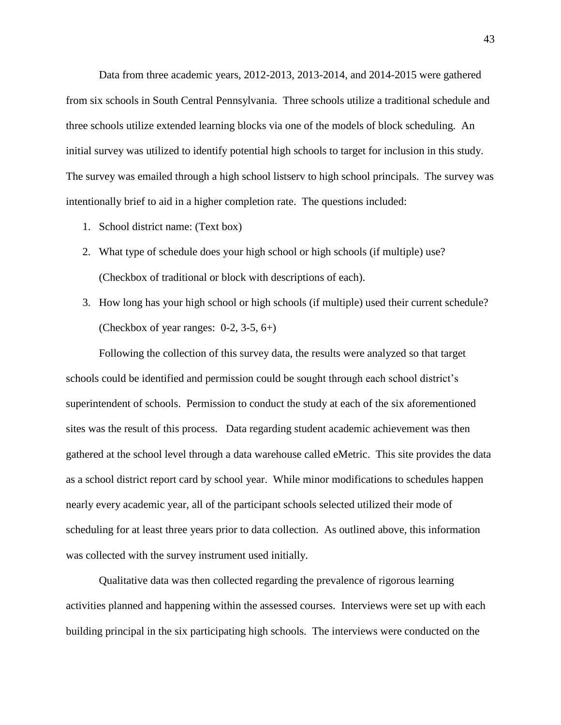Data from three academic years, 2012-2013, 2013-2014, and 2014-2015 were gathered from six schools in South Central Pennsylvania. Three schools utilize a traditional schedule and three schools utilize extended learning blocks via one of the models of block scheduling. An initial survey was utilized to identify potential high schools to target for inclusion in this study. The survey was emailed through a high school listserv to high school principals. The survey was intentionally brief to aid in a higher completion rate. The questions included:

- 1. School district name: (Text box)
- 2. What type of schedule does your high school or high schools (if multiple) use? (Checkbox of traditional or block with descriptions of each).
- 3. How long has your high school or high schools (if multiple) used their current schedule? (Checkbox of year ranges:  $0-2$ ,  $3-5$ ,  $6+$ )

Following the collection of this survey data, the results were analyzed so that target schools could be identified and permission could be sought through each school district's superintendent of schools. Permission to conduct the study at each of the six aforementioned sites was the result of this process. Data regarding student academic achievement was then gathered at the school level through a data warehouse called eMetric. This site provides the data as a school district report card by school year. While minor modifications to schedules happen nearly every academic year, all of the participant schools selected utilized their mode of scheduling for at least three years prior to data collection. As outlined above, this information was collected with the survey instrument used initially.

Qualitative data was then collected regarding the prevalence of rigorous learning activities planned and happening within the assessed courses. Interviews were set up with each building principal in the six participating high schools. The interviews were conducted on the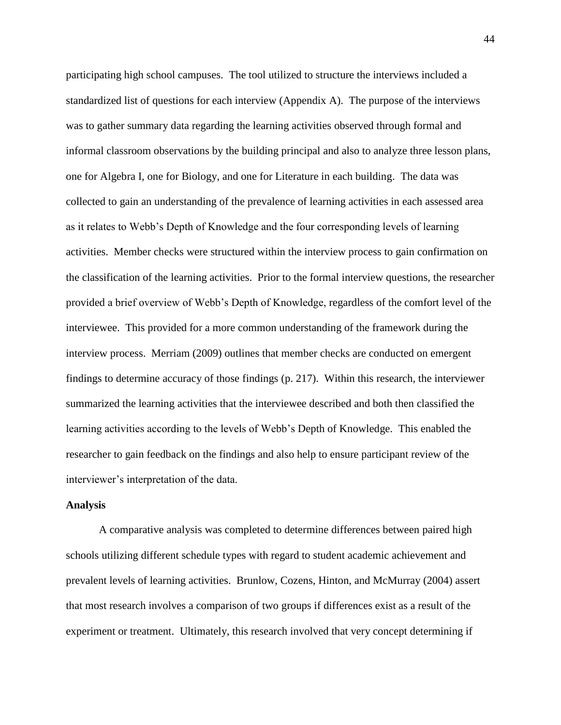participating high school campuses. The tool utilized to structure the interviews included a standardized list of questions for each interview (Appendix A). The purpose of the interviews was to gather summary data regarding the learning activities observed through formal and informal classroom observations by the building principal and also to analyze three lesson plans, one for Algebra I, one for Biology, and one for Literature in each building. The data was collected to gain an understanding of the prevalence of learning activities in each assessed area as it relates to Webb's Depth of Knowledge and the four corresponding levels of learning activities. Member checks were structured within the interview process to gain confirmation on the classification of the learning activities. Prior to the formal interview questions, the researcher provided a brief overview of Webb's Depth of Knowledge, regardless of the comfort level of the interviewee. This provided for a more common understanding of the framework during the interview process. Merriam (2009) outlines that member checks are conducted on emergent findings to determine accuracy of those findings (p. 217). Within this research, the interviewer summarized the learning activities that the interviewee described and both then classified the learning activities according to the levels of Webb's Depth of Knowledge. This enabled the researcher to gain feedback on the findings and also help to ensure participant review of the interviewer's interpretation of the data.

## **Analysis**

A comparative analysis was completed to determine differences between paired high schools utilizing different schedule types with regard to student academic achievement and prevalent levels of learning activities. Brunlow, Cozens, Hinton, and McMurray (2004) assert that most research involves a comparison of two groups if differences exist as a result of the experiment or treatment. Ultimately, this research involved that very concept determining if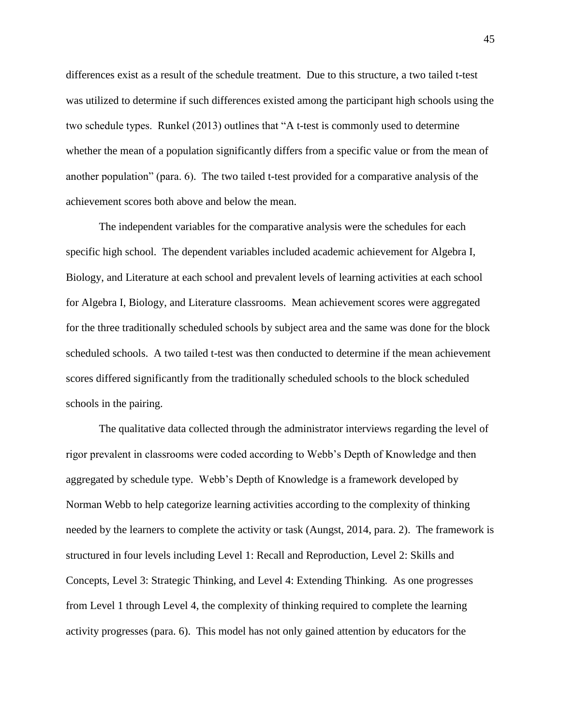differences exist as a result of the schedule treatment. Due to this structure, a two tailed t-test was utilized to determine if such differences existed among the participant high schools using the two schedule types. Runkel (2013) outlines that "A t-test is commonly used to determine whether the mean of a population significantly differs from a specific value or from the mean of another population" (para. 6). The two tailed t-test provided for a comparative analysis of the achievement scores both above and below the mean.

The independent variables for the comparative analysis were the schedules for each specific high school. The dependent variables included academic achievement for Algebra I, Biology, and Literature at each school and prevalent levels of learning activities at each school for Algebra I, Biology, and Literature classrooms. Mean achievement scores were aggregated for the three traditionally scheduled schools by subject area and the same was done for the block scheduled schools. A two tailed t-test was then conducted to determine if the mean achievement scores differed significantly from the traditionally scheduled schools to the block scheduled schools in the pairing.

The qualitative data collected through the administrator interviews regarding the level of rigor prevalent in classrooms were coded according to Webb's Depth of Knowledge and then aggregated by schedule type. Webb's Depth of Knowledge is a framework developed by Norman Webb to help categorize learning activities according to the complexity of thinking needed by the learners to complete the activity or task (Aungst, 2014, para. 2). The framework is structured in four levels including Level 1: Recall and Reproduction, Level 2: Skills and Concepts, Level 3: Strategic Thinking, and Level 4: Extending Thinking. As one progresses from Level 1 through Level 4, the complexity of thinking required to complete the learning activity progresses (para. 6). This model has not only gained attention by educators for the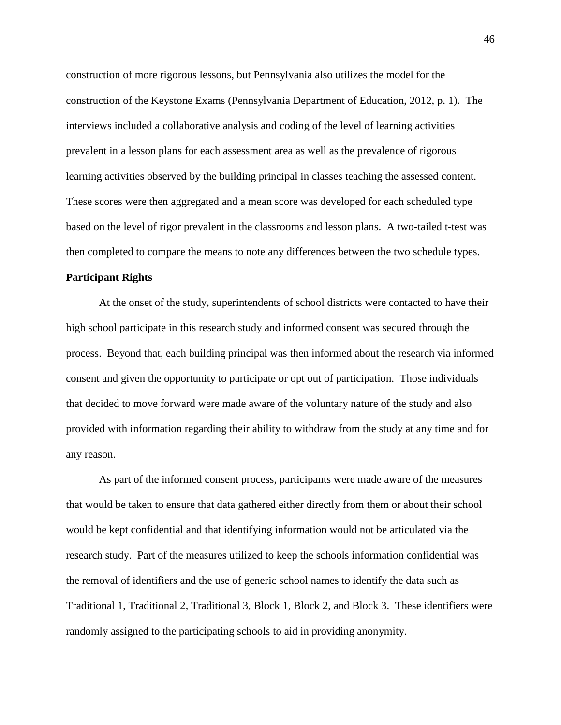construction of more rigorous lessons, but Pennsylvania also utilizes the model for the construction of the Keystone Exams (Pennsylvania Department of Education, 2012, p. 1). The interviews included a collaborative analysis and coding of the level of learning activities prevalent in a lesson plans for each assessment area as well as the prevalence of rigorous learning activities observed by the building principal in classes teaching the assessed content. These scores were then aggregated and a mean score was developed for each scheduled type based on the level of rigor prevalent in the classrooms and lesson plans. A two-tailed t-test was then completed to compare the means to note any differences between the two schedule types.

## **Participant Rights**

At the onset of the study, superintendents of school districts were contacted to have their high school participate in this research study and informed consent was secured through the process. Beyond that, each building principal was then informed about the research via informed consent and given the opportunity to participate or opt out of participation. Those individuals that decided to move forward were made aware of the voluntary nature of the study and also provided with information regarding their ability to withdraw from the study at any time and for any reason.

As part of the informed consent process, participants were made aware of the measures that would be taken to ensure that data gathered either directly from them or about their school would be kept confidential and that identifying information would not be articulated via the research study. Part of the measures utilized to keep the schools information confidential was the removal of identifiers and the use of generic school names to identify the data such as Traditional 1, Traditional 2, Traditional 3, Block 1, Block 2, and Block 3. These identifiers were randomly assigned to the participating schools to aid in providing anonymity.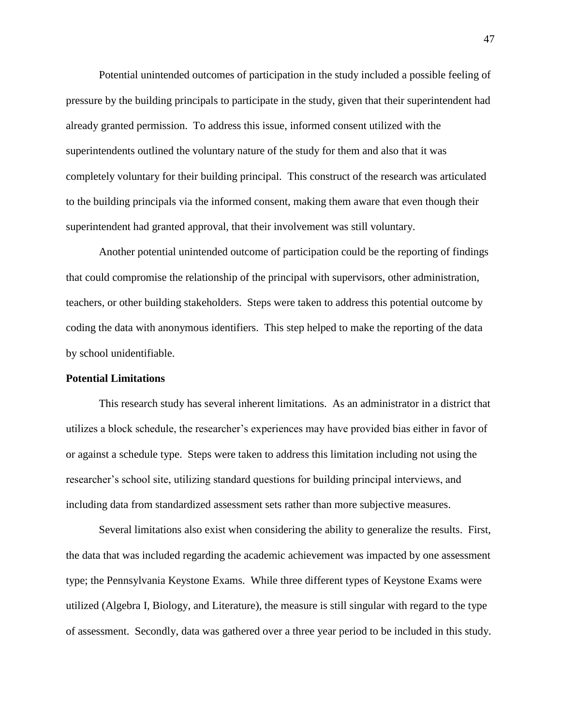Potential unintended outcomes of participation in the study included a possible feeling of pressure by the building principals to participate in the study, given that their superintendent had already granted permission. To address this issue, informed consent utilized with the superintendents outlined the voluntary nature of the study for them and also that it was completely voluntary for their building principal. This construct of the research was articulated to the building principals via the informed consent, making them aware that even though their superintendent had granted approval, that their involvement was still voluntary.

Another potential unintended outcome of participation could be the reporting of findings that could compromise the relationship of the principal with supervisors, other administration, teachers, or other building stakeholders. Steps were taken to address this potential outcome by coding the data with anonymous identifiers. This step helped to make the reporting of the data by school unidentifiable.

# **Potential Limitations**

This research study has several inherent limitations. As an administrator in a district that utilizes a block schedule, the researcher's experiences may have provided bias either in favor of or against a schedule type. Steps were taken to address this limitation including not using the researcher's school site, utilizing standard questions for building principal interviews, and including data from standardized assessment sets rather than more subjective measures.

Several limitations also exist when considering the ability to generalize the results. First, the data that was included regarding the academic achievement was impacted by one assessment type; the Pennsylvania Keystone Exams. While three different types of Keystone Exams were utilized (Algebra I, Biology, and Literature), the measure is still singular with regard to the type of assessment. Secondly, data was gathered over a three year period to be included in this study.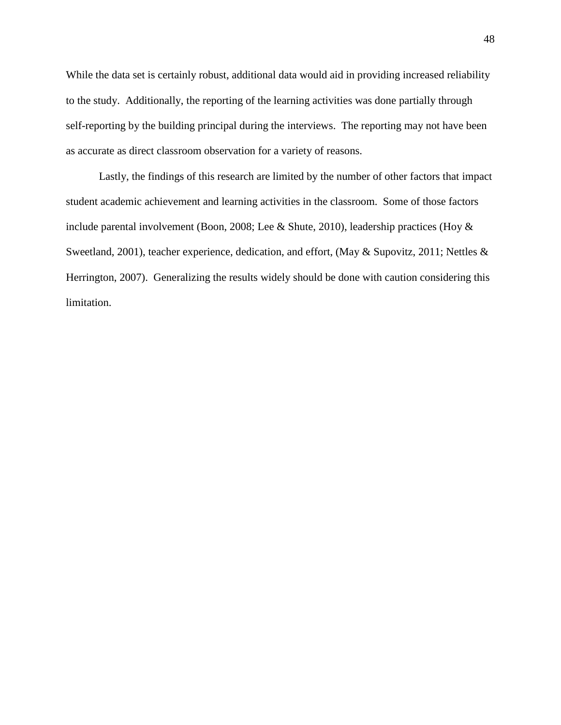While the data set is certainly robust, additional data would aid in providing increased reliability to the study. Additionally, the reporting of the learning activities was done partially through self-reporting by the building principal during the interviews. The reporting may not have been as accurate as direct classroom observation for a variety of reasons.

Lastly, the findings of this research are limited by the number of other factors that impact student academic achievement and learning activities in the classroom. Some of those factors include parental involvement (Boon, 2008; Lee & Shute, 2010), leadership practices (Hoy & Sweetland, 2001), teacher experience, dedication, and effort, (May & Supovitz, 2011; Nettles & Herrington, 2007). Generalizing the results widely should be done with caution considering this limitation.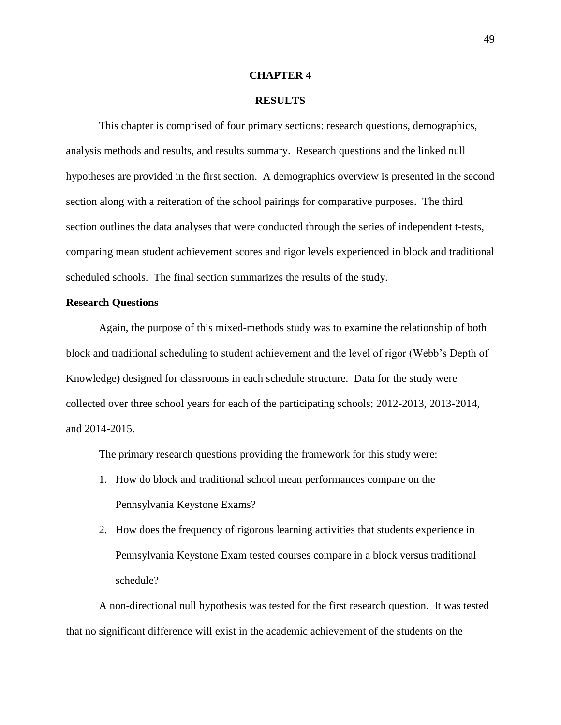## **CHAPTER 4**

## **RESULTS**

This chapter is comprised of four primary sections: research questions, demographics, analysis methods and results, and results summary. Research questions and the linked null hypotheses are provided in the first section. A demographics overview is presented in the second section along with a reiteration of the school pairings for comparative purposes. The third section outlines the data analyses that were conducted through the series of independent t-tests, comparing mean student achievement scores and rigor levels experienced in block and traditional scheduled schools. The final section summarizes the results of the study.

## **Research Questions**

Again, the purpose of this mixed-methods study was to examine the relationship of both block and traditional scheduling to student achievement and the level of rigor (Webb's Depth of Knowledge) designed for classrooms in each schedule structure. Data for the study were collected over three school years for each of the participating schools; 2012-2013, 2013-2014, and 2014-2015.

The primary research questions providing the framework for this study were:

- 1. How do block and traditional school mean performances compare on the Pennsylvania Keystone Exams?
- 2. How does the frequency of rigorous learning activities that students experience in Pennsylvania Keystone Exam tested courses compare in a block versus traditional schedule?

A non-directional null hypothesis was tested for the first research question. It was tested that no significant difference will exist in the academic achievement of the students on the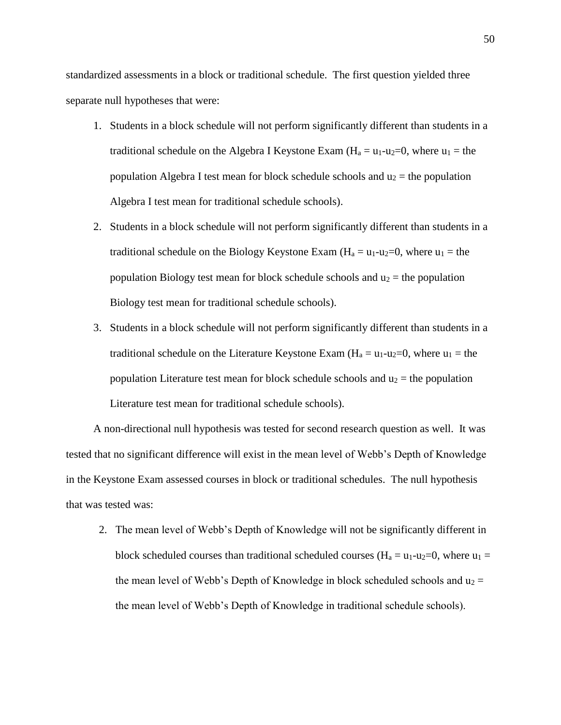standardized assessments in a block or traditional schedule. The first question yielded three separate null hypotheses that were:

- 1. Students in a block schedule will not perform significantly different than students in a traditional schedule on the Algebra I Keystone Exam  $(H_a = u_1-u_2=0)$ , where  $u_1 =$  the population Algebra I test mean for block schedule schools and  $u_2$  = the population Algebra I test mean for traditional schedule schools).
- 2. Students in a block schedule will not perform significantly different than students in a traditional schedule on the Biology Keystone Exam ( $H_a = u_1 - u_2 = 0$ , where  $u_1 =$  the population Biology test mean for block schedule schools and  $u_2$  = the population Biology test mean for traditional schedule schools).
- 3. Students in a block schedule will not perform significantly different than students in a traditional schedule on the Literature Keystone Exam  $(H_a = u_1 - u_2 = 0$ , where  $u_1 =$  the population Literature test mean for block schedule schools and  $u_2$  = the population Literature test mean for traditional schedule schools).

A non-directional null hypothesis was tested for second research question as well. It was tested that no significant difference will exist in the mean level of Webb's Depth of Knowledge in the Keystone Exam assessed courses in block or traditional schedules. The null hypothesis that was tested was:

2. The mean level of Webb's Depth of Knowledge will not be significantly different in block scheduled courses than traditional scheduled courses ( $H_a = u_1 - u_2 = 0$ , where  $u_1 =$ the mean level of Webb's Depth of Knowledge in block scheduled schools and  $u_2 =$ the mean level of Webb's Depth of Knowledge in traditional schedule schools).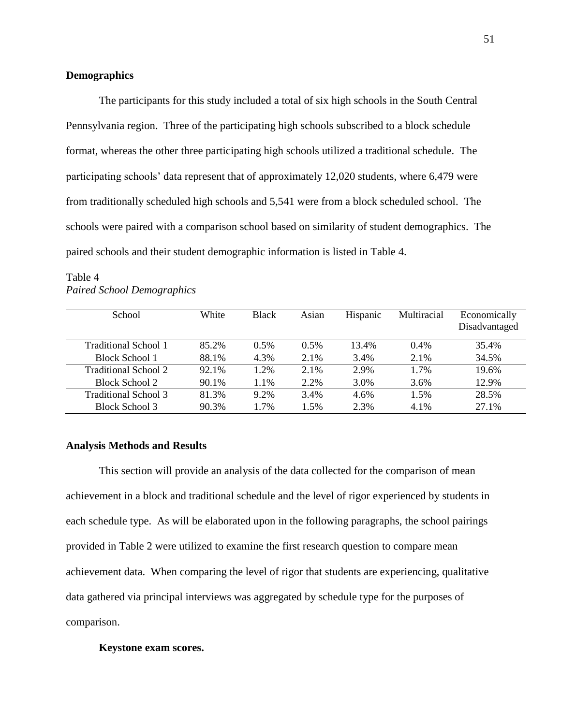# **Demographics**

The participants for this study included a total of six high schools in the South Central Pennsylvania region. Three of the participating high schools subscribed to a block schedule format, whereas the other three participating high schools utilized a traditional schedule. The participating schools' data represent that of approximately 12,020 students, where 6,479 were from traditionally scheduled high schools and 5,541 were from a block scheduled school. The schools were paired with a comparison school based on similarity of student demographics. The paired schools and their student demographic information is listed in Table 4.

| School                | White | <b>Black</b> | Asian | Hispanic | Multiracial | Economically<br>Disadvantaged |
|-----------------------|-------|--------------|-------|----------|-------------|-------------------------------|
| Traditional School 1  | 85.2% | 0.5%         | 0.5%  | 13.4%    | $0.4\%$     | 35.4%                         |
| <b>Block School 1</b> | 88.1% | 4.3%         | 2.1%  | 3.4%     | 2.1%        | 34.5%                         |
| Traditional School 2  | 92.1% | 1.2%         | 2.1%  | 2.9%     | 1.7%        | 19.6%                         |
| Block School 2        | 90.1% | 1.1%         | 2.2%  | 3.0%     | 3.6%        | 12.9%                         |
| Traditional School 3  | 81.3% | 9.2%         | 3.4%  | 4.6%     | 1.5%        | 28.5%                         |
| Block School 3        | 90.3% | 1.7%         | 1.5%  | 2.3%     | 4.1%        | 27.1%                         |

# Table 4 *Paired School Demographics*

## **Analysis Methods and Results**

This section will provide an analysis of the data collected for the comparison of mean achievement in a block and traditional schedule and the level of rigor experienced by students in each schedule type. As will be elaborated upon in the following paragraphs, the school pairings provided in Table 2 were utilized to examine the first research question to compare mean achievement data. When comparing the level of rigor that students are experiencing, qualitative data gathered via principal interviews was aggregated by schedule type for the purposes of comparison.

### **Keystone exam scores.**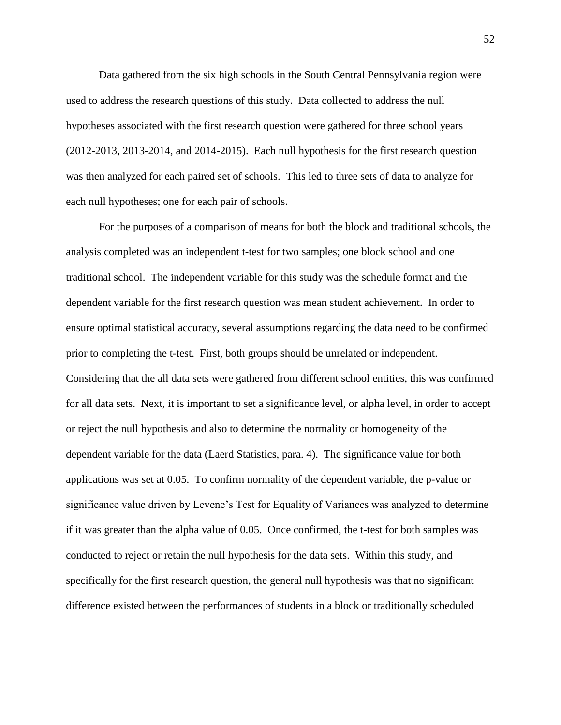Data gathered from the six high schools in the South Central Pennsylvania region were used to address the research questions of this study. Data collected to address the null hypotheses associated with the first research question were gathered for three school years (2012-2013, 2013-2014, and 2014-2015). Each null hypothesis for the first research question was then analyzed for each paired set of schools. This led to three sets of data to analyze for each null hypotheses; one for each pair of schools.

For the purposes of a comparison of means for both the block and traditional schools, the analysis completed was an independent t-test for two samples; one block school and one traditional school. The independent variable for this study was the schedule format and the dependent variable for the first research question was mean student achievement. In order to ensure optimal statistical accuracy, several assumptions regarding the data need to be confirmed prior to completing the t-test. First, both groups should be unrelated or independent. Considering that the all data sets were gathered from different school entities, this was confirmed for all data sets. Next, it is important to set a significance level, or alpha level, in order to accept or reject the null hypothesis and also to determine the normality or homogeneity of the dependent variable for the data (Laerd Statistics, para. 4). The significance value for both applications was set at 0.05. To confirm normality of the dependent variable, the p-value or significance value driven by Levene's Test for Equality of Variances was analyzed to determine if it was greater than the alpha value of 0.05. Once confirmed, the t-test for both samples was conducted to reject or retain the null hypothesis for the data sets. Within this study, and specifically for the first research question, the general null hypothesis was that no significant difference existed between the performances of students in a block or traditionally scheduled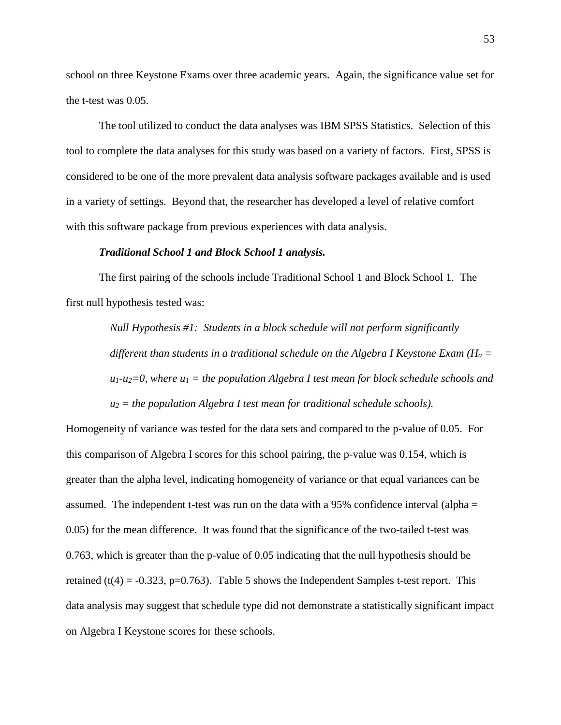school on three Keystone Exams over three academic years. Again, the significance value set for the t-test was 0.05.

The tool utilized to conduct the data analyses was IBM SPSS Statistics. Selection of this tool to complete the data analyses for this study was based on a variety of factors. First, SPSS is considered to be one of the more prevalent data analysis software packages available and is used in a variety of settings. Beyond that, the researcher has developed a level of relative comfort with this software package from previous experiences with data analysis.

## *Traditional School 1 and Block School 1 analysis.*

The first pairing of the schools include Traditional School 1 and Block School 1. The first null hypothesis tested was:

> *Null Hypothesis #1: Students in a block schedule will not perform significantly different than students in a traditional schedule on the Algebra I Keystone Exam (* $H_a$  *=*  $\frac{dI_a}{dt}$ *)*  $u_1$ - $u_2$ =0, where  $u_1$  = the population Algebra I test mean for block schedule schools and  $u_2$  = the population Algebra I test mean for traditional schedule schools).

Homogeneity of variance was tested for the data sets and compared to the p-value of 0.05. For this comparison of Algebra I scores for this school pairing, the p-value was 0.154, which is greater than the alpha level, indicating homogeneity of variance or that equal variances can be assumed. The independent t-test was run on the data with a 95% confidence interval (alpha = 0.05) for the mean difference. It was found that the significance of the two-tailed t-test was 0.763, which is greater than the p-value of 0.05 indicating that the null hypothesis should be retained (t(4) = -0.323, p=0.763). Table 5 shows the Independent Samples t-test report. This data analysis may suggest that schedule type did not demonstrate a statistically significant impact on Algebra I Keystone scores for these schools.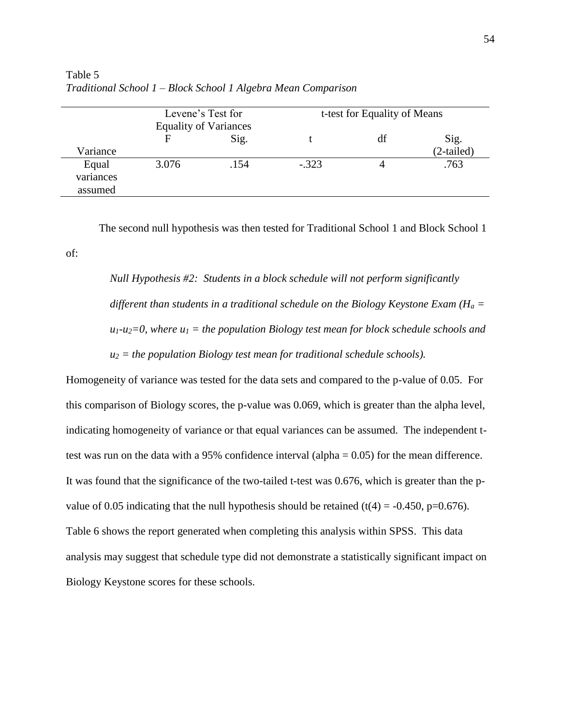|                               | Levene's Test for<br><b>Equality of Variances</b> |      |         | t-test for Equality of Means |                      |
|-------------------------------|---------------------------------------------------|------|---------|------------------------------|----------------------|
| Variance                      | F                                                 | Sig. |         | df                           | Sig.<br>$(2-tailed)$ |
| Equal<br>variances<br>assumed | 3.076                                             | .154 | $-.323$ |                              | .763                 |

Table 5 *Traditional School 1 – Block School 1 Algebra Mean Comparison*

of:

The second null hypothesis was then tested for Traditional School 1 and Block School 1

*Null Hypothesis #2: Students in a block schedule will not perform significantly different than students in a traditional schedule on the Biology Keystone Exam (H<sub>a</sub> =*  $u_1$ - $u_2$ =0, where  $u_1$  = the population Biology test mean for block schedule schools and  $u_2$  = the population Biology test mean for traditional schedule schools).

Homogeneity of variance was tested for the data sets and compared to the p-value of 0.05. For this comparison of Biology scores, the p-value was 0.069, which is greater than the alpha level, indicating homogeneity of variance or that equal variances can be assumed. The independent ttest was run on the data with a 95% confidence interval (alpha = 0.05) for the mean difference. It was found that the significance of the two-tailed t-test was 0.676, which is greater than the pvalue of 0.05 indicating that the null hypothesis should be retained (t(4) = -0.450, p=0.676). Table 6 shows the report generated when completing this analysis within SPSS. This data analysis may suggest that schedule type did not demonstrate a statistically significant impact on Biology Keystone scores for these schools.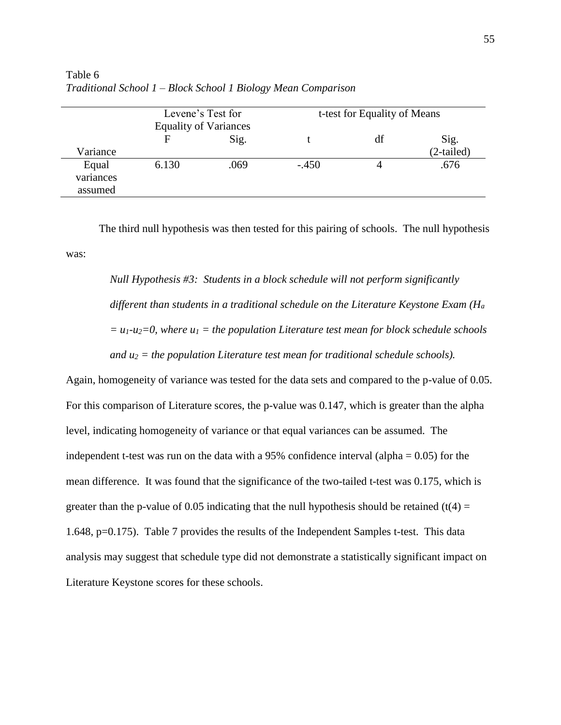|                               | Levene's Test for<br><b>Equality of Variances</b> |      |         | t-test for Equality of Means |                      |  |
|-------------------------------|---------------------------------------------------|------|---------|------------------------------|----------------------|--|
| Variance                      | F                                                 | Sig. |         | df                           | Sig.<br>$(2-tailed)$ |  |
| Equal<br>variances<br>assumed | 6.130                                             | .069 | $-.450$ |                              | .676                 |  |

Table 6 *Traditional School 1 – Block School 1 Biology Mean Comparison*

The third null hypothesis was then tested for this pairing of schools. The null hypothesis was:

*Null Hypothesis #3: Students in a block schedule will not perform significantly different than students in a traditional schedule on the Literature Keystone Exam (H<sup>a</sup>*  $= u_1 - u_2 = 0$ , where  $u_1 =$  the population Literature test mean for block schedule schools *and u<sup>2</sup> = the population Literature test mean for traditional schedule schools).*

Again, homogeneity of variance was tested for the data sets and compared to the p-value of 0.05. For this comparison of Literature scores, the p-value was 0.147, which is greater than the alpha level, indicating homogeneity of variance or that equal variances can be assumed. The independent t-test was run on the data with a 95% confidence interval (alpha  $= 0.05$ ) for the mean difference. It was found that the significance of the two-tailed t-test was 0.175, which is greater than the p-value of 0.05 indicating that the null hypothesis should be retained (t(4) = 1.648, p=0.175). Table 7 provides the results of the Independent Samples t-test. This data analysis may suggest that schedule type did not demonstrate a statistically significant impact on Literature Keystone scores for these schools.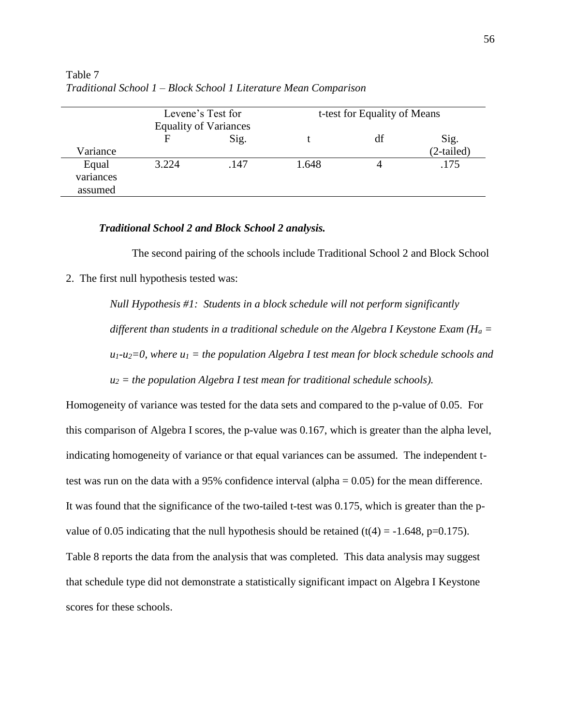|                               | Levene's Test for<br><b>Equality of Variances</b> |      |       | t-test for Equality of Means |                      |  |
|-------------------------------|---------------------------------------------------|------|-------|------------------------------|----------------------|--|
| Variance                      | F                                                 | Sig. |       | df                           | Sig.<br>$(2-tailed)$ |  |
| Equal<br>variances<br>assumed | 3.224                                             | .147 | 1.648 |                              | .175                 |  |

Table 7 *Traditional School 1 – Block School 1 Literature Mean Comparison*

### *Traditional School 2 and Block School 2 analysis.*

The second pairing of the schools include Traditional School 2 and Block School

2. The first null hypothesis tested was:

*Null Hypothesis #1: Students in a block schedule will not perform significantly different than students in a traditional schedule on the Algebra I Keystone Exam (H<sup>a</sup> =*   $u_1$ - $u_2$ =0, where  $u_1$  = the population Algebra I test mean for block schedule schools and *u<sup>2</sup> = the population Algebra I test mean for traditional schedule schools).*

Homogeneity of variance was tested for the data sets and compared to the p-value of 0.05. For this comparison of Algebra I scores, the p-value was 0.167, which is greater than the alpha level, indicating homogeneity of variance or that equal variances can be assumed. The independent ttest was run on the data with a 95% confidence interval (alpha = 0.05) for the mean difference. It was found that the significance of the two-tailed t-test was 0.175, which is greater than the pvalue of 0.05 indicating that the null hypothesis should be retained (t(4) =  $-1.648$ , p=0.175). Table 8 reports the data from the analysis that was completed. This data analysis may suggest that schedule type did not demonstrate a statistically significant impact on Algebra I Keystone scores for these schools.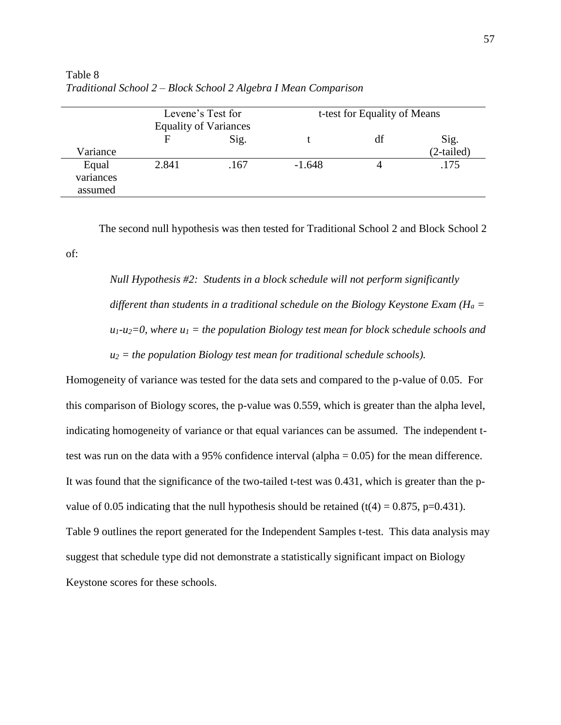|                               | Levene's Test for<br><b>Equality of Variances</b> |      |          | t-test for Equality of Means |                      |  |
|-------------------------------|---------------------------------------------------|------|----------|------------------------------|----------------------|--|
| Variance                      | F                                                 | Sig. |          | df                           | Sig.<br>$(2-tailed)$ |  |
| Equal<br>variances<br>assumed | 2.841                                             | .167 | $-1.648$ |                              | .175                 |  |

Table 8 *Traditional School 2 – Block School 2 Algebra I Mean Comparison*

of:

The second null hypothesis was then tested for Traditional School 2 and Block School 2

*Null Hypothesis #2: Students in a block schedule will not perform significantly different than students in a traditional schedule on the Biology Keystone Exam (H<sup>a</sup> =*   $u_1$ - $u_2$ =0, where  $u_1$  = the population Biology test mean for block schedule schools and *u<sup>2</sup> = the population Biology test mean for traditional schedule schools).*

Homogeneity of variance was tested for the data sets and compared to the p-value of 0.05. For this comparison of Biology scores, the p-value was 0.559, which is greater than the alpha level, indicating homogeneity of variance or that equal variances can be assumed. The independent ttest was run on the data with a 95% confidence interval (alpha = 0.05) for the mean difference. It was found that the significance of the two-tailed t-test was 0.431, which is greater than the pvalue of 0.05 indicating that the null hypothesis should be retained  $(t(4) = 0.875, p=0.431)$ . Table 9 outlines the report generated for the Independent Samples t-test. This data analysis may suggest that schedule type did not demonstrate a statistically significant impact on Biology Keystone scores for these schools.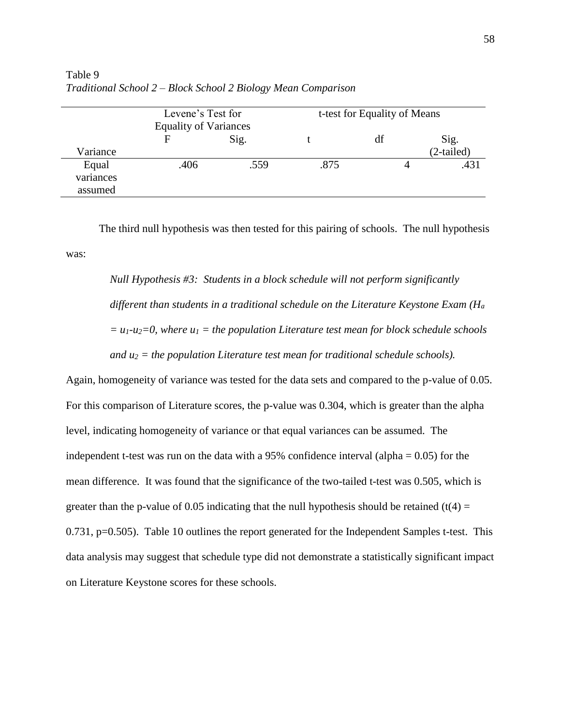|                               | Levene's Test for<br><b>Equality of Variances</b> |      | t-test for Equality of Means |    |                      |
|-------------------------------|---------------------------------------------------|------|------------------------------|----|----------------------|
| Variance                      | F                                                 | Sig. |                              | df | Sig.<br>$(2-tailed)$ |
| Equal<br>variances<br>assumed | .406                                              | .559 | .875                         |    | .431                 |

Table 9 *Traditional School 2 – Block School 2 Biology Mean Comparison*

The third null hypothesis was then tested for this pairing of schools. The null hypothesis was:

*Null Hypothesis #3: Students in a block schedule will not perform significantly different than students in a traditional schedule on the Literature Keystone Exam (H<sup>a</sup>*  $= u_1 - u_2 = 0$ , where  $u_1 =$  the population Literature test mean for block schedule schools *and u<sup>2</sup> = the population Literature test mean for traditional schedule schools).*

Again, homogeneity of variance was tested for the data sets and compared to the p-value of 0.05. For this comparison of Literature scores, the p-value was 0.304, which is greater than the alpha level, indicating homogeneity of variance or that equal variances can be assumed. The independent t-test was run on the data with a 95% confidence interval (alpha  $= 0.05$ ) for the mean difference. It was found that the significance of the two-tailed t-test was 0.505, which is greater than the p-value of 0.05 indicating that the null hypothesis should be retained (t(4) = 0.731, p=0.505). Table 10 outlines the report generated for the Independent Samples t-test. This data analysis may suggest that schedule type did not demonstrate a statistically significant impact on Literature Keystone scores for these schools.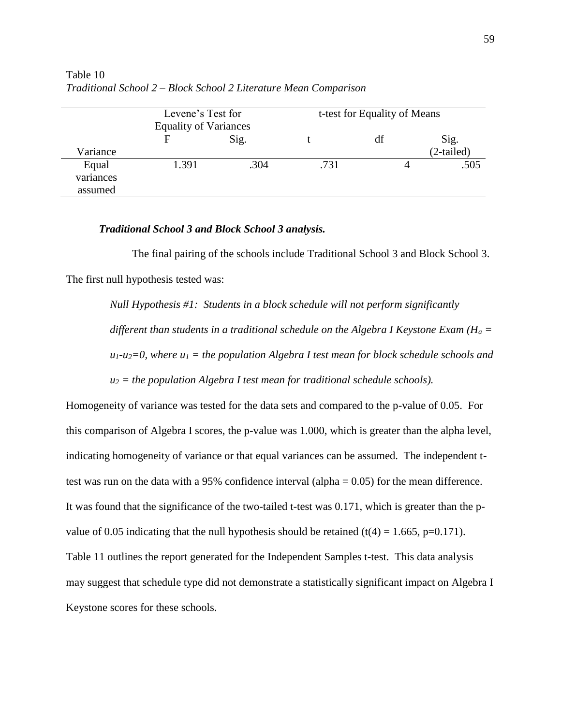|                    | Levene's Test for<br><b>Equality of Variances</b> |      | t-test for Equality of Means |    |              |
|--------------------|---------------------------------------------------|------|------------------------------|----|--------------|
|                    | F                                                 | Sig. |                              | df | Sig.         |
| Variance           |                                                   |      |                              |    | $(2-tailed)$ |
| Equal<br>variances | 1.391                                             | .304 | .731                         |    | .505         |
| assumed            |                                                   |      |                              |    |              |

Table 10 *Traditional School 2 – Block School 2 Literature Mean Comparison*

#### *Traditional School 3 and Block School 3 analysis.*

The final pairing of the schools include Traditional School 3 and Block School 3. The first null hypothesis tested was:

*Null Hypothesis #1: Students in a block schedule will not perform significantly different than students in a traditional schedule on the Algebra I Keystone Exam (H<sup>a</sup> =*   $u_1$ - $u_2$ =0, where  $u_1$  = the population Algebra I test mean for block schedule schools and  $u_2$  = the population Algebra I test mean for traditional schedule schools).

Homogeneity of variance was tested for the data sets and compared to the p-value of 0.05. For this comparison of Algebra I scores, the p-value was 1.000, which is greater than the alpha level, indicating homogeneity of variance or that equal variances can be assumed. The independent ttest was run on the data with a 95% confidence interval (alpha = 0.05) for the mean difference. It was found that the significance of the two-tailed t-test was 0.171, which is greater than the pvalue of 0.05 indicating that the null hypothesis should be retained  $(t(4) = 1.665, p=0.171)$ . Table 11 outlines the report generated for the Independent Samples t-test. This data analysis may suggest that schedule type did not demonstrate a statistically significant impact on Algebra I Keystone scores for these schools.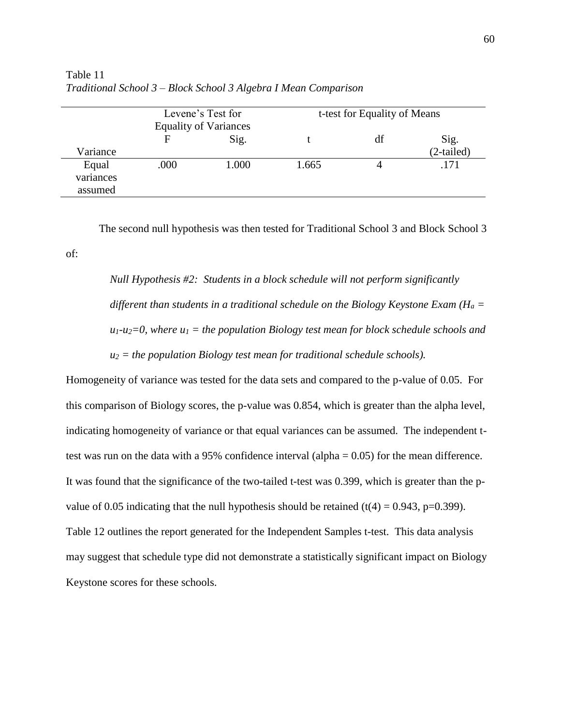|                               | Levene's Test for<br><b>Equality of Variances</b> |       |       | t-test for Equality of Means |                      |  |
|-------------------------------|---------------------------------------------------|-------|-------|------------------------------|----------------------|--|
| Variance                      | F                                                 | Sig.  |       | df                           | Sig.<br>$(2-tailed)$ |  |
| Equal<br>variances<br>assumed | .000                                              | 1.000 | 1.665 |                              | .171                 |  |

Table 11 *Traditional School 3 – Block School 3 Algebra I Mean Comparison*

of:

The second null hypothesis was then tested for Traditional School 3 and Block School 3

*Null Hypothesis #2: Students in a block schedule will not perform significantly different than students in a traditional schedule on the Biology Keystone Exam (H<sup>a</sup> =*   $u_1$ - $u_2$ =0, where  $u_1$  = the population Biology test mean for block schedule schools and  $u_2$  = the population Biology test mean for traditional schedule schools).

Homogeneity of variance was tested for the data sets and compared to the p-value of 0.05. For this comparison of Biology scores, the p-value was 0.854, which is greater than the alpha level, indicating homogeneity of variance or that equal variances can be assumed. The independent ttest was run on the data with a 95% confidence interval (alpha = 0.05) for the mean difference. It was found that the significance of the two-tailed t-test was 0.399, which is greater than the pvalue of 0.05 indicating that the null hypothesis should be retained  $(t(4) = 0.943, p=0.399)$ . Table 12 outlines the report generated for the Independent Samples t-test. This data analysis may suggest that schedule type did not demonstrate a statistically significant impact on Biology Keystone scores for these schools.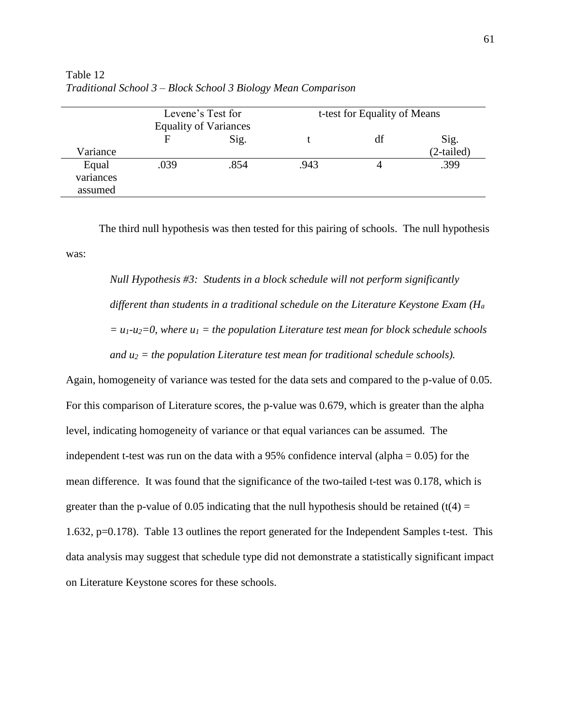|                               | Levene's Test for<br><b>Equality of Variances</b> |      | t-test for Equality of Means |    |                      |
|-------------------------------|---------------------------------------------------|------|------------------------------|----|----------------------|
| Variance                      |                                                   | Sig. |                              | df | Sig.<br>$(2-tailed)$ |
| Equal<br>variances<br>assumed | .039                                              | .854 | .943                         |    | .399                 |

Table 12 *Traditional School 3 – Block School 3 Biology Mean Comparison*

The third null hypothesis was then tested for this pairing of schools. The null hypothesis was:

*Null Hypothesis #3: Students in a block schedule will not perform significantly different than students in a traditional schedule on the Literature Keystone Exam (H<sup>a</sup>*  $= u_1 - u_2 = 0$ , where  $u_1 =$  the population Literature test mean for block schedule schools *and u<sup>2</sup> = the population Literature test mean for traditional schedule schools).*

Again, homogeneity of variance was tested for the data sets and compared to the p-value of 0.05. For this comparison of Literature scores, the p-value was 0.679, which is greater than the alpha level, indicating homogeneity of variance or that equal variances can be assumed. The independent t-test was run on the data with a 95% confidence interval (alpha  $= 0.05$ ) for the mean difference. It was found that the significance of the two-tailed t-test was 0.178, which is greater than the p-value of 0.05 indicating that the null hypothesis should be retained (t(4) = 1.632, p=0.178). Table 13 outlines the report generated for the Independent Samples t-test. This data analysis may suggest that schedule type did not demonstrate a statistically significant impact on Literature Keystone scores for these schools.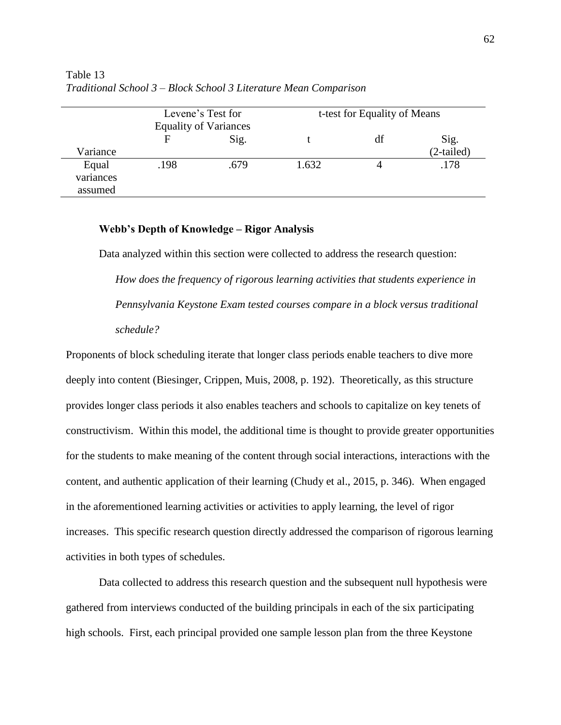|                               | Levene's Test for<br><b>Equality of Variances</b> |      | t-test for Equality of Means |    |                      |
|-------------------------------|---------------------------------------------------|------|------------------------------|----|----------------------|
| Variance                      | F                                                 | Sig. |                              | df | Sig.<br>$(2-tailed)$ |
| Equal<br>variances<br>assumed | .198                                              | .679 | 1.632                        |    | .178                 |

Table 13 *Traditional School 3 – Block School 3 Literature Mean Comparison*

#### **Webb's Depth of Knowledge – Rigor Analysis**

Data analyzed within this section were collected to address the research question: *How does the frequency of rigorous learning activities that students experience in Pennsylvania Keystone Exam tested courses compare in a block versus traditional schedule?*

Proponents of block scheduling iterate that longer class periods enable teachers to dive more deeply into content (Biesinger, Crippen, Muis, 2008, p. 192). Theoretically, as this structure provides longer class periods it also enables teachers and schools to capitalize on key tenets of constructivism. Within this model, the additional time is thought to provide greater opportunities for the students to make meaning of the content through social interactions, interactions with the content, and authentic application of their learning (Chudy et al., 2015, p. 346). When engaged in the aforementioned learning activities or activities to apply learning, the level of rigor increases. This specific research question directly addressed the comparison of rigorous learning activities in both types of schedules.

Data collected to address this research question and the subsequent null hypothesis were gathered from interviews conducted of the building principals in each of the six participating high schools. First, each principal provided one sample lesson plan from the three Keystone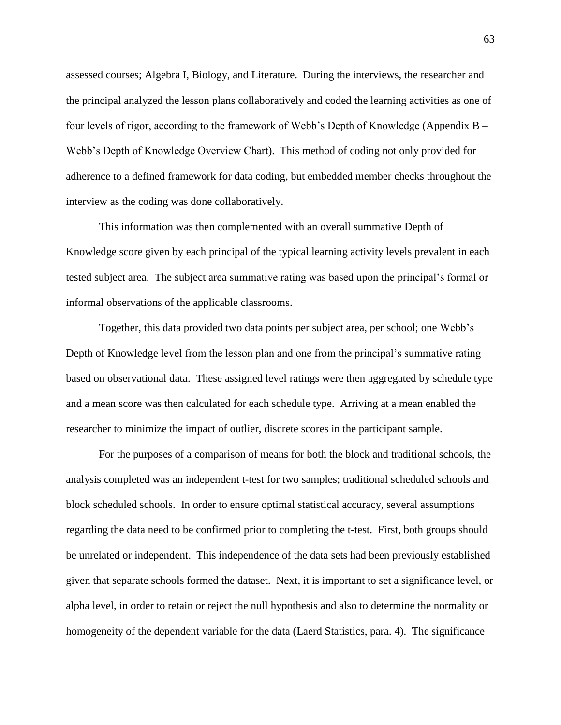assessed courses; Algebra I, Biology, and Literature. During the interviews, the researcher and the principal analyzed the lesson plans collaboratively and coded the learning activities as one of four levels of rigor, according to the framework of Webb's Depth of Knowledge (Appendix B – Webb's Depth of Knowledge Overview Chart).This method of coding not only provided for adherence to a defined framework for data coding, but embedded member checks throughout the interview as the coding was done collaboratively.

This information was then complemented with an overall summative Depth of Knowledge score given by each principal of the typical learning activity levels prevalent in each tested subject area. The subject area summative rating was based upon the principal's formal or informal observations of the applicable classrooms.

Together, this data provided two data points per subject area, per school; one Webb's Depth of Knowledge level from the lesson plan and one from the principal's summative rating based on observational data. These assigned level ratings were then aggregated by schedule type and a mean score was then calculated for each schedule type. Arriving at a mean enabled the researcher to minimize the impact of outlier, discrete scores in the participant sample.

For the purposes of a comparison of means for both the block and traditional schools, the analysis completed was an independent t-test for two samples; traditional scheduled schools and block scheduled schools. In order to ensure optimal statistical accuracy, several assumptions regarding the data need to be confirmed prior to completing the t-test. First, both groups should be unrelated or independent. This independence of the data sets had been previously established given that separate schools formed the dataset. Next, it is important to set a significance level, or alpha level, in order to retain or reject the null hypothesis and also to determine the normality or homogeneity of the dependent variable for the data (Laerd Statistics, para. 4). The significance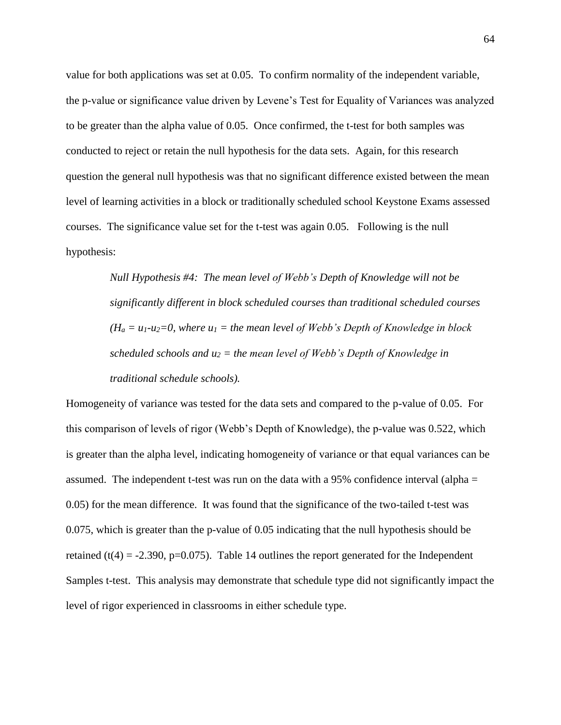value for both applications was set at 0.05. To confirm normality of the independent variable, the p-value or significance value driven by Levene's Test for Equality of Variances was analyzed to be greater than the alpha value of 0.05. Once confirmed, the t-test for both samples was conducted to reject or retain the null hypothesis for the data sets. Again, for this research question the general null hypothesis was that no significant difference existed between the mean level of learning activities in a block or traditionally scheduled school Keystone Exams assessed courses. The significance value set for the t-test was again 0.05. Following is the null hypothesis:

> *Null Hypothesis #4: The mean level of Webb's Depth of Knowledge will not be significantly different in block scheduled courses than traditional scheduled courses*   $(H_a = u_1 - u_2 = 0$ , where  $u_1 =$  the mean level of Webb's Depth of Knowledge in block *scheduled schools and u<sup>2</sup> = the mean level of Webb's Depth of Knowledge in traditional schedule schools).*

Homogeneity of variance was tested for the data sets and compared to the p-value of 0.05. For this comparison of levels of rigor (Webb's Depth of Knowledge), the p-value was 0.522, which is greater than the alpha level, indicating homogeneity of variance or that equal variances can be assumed. The independent t-test was run on the data with a 95% confidence interval (alpha = 0.05) for the mean difference. It was found that the significance of the two-tailed t-test was 0.075, which is greater than the p-value of 0.05 indicating that the null hypothesis should be retained (t(4) = -2.390, p=0.075). Table 14 outlines the report generated for the Independent Samples t-test. This analysis may demonstrate that schedule type did not significantly impact the level of rigor experienced in classrooms in either schedule type.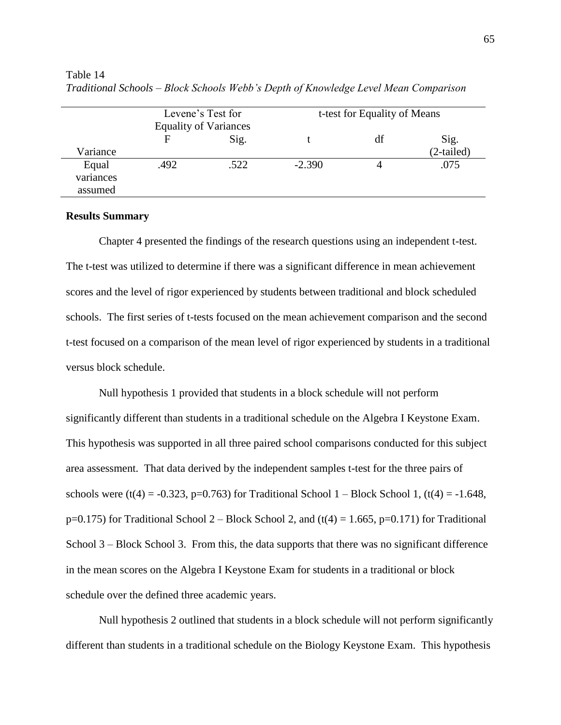|                               | Levene's Test for<br><b>Equality of Variances</b> |      | t-test for Equality of Means |    |                      |
|-------------------------------|---------------------------------------------------|------|------------------------------|----|----------------------|
| Variance                      | F                                                 | Sig. |                              | df | Sig.<br>$(2-tailed)$ |
| Equal<br>variances<br>assumed | .492                                              | .522 | $-2.390$                     |    | .075                 |

Table 14 *Traditional Schools – Block Schools Webb's Depth of Knowledge Level Mean Comparison*

#### **Results Summary**

Chapter 4 presented the findings of the research questions using an independent t-test. The t-test was utilized to determine if there was a significant difference in mean achievement scores and the level of rigor experienced by students between traditional and block scheduled schools. The first series of t-tests focused on the mean achievement comparison and the second t-test focused on a comparison of the mean level of rigor experienced by students in a traditional versus block schedule.

Null hypothesis 1 provided that students in a block schedule will not perform significantly different than students in a traditional schedule on the Algebra I Keystone Exam. This hypothesis was supported in all three paired school comparisons conducted for this subject area assessment. That data derived by the independent samples t-test for the three pairs of schools were (t(4) = -0.323, p=0.763) for Traditional School 1 – Block School 1, (t(4) = -1.648,  $p=0.175$ ) for Traditional School 2 – Block School 2, and (t(4) = 1.665, p=0.171) for Traditional School 3 – Block School 3. From this, the data supports that there was no significant difference in the mean scores on the Algebra I Keystone Exam for students in a traditional or block schedule over the defined three academic years.

Null hypothesis 2 outlined that students in a block schedule will not perform significantly different than students in a traditional schedule on the Biology Keystone Exam. This hypothesis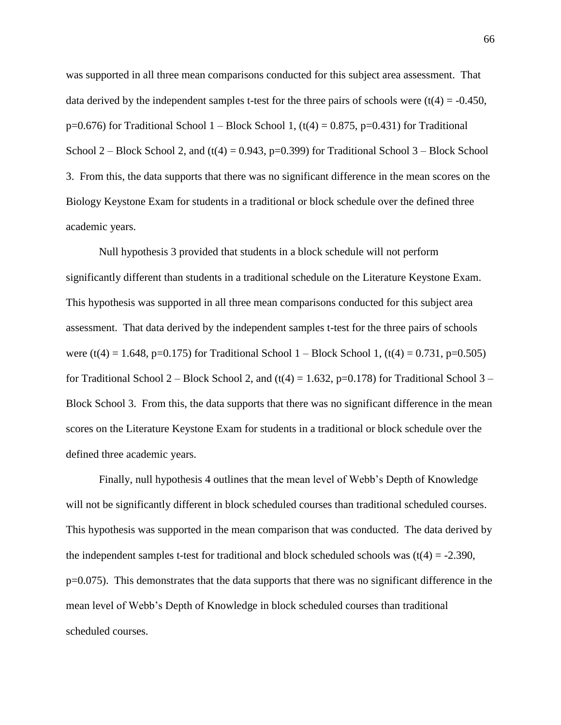was supported in all three mean comparisons conducted for this subject area assessment. That data derived by the independent samples t-test for the three pairs of schools were  $(t(4) = -0.450$ ,  $p=0.676$ ) for Traditional School 1 – Block School 1, (t(4) = 0.875, p=0.431) for Traditional School 2 – Block School 2, and  $(t(4) = 0.943, p=0.399)$  for Traditional School 3 – Block School 3. From this, the data supports that there was no significant difference in the mean scores on the Biology Keystone Exam for students in a traditional or block schedule over the defined three academic years.

Null hypothesis 3 provided that students in a block schedule will not perform significantly different than students in a traditional schedule on the Literature Keystone Exam. This hypothesis was supported in all three mean comparisons conducted for this subject area assessment. That data derived by the independent samples t-test for the three pairs of schools were (t(4) = 1.648, p=0.175) for Traditional School 1 – Block School 1, (t(4) = 0.731, p=0.505) for Traditional School 2 – Block School 2, and  $(t(4) = 1.632, p=0.178)$  for Traditional School 3 – Block School 3. From this, the data supports that there was no significant difference in the mean scores on the Literature Keystone Exam for students in a traditional or block schedule over the defined three academic years.

Finally, null hypothesis 4 outlines that the mean level of Webb's Depth of Knowledge will not be significantly different in block scheduled courses than traditional scheduled courses. This hypothesis was supported in the mean comparison that was conducted. The data derived by the independent samples t-test for traditional and block scheduled schools was  $(t(4) = -2.390,$ p=0.075). This demonstrates that the data supports that there was no significant difference in the mean level of Webb's Depth of Knowledge in block scheduled courses than traditional scheduled courses.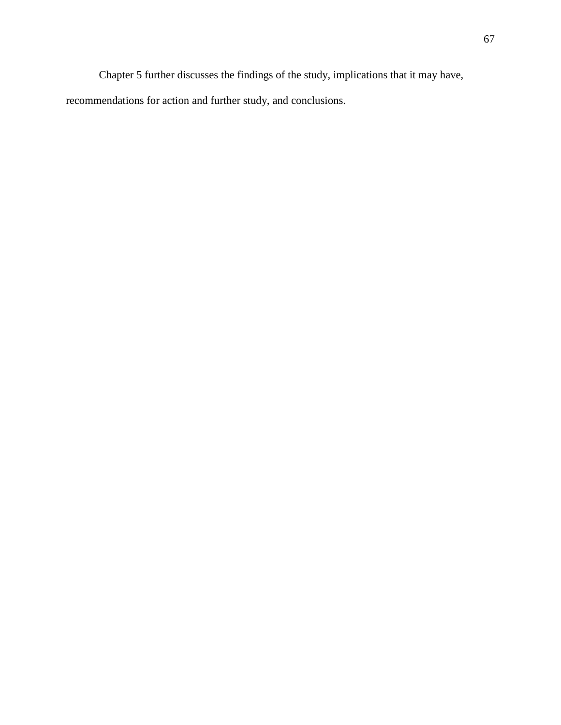Chapter 5 further discusses the findings of the study, implications that it may have,

recommendations for action and further study, and conclusions.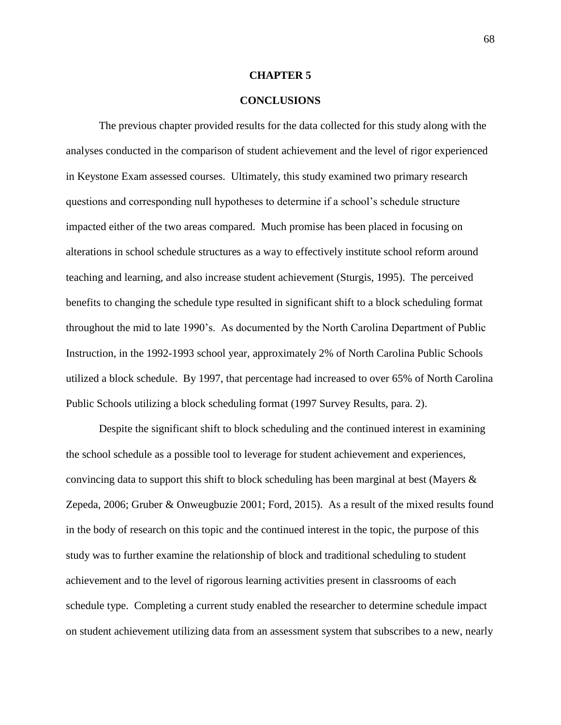## **CHAPTER 5**

## **CONCLUSIONS**

The previous chapter provided results for the data collected for this study along with the analyses conducted in the comparison of student achievement and the level of rigor experienced in Keystone Exam assessed courses. Ultimately, this study examined two primary research questions and corresponding null hypotheses to determine if a school's schedule structure impacted either of the two areas compared. Much promise has been placed in focusing on alterations in school schedule structures as a way to effectively institute school reform around teaching and learning, and also increase student achievement (Sturgis, 1995). The perceived benefits to changing the schedule type resulted in significant shift to a block scheduling format throughout the mid to late 1990's. As documented by the North Carolina Department of Public Instruction, in the 1992-1993 school year, approximately 2% of North Carolina Public Schools utilized a block schedule. By 1997, that percentage had increased to over 65% of North Carolina Public Schools utilizing a block scheduling format (1997 Survey Results, para. 2).

Despite the significant shift to block scheduling and the continued interest in examining the school schedule as a possible tool to leverage for student achievement and experiences, convincing data to support this shift to block scheduling has been marginal at best (Mayers  $\&$ Zepeda, 2006; Gruber & Onweugbuzie 2001; Ford, 2015). As a result of the mixed results found in the body of research on this topic and the continued interest in the topic, the purpose of this study was to further examine the relationship of block and traditional scheduling to student achievement and to the level of rigorous learning activities present in classrooms of each schedule type. Completing a current study enabled the researcher to determine schedule impact on student achievement utilizing data from an assessment system that subscribes to a new, nearly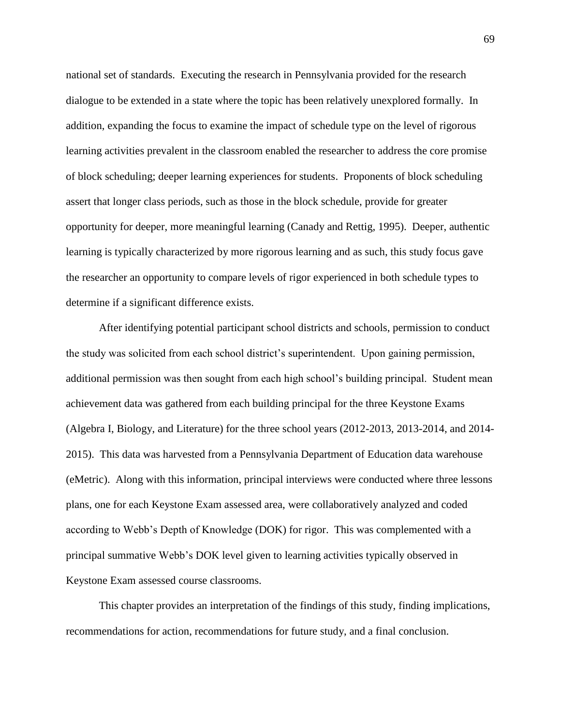national set of standards. Executing the research in Pennsylvania provided for the research dialogue to be extended in a state where the topic has been relatively unexplored formally. In addition, expanding the focus to examine the impact of schedule type on the level of rigorous learning activities prevalent in the classroom enabled the researcher to address the core promise of block scheduling; deeper learning experiences for students. Proponents of block scheduling assert that longer class periods, such as those in the block schedule, provide for greater opportunity for deeper, more meaningful learning (Canady and Rettig, 1995). Deeper, authentic learning is typically characterized by more rigorous learning and as such, this study focus gave the researcher an opportunity to compare levels of rigor experienced in both schedule types to determine if a significant difference exists.

After identifying potential participant school districts and schools, permission to conduct the study was solicited from each school district's superintendent. Upon gaining permission, additional permission was then sought from each high school's building principal. Student mean achievement data was gathered from each building principal for the three Keystone Exams (Algebra I, Biology, and Literature) for the three school years (2012-2013, 2013-2014, and 2014- 2015). This data was harvested from a Pennsylvania Department of Education data warehouse (eMetric). Along with this information, principal interviews were conducted where three lessons plans, one for each Keystone Exam assessed area, were collaboratively analyzed and coded according to Webb's Depth of Knowledge (DOK) for rigor. This was complemented with a principal summative Webb's DOK level given to learning activities typically observed in Keystone Exam assessed course classrooms.

This chapter provides an interpretation of the findings of this study, finding implications, recommendations for action, recommendations for future study, and a final conclusion.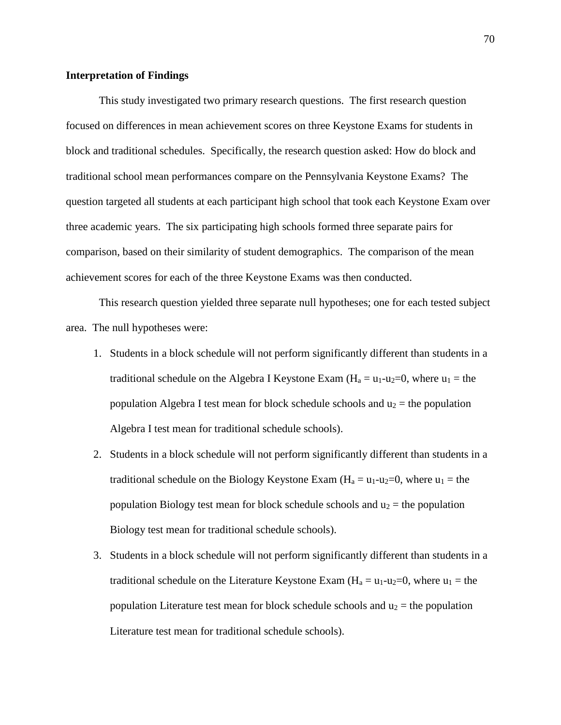## **Interpretation of Findings**

This study investigated two primary research questions. The first research question focused on differences in mean achievement scores on three Keystone Exams for students in block and traditional schedules. Specifically, the research question asked: How do block and traditional school mean performances compare on the Pennsylvania Keystone Exams? The question targeted all students at each participant high school that took each Keystone Exam over three academic years. The six participating high schools formed three separate pairs for comparison, based on their similarity of student demographics. The comparison of the mean achievement scores for each of the three Keystone Exams was then conducted.

This research question yielded three separate null hypotheses; one for each tested subject area. The null hypotheses were:

- 1. Students in a block schedule will not perform significantly different than students in a traditional schedule on the Algebra I Keystone Exam  $(H_a = u_1-u_2=0)$ , where  $u_1 =$  the population Algebra I test mean for block schedule schools and  $u_2$  = the population Algebra I test mean for traditional schedule schools).
- 2. Students in a block schedule will not perform significantly different than students in a traditional schedule on the Biology Keystone Exam  $(H_a = u_1 - u_2 = 0$ , where  $u_1 =$  the population Biology test mean for block schedule schools and  $u_2$  = the population Biology test mean for traditional schedule schools).
- 3. Students in a block schedule will not perform significantly different than students in a traditional schedule on the Literature Keystone Exam ( $H_a = u_1 - u_2 = 0$ , where  $u_1 =$  the population Literature test mean for block schedule schools and  $u_2$  = the population Literature test mean for traditional schedule schools).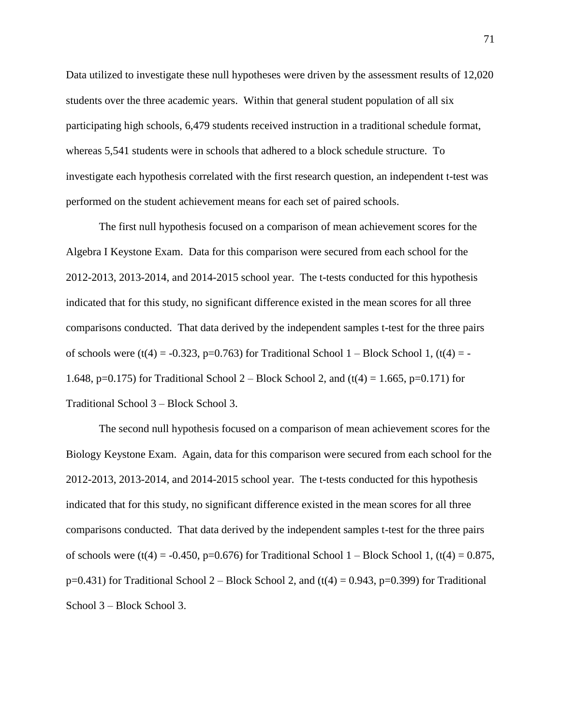Data utilized to investigate these null hypotheses were driven by the assessment results of 12,020 students over the three academic years. Within that general student population of all six participating high schools, 6,479 students received instruction in a traditional schedule format, whereas 5,541 students were in schools that adhered to a block schedule structure. To investigate each hypothesis correlated with the first research question, an independent t-test was performed on the student achievement means for each set of paired schools.

The first null hypothesis focused on a comparison of mean achievement scores for the Algebra I Keystone Exam. Data for this comparison were secured from each school for the 2012-2013, 2013-2014, and 2014-2015 school year. The t-tests conducted for this hypothesis indicated that for this study, no significant difference existed in the mean scores for all three comparisons conducted. That data derived by the independent samples t-test for the three pairs of schools were (t(4) = -0.323, p=0.763) for Traditional School 1 – Block School 1, (t(4) = -1.648, p=0.175) for Traditional School 2 – Block School 2, and (t(4) = 1.665, p=0.171) for Traditional School 3 – Block School 3.

The second null hypothesis focused on a comparison of mean achievement scores for the Biology Keystone Exam. Again, data for this comparison were secured from each school for the 2012-2013, 2013-2014, and 2014-2015 school year. The t-tests conducted for this hypothesis indicated that for this study, no significant difference existed in the mean scores for all three comparisons conducted. That data derived by the independent samples t-test for the three pairs of schools were  $(t(4) = -0.450, p=0.676)$  for Traditional School 1 – Block School 1,  $(t(4) = 0.875,$  $p=0.431$ ) for Traditional School 2 – Block School 2, and (t(4) = 0.943,  $p=0.399$ ) for Traditional School 3 – Block School 3.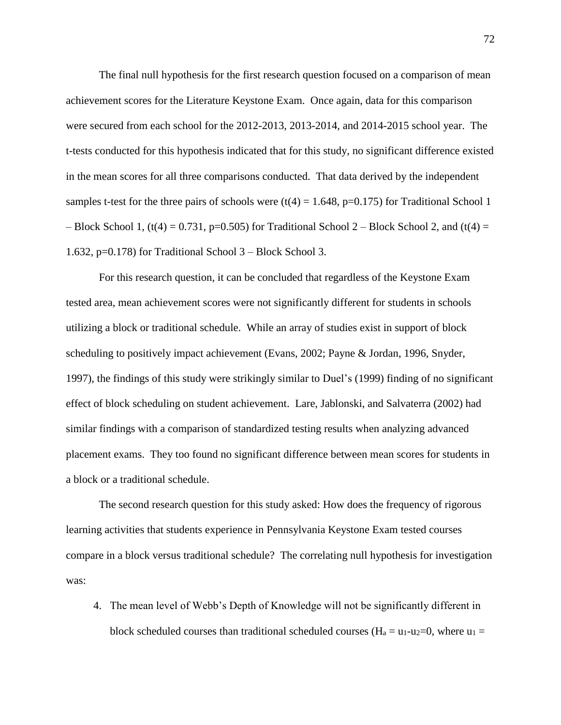The final null hypothesis for the first research question focused on a comparison of mean achievement scores for the Literature Keystone Exam. Once again, data for this comparison were secured from each school for the 2012-2013, 2013-2014, and 2014-2015 school year. The t-tests conducted for this hypothesis indicated that for this study, no significant difference existed in the mean scores for all three comparisons conducted. That data derived by the independent samples t-test for the three pairs of schools were  $(t(4) = 1.648, p=0.175)$  for Traditional School 1 – Block School 1,  $(t(4) = 0.731, p=0.505)$  for Traditional School 2 – Block School 2, and  $(t(4) =$ 1.632, p=0.178) for Traditional School 3 – Block School 3.

For this research question, it can be concluded that regardless of the Keystone Exam tested area, mean achievement scores were not significantly different for students in schools utilizing a block or traditional schedule. While an array of studies exist in support of block scheduling to positively impact achievement (Evans, 2002; Payne & Jordan, 1996, Snyder, 1997), the findings of this study were strikingly similar to Duel's (1999) finding of no significant effect of block scheduling on student achievement. Lare, Jablonski, and Salvaterra (2002) had similar findings with a comparison of standardized testing results when analyzing advanced placement exams. They too found no significant difference between mean scores for students in a block or a traditional schedule.

The second research question for this study asked: How does the frequency of rigorous learning activities that students experience in Pennsylvania Keystone Exam tested courses compare in a block versus traditional schedule? The correlating null hypothesis for investigation was:

4. The mean level of Webb's Depth of Knowledge will not be significantly different in block scheduled courses than traditional scheduled courses ( $H_a = u_1 - u_2 = 0$ , where  $u_1 =$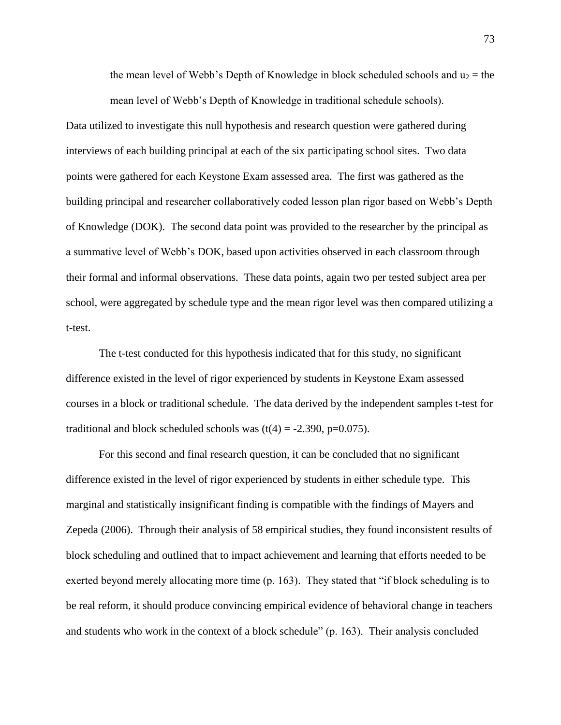the mean level of Webb's Depth of Knowledge in block scheduled schools and  $u_2$  = the mean level of Webb's Depth of Knowledge in traditional schedule schools).

Data utilized to investigate this null hypothesis and research question were gathered during interviews of each building principal at each of the six participating school sites. Two data points were gathered for each Keystone Exam assessed area. The first was gathered as the building principal and researcher collaboratively coded lesson plan rigor based on Webb's Depth of Knowledge (DOK). The second data point was provided to the researcher by the principal as a summative level of Webb's DOK, based upon activities observed in each classroom through their formal and informal observations. These data points, again two per tested subject area per school, were aggregated by schedule type and the mean rigor level was then compared utilizing a t-test.

The t-test conducted for this hypothesis indicated that for this study, no significant difference existed in the level of rigor experienced by students in Keystone Exam assessed courses in a block or traditional schedule. The data derived by the independent samples t-test for traditional and block scheduled schools was  $(t(4) = -2.390, p=0.075)$ .

For this second and final research question, it can be concluded that no significant difference existed in the level of rigor experienced by students in either schedule type. This marginal and statistically insignificant finding is compatible with the findings of Mayers and Zepeda (2006). Through their analysis of 58 empirical studies, they found inconsistent results of block scheduling and outlined that to impact achievement and learning that efforts needed to be exerted beyond merely allocating more time (p. 163). They stated that "if block scheduling is to be real reform, it should produce convincing empirical evidence of behavioral change in teachers and students who work in the context of a block schedule" (p. 163). Their analysis concluded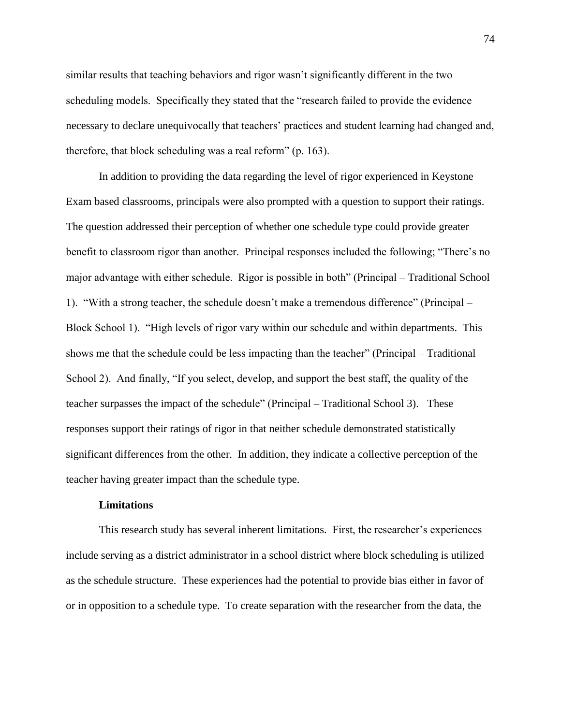similar results that teaching behaviors and rigor wasn't significantly different in the two scheduling models. Specifically they stated that the "research failed to provide the evidence necessary to declare unequivocally that teachers' practices and student learning had changed and, therefore, that block scheduling was a real reform" (p. 163).

In addition to providing the data regarding the level of rigor experienced in Keystone Exam based classrooms, principals were also prompted with a question to support their ratings. The question addressed their perception of whether one schedule type could provide greater benefit to classroom rigor than another. Principal responses included the following; "There's no major advantage with either schedule. Rigor is possible in both" (Principal – Traditional School 1). "With a strong teacher, the schedule doesn't make a tremendous difference" (Principal – Block School 1). "High levels of rigor vary within our schedule and within departments. This shows me that the schedule could be less impacting than the teacher" (Principal – Traditional School 2). And finally, "If you select, develop, and support the best staff, the quality of the teacher surpasses the impact of the schedule" (Principal – Traditional School 3). These responses support their ratings of rigor in that neither schedule demonstrated statistically significant differences from the other. In addition, they indicate a collective perception of the teacher having greater impact than the schedule type.

#### **Limitations**

This research study has several inherent limitations. First, the researcher's experiences include serving as a district administrator in a school district where block scheduling is utilized as the schedule structure. These experiences had the potential to provide bias either in favor of or in opposition to a schedule type. To create separation with the researcher from the data, the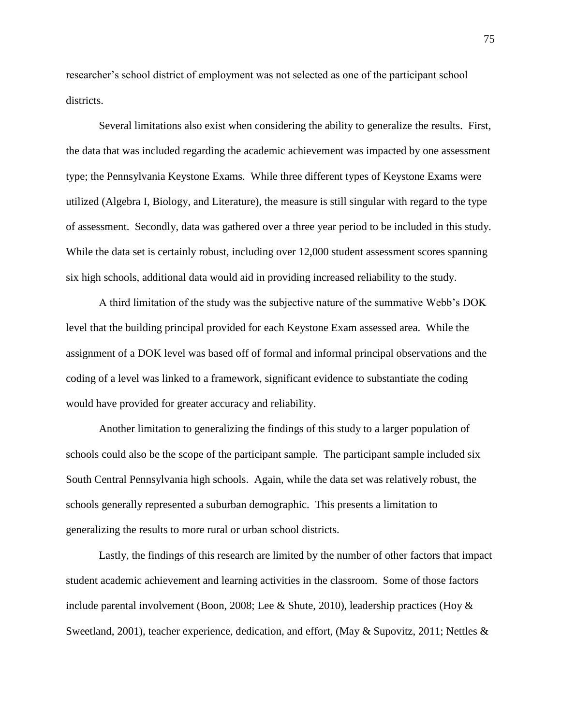researcher's school district of employment was not selected as one of the participant school districts.

Several limitations also exist when considering the ability to generalize the results. First, the data that was included regarding the academic achievement was impacted by one assessment type; the Pennsylvania Keystone Exams. While three different types of Keystone Exams were utilized (Algebra I, Biology, and Literature), the measure is still singular with regard to the type of assessment. Secondly, data was gathered over a three year period to be included in this study. While the data set is certainly robust, including over 12,000 student assessment scores spanning six high schools, additional data would aid in providing increased reliability to the study.

A third limitation of the study was the subjective nature of the summative Webb's DOK level that the building principal provided for each Keystone Exam assessed area. While the assignment of a DOK level was based off of formal and informal principal observations and the coding of a level was linked to a framework, significant evidence to substantiate the coding would have provided for greater accuracy and reliability.

Another limitation to generalizing the findings of this study to a larger population of schools could also be the scope of the participant sample. The participant sample included six South Central Pennsylvania high schools. Again, while the data set was relatively robust, the schools generally represented a suburban demographic. This presents a limitation to generalizing the results to more rural or urban school districts.

Lastly, the findings of this research are limited by the number of other factors that impact student academic achievement and learning activities in the classroom. Some of those factors include parental involvement (Boon, 2008; Lee & Shute, 2010), leadership practices (Hoy & Sweetland, 2001), teacher experience, dedication, and effort, (May & Supovitz, 2011; Nettles &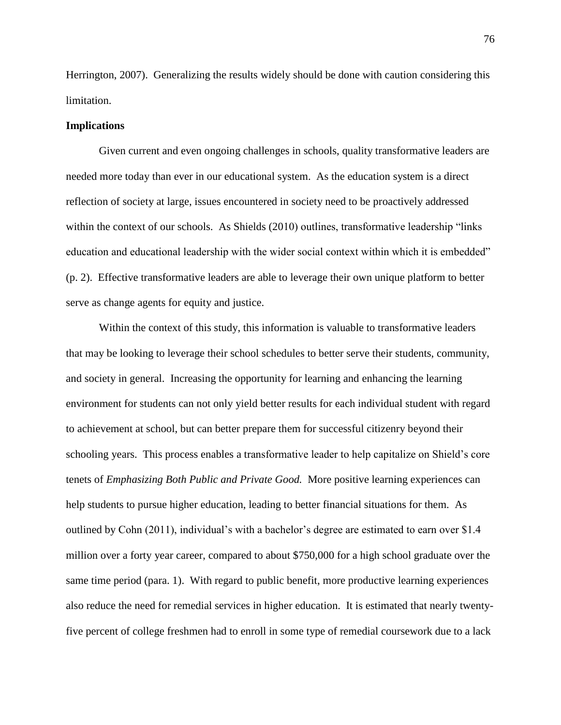Herrington, 2007). Generalizing the results widely should be done with caution considering this limitation.

## **Implications**

Given current and even ongoing challenges in schools, quality transformative leaders are needed more today than ever in our educational system. As the education system is a direct reflection of society at large, issues encountered in society need to be proactively addressed within the context of our schools. As Shields (2010) outlines, transformative leadership "links education and educational leadership with the wider social context within which it is embedded" (p. 2). Effective transformative leaders are able to leverage their own unique platform to better serve as change agents for equity and justice.

Within the context of this study, this information is valuable to transformative leaders that may be looking to leverage their school schedules to better serve their students, community, and society in general. Increasing the opportunity for learning and enhancing the learning environment for students can not only yield better results for each individual student with regard to achievement at school, but can better prepare them for successful citizenry beyond their schooling years. This process enables a transformative leader to help capitalize on Shield's core tenets of *Emphasizing Both Public and Private Good.* More positive learning experiences can help students to pursue higher education, leading to better financial situations for them. As outlined by Cohn (2011), individual's with a bachelor's degree are estimated to earn over \$1.4 million over a forty year career, compared to about \$750,000 for a high school graduate over the same time period (para. 1). With regard to public benefit, more productive learning experiences also reduce the need for remedial services in higher education. It is estimated that nearly twentyfive percent of college freshmen had to enroll in some type of remedial coursework due to a lack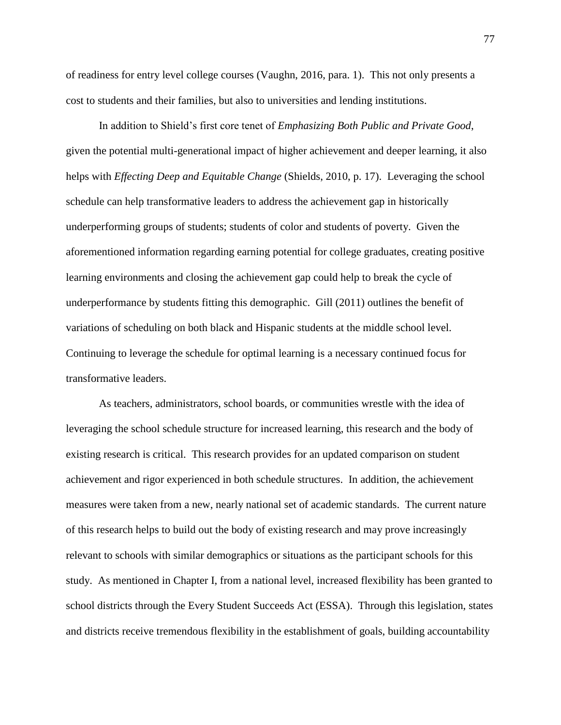of readiness for entry level college courses (Vaughn, 2016, para. 1). This not only presents a cost to students and their families, but also to universities and lending institutions.

In addition to Shield's first core tenet of *Emphasizing Both Public and Private Good*, given the potential multi-generational impact of higher achievement and deeper learning, it also helps with *Effecting Deep and Equitable Change* (Shields, 2010, p. 17). Leveraging the school schedule can help transformative leaders to address the achievement gap in historically underperforming groups of students; students of color and students of poverty. Given the aforementioned information regarding earning potential for college graduates, creating positive learning environments and closing the achievement gap could help to break the cycle of underperformance by students fitting this demographic. Gill (2011) outlines the benefit of variations of scheduling on both black and Hispanic students at the middle school level. Continuing to leverage the schedule for optimal learning is a necessary continued focus for transformative leaders.

As teachers, administrators, school boards, or communities wrestle with the idea of leveraging the school schedule structure for increased learning, this research and the body of existing research is critical. This research provides for an updated comparison on student achievement and rigor experienced in both schedule structures. In addition, the achievement measures were taken from a new, nearly national set of academic standards. The current nature of this research helps to build out the body of existing research and may prove increasingly relevant to schools with similar demographics or situations as the participant schools for this study. As mentioned in Chapter I, from a national level, increased flexibility has been granted to school districts through the Every Student Succeeds Act (ESSA). Through this legislation, states and districts receive tremendous flexibility in the establishment of goals, building accountability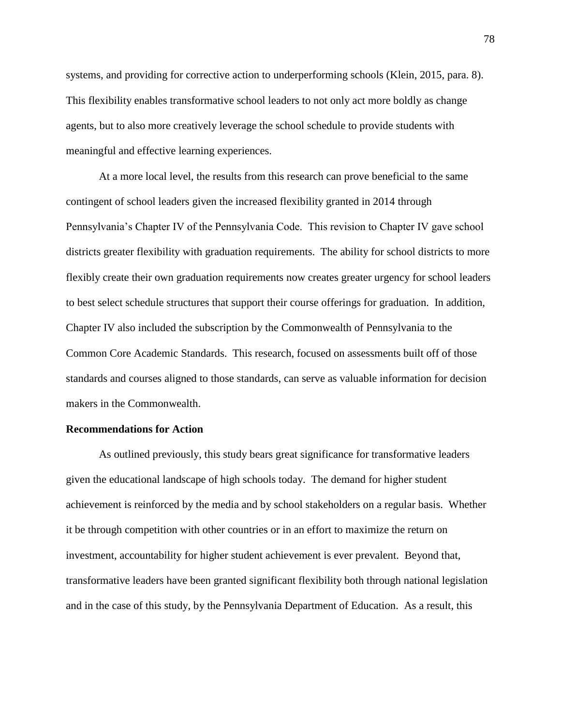systems, and providing for corrective action to underperforming schools (Klein, 2015, para. 8). This flexibility enables transformative school leaders to not only act more boldly as change agents, but to also more creatively leverage the school schedule to provide students with meaningful and effective learning experiences.

At a more local level, the results from this research can prove beneficial to the same contingent of school leaders given the increased flexibility granted in 2014 through Pennsylvania's Chapter IV of the Pennsylvania Code. This revision to Chapter IV gave school districts greater flexibility with graduation requirements. The ability for school districts to more flexibly create their own graduation requirements now creates greater urgency for school leaders to best select schedule structures that support their course offerings for graduation. In addition, Chapter IV also included the subscription by the Commonwealth of Pennsylvania to the Common Core Academic Standards. This research, focused on assessments built off of those standards and courses aligned to those standards, can serve as valuable information for decision makers in the Commonwealth.

## **Recommendations for Action**

As outlined previously, this study bears great significance for transformative leaders given the educational landscape of high schools today. The demand for higher student achievement is reinforced by the media and by school stakeholders on a regular basis. Whether it be through competition with other countries or in an effort to maximize the return on investment, accountability for higher student achievement is ever prevalent. Beyond that, transformative leaders have been granted significant flexibility both through national legislation and in the case of this study, by the Pennsylvania Department of Education. As a result, this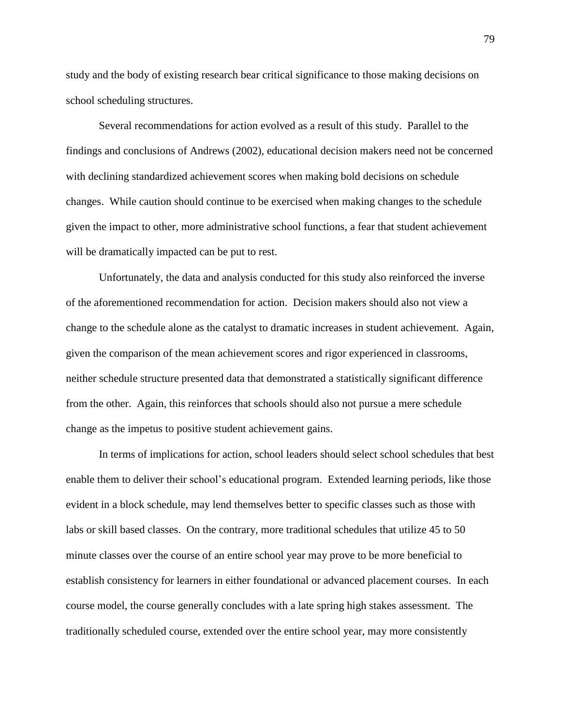study and the body of existing research bear critical significance to those making decisions on school scheduling structures.

Several recommendations for action evolved as a result of this study. Parallel to the findings and conclusions of Andrews (2002), educational decision makers need not be concerned with declining standardized achievement scores when making bold decisions on schedule changes. While caution should continue to be exercised when making changes to the schedule given the impact to other, more administrative school functions, a fear that student achievement will be dramatically impacted can be put to rest.

Unfortunately, the data and analysis conducted for this study also reinforced the inverse of the aforementioned recommendation for action. Decision makers should also not view a change to the schedule alone as the catalyst to dramatic increases in student achievement. Again, given the comparison of the mean achievement scores and rigor experienced in classrooms, neither schedule structure presented data that demonstrated a statistically significant difference from the other. Again, this reinforces that schools should also not pursue a mere schedule change as the impetus to positive student achievement gains.

In terms of implications for action, school leaders should select school schedules that best enable them to deliver their school's educational program. Extended learning periods, like those evident in a block schedule, may lend themselves better to specific classes such as those with labs or skill based classes. On the contrary, more traditional schedules that utilize 45 to 50 minute classes over the course of an entire school year may prove to be more beneficial to establish consistency for learners in either foundational or advanced placement courses. In each course model, the course generally concludes with a late spring high stakes assessment. The traditionally scheduled course, extended over the entire school year, may more consistently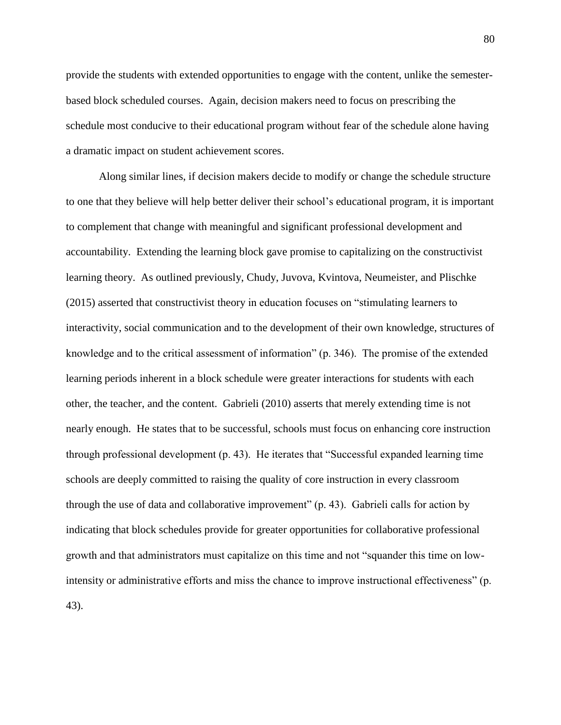provide the students with extended opportunities to engage with the content, unlike the semesterbased block scheduled courses. Again, decision makers need to focus on prescribing the schedule most conducive to their educational program without fear of the schedule alone having a dramatic impact on student achievement scores.

Along similar lines, if decision makers decide to modify or change the schedule structure to one that they believe will help better deliver their school's educational program, it is important to complement that change with meaningful and significant professional development and accountability. Extending the learning block gave promise to capitalizing on the constructivist learning theory. As outlined previously, Chudy, Juvova, Kvintova, Neumeister, and Plischke (2015) asserted that constructivist theory in education focuses on "stimulating learners to interactivity, social communication and to the development of their own knowledge, structures of knowledge and to the critical assessment of information" (p. 346). The promise of the extended learning periods inherent in a block schedule were greater interactions for students with each other, the teacher, and the content. Gabrieli (2010) asserts that merely extending time is not nearly enough. He states that to be successful, schools must focus on enhancing core instruction through professional development (p. 43). He iterates that "Successful expanded learning time schools are deeply committed to raising the quality of core instruction in every classroom through the use of data and collaborative improvement" (p. 43). Gabrieli calls for action by indicating that block schedules provide for greater opportunities for collaborative professional growth and that administrators must capitalize on this time and not "squander this time on lowintensity or administrative efforts and miss the chance to improve instructional effectiveness" (p. 43).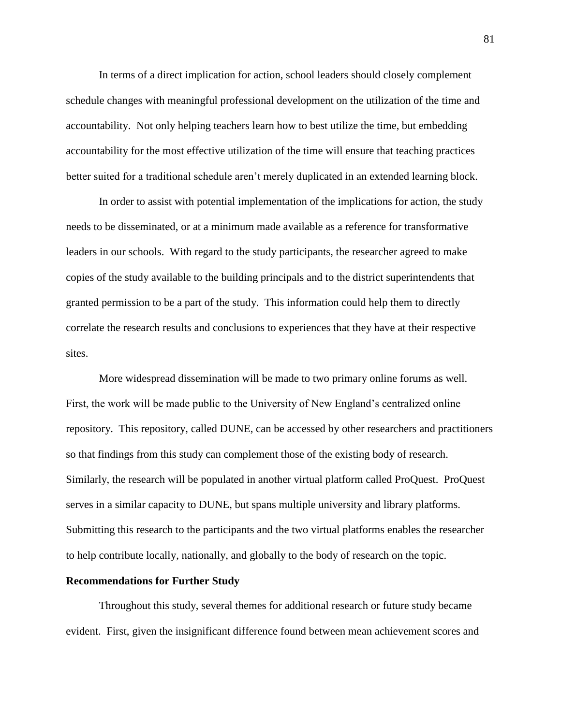In terms of a direct implication for action, school leaders should closely complement schedule changes with meaningful professional development on the utilization of the time and accountability. Not only helping teachers learn how to best utilize the time, but embedding accountability for the most effective utilization of the time will ensure that teaching practices better suited for a traditional schedule aren't merely duplicated in an extended learning block.

In order to assist with potential implementation of the implications for action, the study needs to be disseminated, or at a minimum made available as a reference for transformative leaders in our schools. With regard to the study participants, the researcher agreed to make copies of the study available to the building principals and to the district superintendents that granted permission to be a part of the study. This information could help them to directly correlate the research results and conclusions to experiences that they have at their respective sites.

More widespread dissemination will be made to two primary online forums as well. First, the work will be made public to the University of New England's centralized online repository. This repository, called DUNE, can be accessed by other researchers and practitioners so that findings from this study can complement those of the existing body of research. Similarly, the research will be populated in another virtual platform called ProQuest. ProQuest serves in a similar capacity to DUNE, but spans multiple university and library platforms. Submitting this research to the participants and the two virtual platforms enables the researcher to help contribute locally, nationally, and globally to the body of research on the topic.

## **Recommendations for Further Study**

Throughout this study, several themes for additional research or future study became evident. First, given the insignificant difference found between mean achievement scores and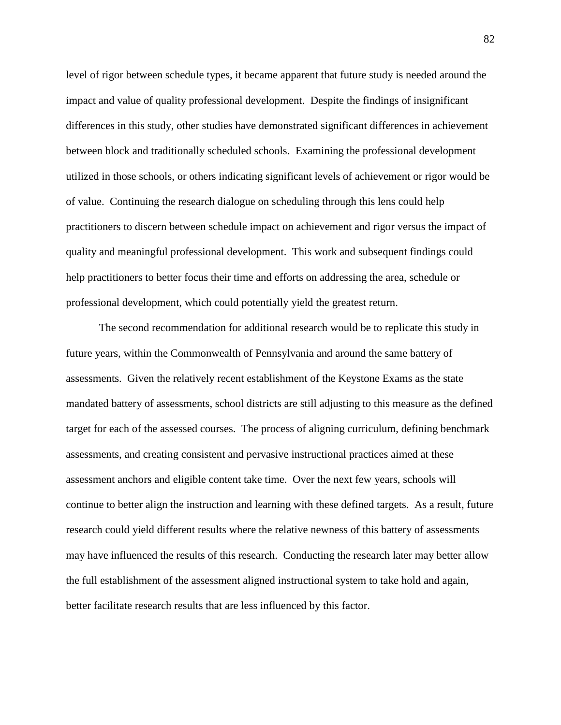level of rigor between schedule types, it became apparent that future study is needed around the impact and value of quality professional development. Despite the findings of insignificant differences in this study, other studies have demonstrated significant differences in achievement between block and traditionally scheduled schools. Examining the professional development utilized in those schools, or others indicating significant levels of achievement or rigor would be of value. Continuing the research dialogue on scheduling through this lens could help practitioners to discern between schedule impact on achievement and rigor versus the impact of quality and meaningful professional development. This work and subsequent findings could help practitioners to better focus their time and efforts on addressing the area, schedule or professional development, which could potentially yield the greatest return.

The second recommendation for additional research would be to replicate this study in future years, within the Commonwealth of Pennsylvania and around the same battery of assessments. Given the relatively recent establishment of the Keystone Exams as the state mandated battery of assessments, school districts are still adjusting to this measure as the defined target for each of the assessed courses. The process of aligning curriculum, defining benchmark assessments, and creating consistent and pervasive instructional practices aimed at these assessment anchors and eligible content take time. Over the next few years, schools will continue to better align the instruction and learning with these defined targets. As a result, future research could yield different results where the relative newness of this battery of assessments may have influenced the results of this research. Conducting the research later may better allow the full establishment of the assessment aligned instructional system to take hold and again, better facilitate research results that are less influenced by this factor.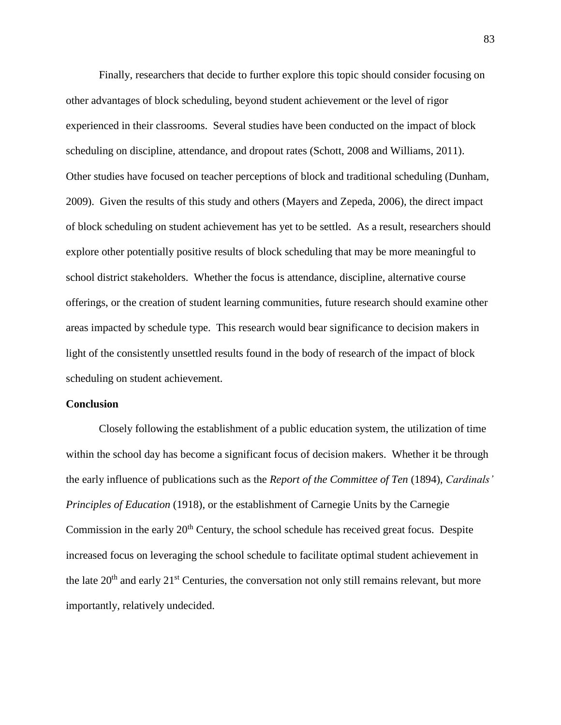Finally, researchers that decide to further explore this topic should consider focusing on other advantages of block scheduling, beyond student achievement or the level of rigor experienced in their classrooms. Several studies have been conducted on the impact of block scheduling on discipline, attendance, and dropout rates (Schott, 2008 and Williams, 2011). Other studies have focused on teacher perceptions of block and traditional scheduling (Dunham, 2009). Given the results of this study and others (Mayers and Zepeda, 2006), the direct impact of block scheduling on student achievement has yet to be settled. As a result, researchers should explore other potentially positive results of block scheduling that may be more meaningful to school district stakeholders. Whether the focus is attendance, discipline, alternative course offerings, or the creation of student learning communities, future research should examine other areas impacted by schedule type. This research would bear significance to decision makers in light of the consistently unsettled results found in the body of research of the impact of block scheduling on student achievement.

## **Conclusion**

Closely following the establishment of a public education system, the utilization of time within the school day has become a significant focus of decision makers. Whether it be through the early influence of publications such as the *Report of the Committee of Ten* (1894), *Cardinals' Principles of Education* (1918), or the establishment of Carnegie Units by the Carnegie Commission in the early 20<sup>th</sup> Century, the school schedule has received great focus. Despite increased focus on leveraging the school schedule to facilitate optimal student achievement in the late  $20<sup>th</sup>$  and early  $21<sup>st</sup>$  Centuries, the conversation not only still remains relevant, but more importantly, relatively undecided.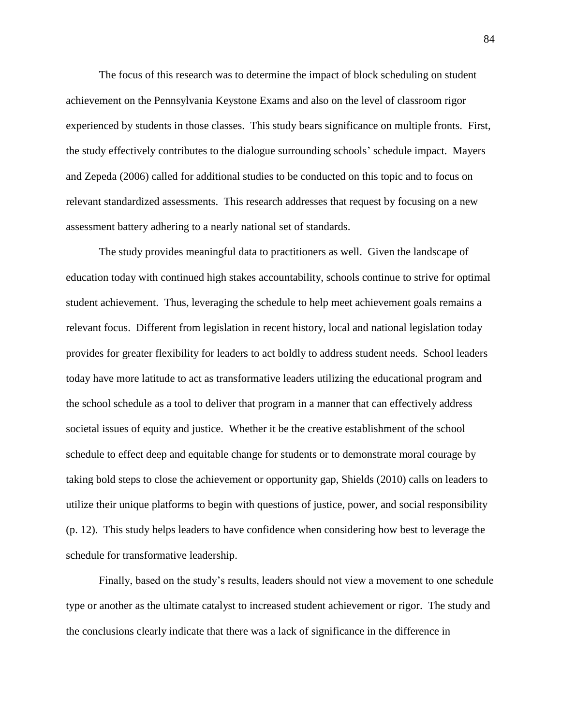The focus of this research was to determine the impact of block scheduling on student achievement on the Pennsylvania Keystone Exams and also on the level of classroom rigor experienced by students in those classes. This study bears significance on multiple fronts. First, the study effectively contributes to the dialogue surrounding schools' schedule impact. Mayers and Zepeda (2006) called for additional studies to be conducted on this topic and to focus on relevant standardized assessments. This research addresses that request by focusing on a new assessment battery adhering to a nearly national set of standards.

The study provides meaningful data to practitioners as well. Given the landscape of education today with continued high stakes accountability, schools continue to strive for optimal student achievement. Thus, leveraging the schedule to help meet achievement goals remains a relevant focus. Different from legislation in recent history, local and national legislation today provides for greater flexibility for leaders to act boldly to address student needs. School leaders today have more latitude to act as transformative leaders utilizing the educational program and the school schedule as a tool to deliver that program in a manner that can effectively address societal issues of equity and justice. Whether it be the creative establishment of the school schedule to effect deep and equitable change for students or to demonstrate moral courage by taking bold steps to close the achievement or opportunity gap, Shields (2010) calls on leaders to utilize their unique platforms to begin with questions of justice, power, and social responsibility (p. 12). This study helps leaders to have confidence when considering how best to leverage the schedule for transformative leadership.

Finally, based on the study's results, leaders should not view a movement to one schedule type or another as the ultimate catalyst to increased student achievement or rigor. The study and the conclusions clearly indicate that there was a lack of significance in the difference in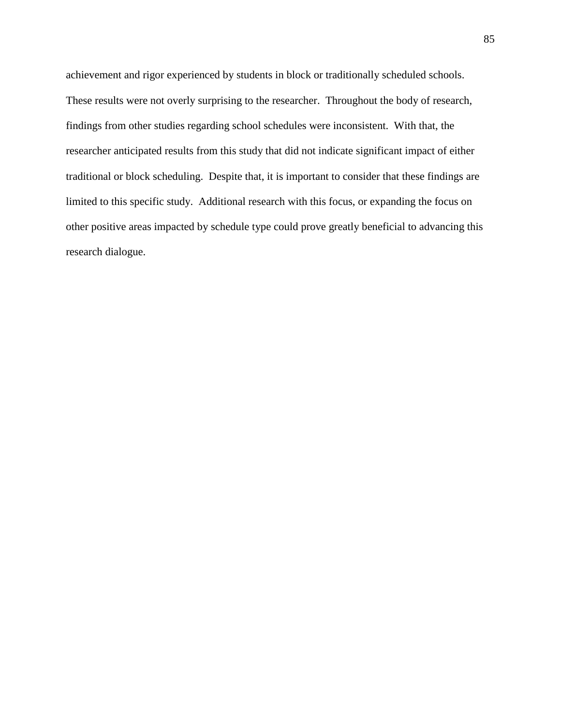achievement and rigor experienced by students in block or traditionally scheduled schools. These results were not overly surprising to the researcher. Throughout the body of research, findings from other studies regarding school schedules were inconsistent. With that, the researcher anticipated results from this study that did not indicate significant impact of either traditional or block scheduling. Despite that, it is important to consider that these findings are limited to this specific study. Additional research with this focus, or expanding the focus on other positive areas impacted by schedule type could prove greatly beneficial to advancing this research dialogue.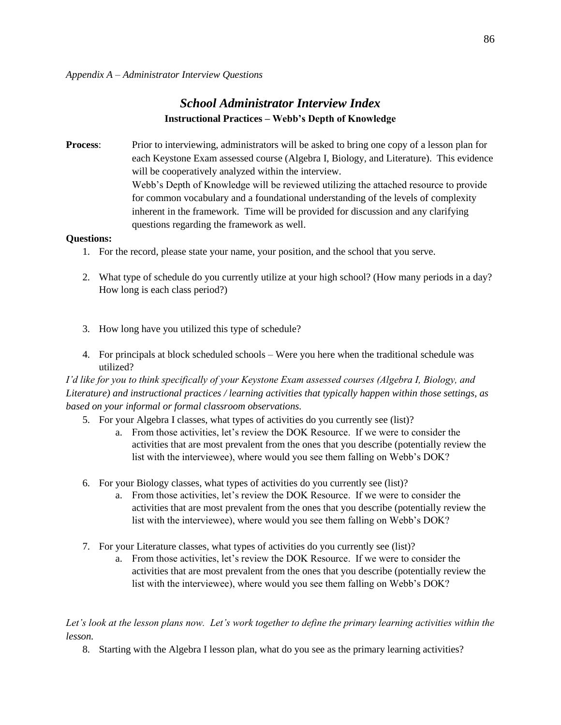# *School Administrator Interview Index* **Instructional Practices – Webb's Depth of Knowledge**

**Process:** Prior to interviewing, administrators will be asked to bring one copy of a lesson plan for each Keystone Exam assessed course (Algebra I, Biology, and Literature). This evidence will be cooperatively analyzed within the interview. Webb's Depth of Knowledge will be reviewed utilizing the attached resource to provide for common vocabulary and a foundational understanding of the levels of complexity inherent in the framework. Time will be provided for discussion and any clarifying questions regarding the framework as well.

## **Questions:**

- 1. For the record, please state your name, your position, and the school that you serve.
- 2. What type of schedule do you currently utilize at your high school? (How many periods in a day? How long is each class period?)
- 3. How long have you utilized this type of schedule?
- 4. For principals at block scheduled schools Were you here when the traditional schedule was utilized?

*I'd like for you to think specifically of your Keystone Exam assessed courses (Algebra I, Biology, and Literature) and instructional practices / learning activities that typically happen within those settings, as based on your informal or formal classroom observations.* 

- 5. For your Algebra I classes, what types of activities do you currently see (list)?
	- a. From those activities, let's review the DOK Resource. If we were to consider the activities that are most prevalent from the ones that you describe (potentially review the list with the interviewee), where would you see them falling on Webb's DOK?
- 6. For your Biology classes, what types of activities do you currently see (list)?
	- a. From those activities, let's review the DOK Resource. If we were to consider the activities that are most prevalent from the ones that you describe (potentially review the list with the interviewee), where would you see them falling on Webb's DOK?
- 7. For your Literature classes, what types of activities do you currently see (list)?
	- a. From those activities, let's review the DOK Resource. If we were to consider the activities that are most prevalent from the ones that you describe (potentially review the list with the interviewee), where would you see them falling on Webb's DOK?

## Let's look at the lesson plans now. Let's work together to define the primary learning activities within the *lesson.*

8. Starting with the Algebra I lesson plan, what do you see as the primary learning activities?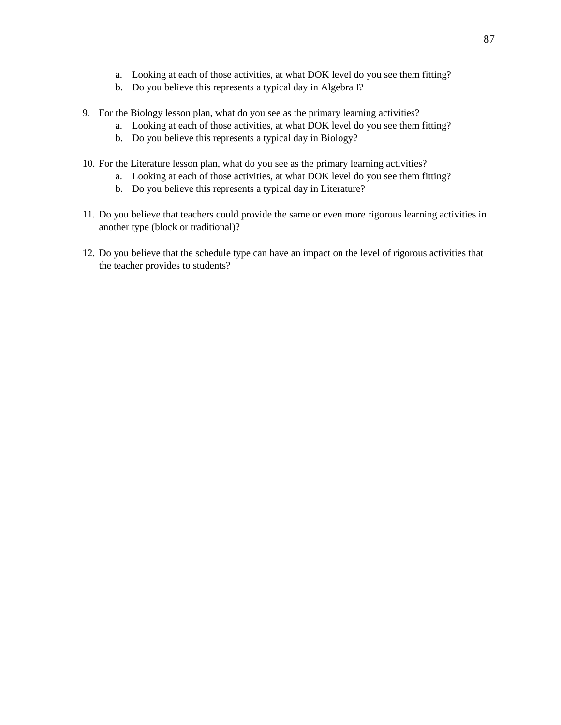- a. Looking at each of those activities, at what DOK level do you see them fitting?
- b. Do you believe this represents a typical day in Algebra I?
- 9. For the Biology lesson plan, what do you see as the primary learning activities?
	- a. Looking at each of those activities, at what DOK level do you see them fitting?
	- b. Do you believe this represents a typical day in Biology?
- 10. For the Literature lesson plan, what do you see as the primary learning activities?
	- a. Looking at each of those activities, at what DOK level do you see them fitting?
	- b. Do you believe this represents a typical day in Literature?
- 11. Do you believe that teachers could provide the same or even more rigorous learning activities in another type (block or traditional)?
- 12. Do you believe that the schedule type can have an impact on the level of rigorous activities that the teacher provides to students?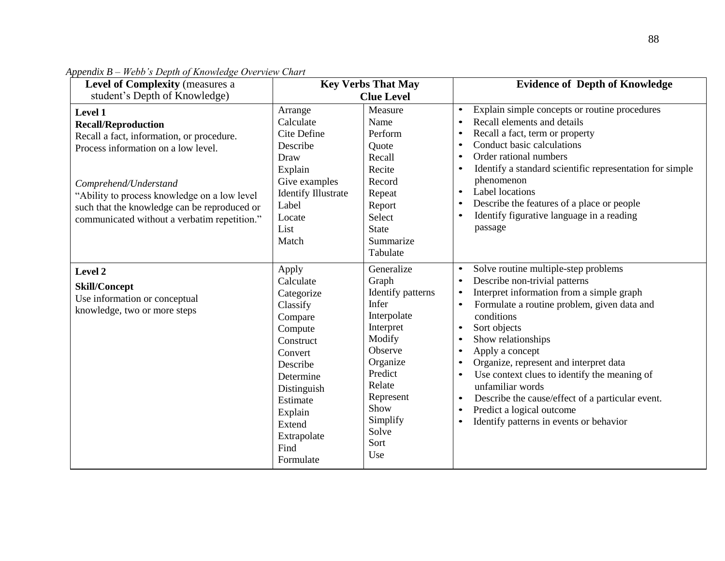| <b>Level of Complexity (measures a</b>                                                                                                                                                                                                                                                              | <b>Key Verbs That May</b><br><b>Clue Level</b>                                                                                                                                                          |                                                                                                                                                                                              | <b>Evidence of Depth of Knowledge</b>                                                                                                                                                                                                                                                                                                                                                                                                                                                                                                                                         |  |  |
|-----------------------------------------------------------------------------------------------------------------------------------------------------------------------------------------------------------------------------------------------------------------------------------------------------|---------------------------------------------------------------------------------------------------------------------------------------------------------------------------------------------------------|----------------------------------------------------------------------------------------------------------------------------------------------------------------------------------------------|-------------------------------------------------------------------------------------------------------------------------------------------------------------------------------------------------------------------------------------------------------------------------------------------------------------------------------------------------------------------------------------------------------------------------------------------------------------------------------------------------------------------------------------------------------------------------------|--|--|
| student's Depth of Knowledge)                                                                                                                                                                                                                                                                       |                                                                                                                                                                                                         |                                                                                                                                                                                              |                                                                                                                                                                                                                                                                                                                                                                                                                                                                                                                                                                               |  |  |
| Level 1<br><b>Recall/Reproduction</b><br>Recall a fact, information, or procedure.<br>Process information on a low level.<br>Comprehend/Understand<br>"Ability to process knowledge on a low level"<br>such that the knowledge can be reproduced or<br>communicated without a verbatim repetition." | Arrange<br>Calculate<br>Cite Define<br>Describe<br>Draw<br>Explain<br>Give examples<br><b>Identify Illustrate</b><br>Label<br>Locate<br>List<br>Match                                                   | Measure<br>Name<br>Perform<br>Quote<br>Recall<br>Recite<br>Record<br>Repeat<br>Report<br>Select<br>State<br>Summarize<br>Tabulate                                                            | Explain simple concepts or routine procedures<br>$\bullet$<br>Recall elements and details<br>Recall a fact, term or property<br>Conduct basic calculations<br>Order rational numbers<br>$\bullet$<br>Identify a standard scientific representation for simple<br>phenomenon<br>Label locations<br>$\bullet$<br>Describe the features of a place or people<br>Identify figurative language in a reading<br>passage                                                                                                                                                             |  |  |
| Level 2<br>Skill/Concept<br>Use information or conceptual<br>knowledge, two or more steps                                                                                                                                                                                                           | Apply<br>Calculate<br>Categorize<br>Classify<br>Compare<br>Compute<br>Construct<br>Convert<br>Describe<br>Determine<br>Distinguish<br>Estimate<br>Explain<br>Extend<br>Extrapolate<br>Find<br>Formulate | Generalize<br>Graph<br>Identify patterns<br>Infer<br>Interpolate<br>Interpret<br>Modify<br>Observe<br>Organize<br>Predict<br>Relate<br>Represent<br>Show<br>Simplify<br>Solve<br>Sort<br>Use | Solve routine multiple-step problems<br>$\bullet$<br>Describe non-trivial patterns<br>$\bullet$<br>Interpret information from a simple graph<br>Formulate a routine problem, given data and<br>$\bullet$<br>conditions<br>Sort objects<br>$\bullet$<br>Show relationships<br>Apply a concept<br>Organize, represent and interpret data<br>Use context clues to identify the meaning of<br>$\bullet$<br>unfamiliar words<br>Describe the cause/effect of a particular event.<br>$\bullet$<br>Predict a logical outcome<br>Identify patterns in events or behavior<br>$\bullet$ |  |  |

*Appendix B – Webb's Depth of Knowledge Overview Chart*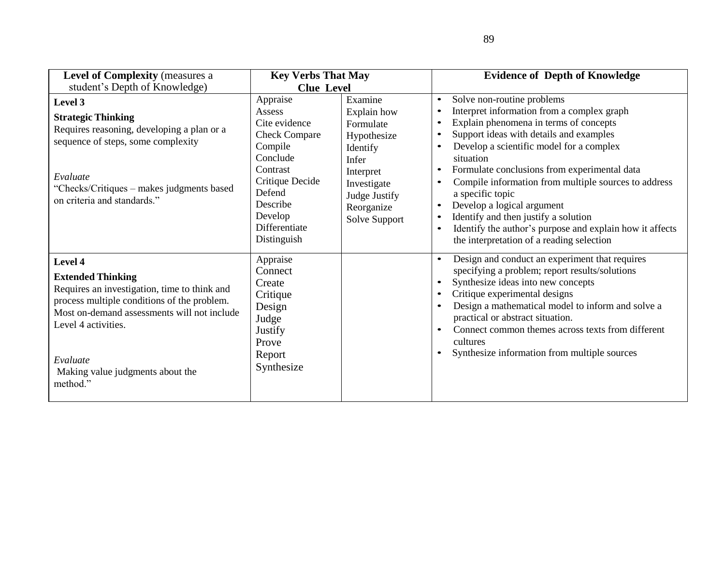| <b>Level of Complexity (measures a</b>                                                                                                                                                                                                                               | <b>Key Verbs That May</b>                                                                                                                                                          |                                                                                                                                                     | <b>Evidence of Depth of Knowledge</b>                                                                                                                                                                                                                                                                                                                                                                                                                                                                                                                                                                                        |
|----------------------------------------------------------------------------------------------------------------------------------------------------------------------------------------------------------------------------------------------------------------------|------------------------------------------------------------------------------------------------------------------------------------------------------------------------------------|-----------------------------------------------------------------------------------------------------------------------------------------------------|------------------------------------------------------------------------------------------------------------------------------------------------------------------------------------------------------------------------------------------------------------------------------------------------------------------------------------------------------------------------------------------------------------------------------------------------------------------------------------------------------------------------------------------------------------------------------------------------------------------------------|
| student's Depth of Knowledge)                                                                                                                                                                                                                                        | <b>Clue Level</b>                                                                                                                                                                  |                                                                                                                                                     |                                                                                                                                                                                                                                                                                                                                                                                                                                                                                                                                                                                                                              |
| Level 3<br><b>Strategic Thinking</b><br>Requires reasoning, developing a plan or a<br>sequence of steps, some complexity<br>Evaluate<br>"Checks/Critiques – makes judgments based<br>on criteria and standards."                                                     | Appraise<br>Assess<br>Cite evidence<br><b>Check Compare</b><br>Compile<br>Conclude<br>Contrast<br>Critique Decide<br>Defend<br>Describe<br>Develop<br>Differentiate<br>Distinguish | Examine<br>Explain how<br>Formulate<br>Hypothesize<br>Identify<br>Infer<br>Interpret<br>Investigate<br>Judge Justify<br>Reorganize<br>Solve Support | Solve non-routine problems<br>$\bullet$<br>Interpret information from a complex graph<br>Explain phenomena in terms of concepts<br>$\bullet$<br>Support ideas with details and examples<br>Develop a scientific model for a complex<br>$\bullet$<br>situation<br>Formulate conclusions from experimental data<br>$\bullet$<br>Compile information from multiple sources to address<br>$\bullet$<br>a specific topic<br>Develop a logical argument<br>$\bullet$<br>Identify and then justify a solution<br>Identify the author's purpose and explain how it affects<br>$\bullet$<br>the interpretation of a reading selection |
| Level 4<br><b>Extended Thinking</b><br>Requires an investigation, time to think and<br>process multiple conditions of the problem.<br>Most on-demand assessments will not include<br>Level 4 activities.<br>Evaluate<br>Making value judgments about the<br>method." | Appraise<br>Connect<br>Create<br>Critique<br>Design<br>Judge<br>Justify<br>Prove<br>Report<br>Synthesize                                                                           |                                                                                                                                                     | Design and conduct an experiment that requires<br>$\bullet$<br>specifying a problem; report results/solutions<br>Synthesize ideas into new concepts<br>$\bullet$<br>Critique experimental designs<br>$\bullet$<br>Design a mathematical model to inform and solve a<br>$\bullet$<br>practical or abstract situation.<br>Connect common themes across texts from different<br>$\bullet$<br>cultures<br>Synthesize information from multiple sources<br>$\bullet$                                                                                                                                                              |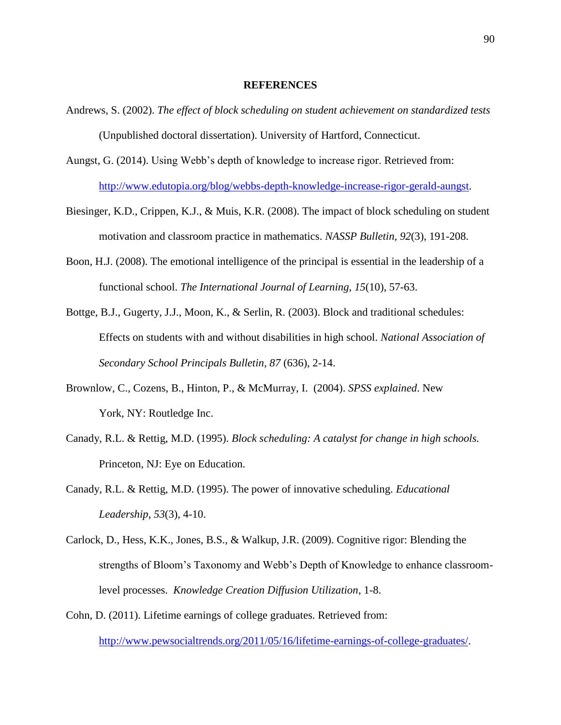#### **REFERENCES**

- Andrews, S. (2002). *The effect of block scheduling on student achievement on standardized tests*  (Unpublished doctoral dissertation). University of Hartford, Connecticut.
- Aungst, G. (2014). Using Webb's depth of knowledge to increase rigor. Retrieved from: [http://www.edutopia.org/blog/webbs-depth-knowledge-increase-rigor-gerald-aungst.](http://www.edutopia.org/blog/webbs-depth-knowledge-increase-rigor-gerald-aungst)
- Biesinger, K.D., Crippen, K.J., & Muis, K.R. (2008). The impact of block scheduling on student motivation and classroom practice in mathematics. *NASSP Bulletin, 92*(3), 191-208.
- Boon, H.J. (2008). The emotional intelligence of the principal is essential in the leadership of a functional school. *The International Journal of Learning, 15*(10), 57-63.
- Bottge, B.J., Gugerty, J.J., Moon, K., & Serlin, R. (2003). Block and traditional schedules: Effects on students with and without disabilities in high school. *National Association of Secondary School Principals Bulletin, 87* (636), 2-14.
- Brownlow, C., Cozens, B., Hinton, P., & McMurray, I. (2004). *SPSS explained*. New York, NY: Routledge Inc.
- Canady, R.L. & Rettig, M.D. (1995). *Block scheduling: A catalyst for change in high schools.* Princeton, NJ: Eye on Education.
- Canady, R.L. & Rettig, M.D. (1995). The power of innovative scheduling. *Educational Leadership*, *53*(3), 4-10.
- Carlock, D., Hess, K.K., Jones, B.S., & Walkup, J.R. (2009). Cognitive rigor: Blending the strengths of Bloom's Taxonomy and Webb's Depth of Knowledge to enhance classroomlevel processes. *Knowledge Creation Diffusion Utilization*, 1-8.
- Cohn, D. (2011). Lifetime earnings of college graduates. Retrieved from: [http://www.pewsocialtrends.org/2011/05/16/lifetime-earnings-of-college-graduates/.](http://www.pewsocialtrends.org/2011/05/16/lifetime-earnings-of-college-graduates/)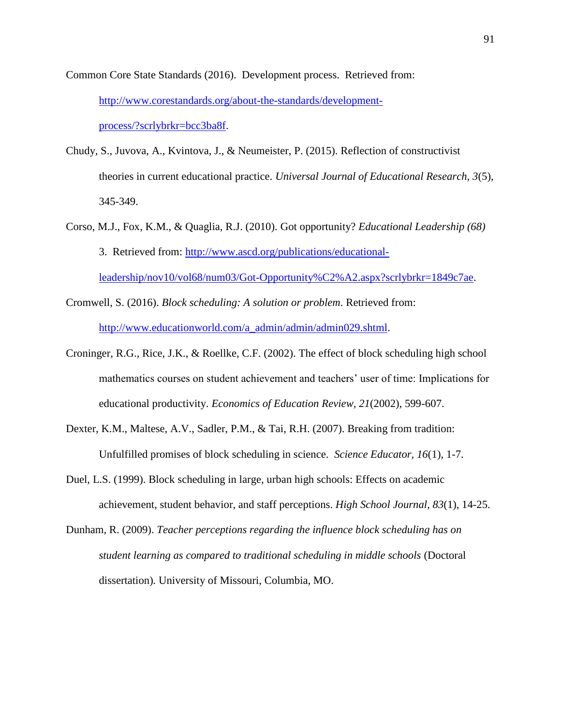Common Core State Standards (2016). Development process. Retrieved from: [http://www.corestandards.org/about-the-standards/development](http://www.corestandards.org/about-the-standards/development-process/?scrlybrkr=bcc3ba8f)[process/?scrlybrkr=bcc3ba8f.](http://www.corestandards.org/about-the-standards/development-process/?scrlybrkr=bcc3ba8f)

- Chudy, S., Juvova, A., Kvintova, J., & Neumeister, P. (2015). Reflection of constructivist theories in current educational practice. *Universal Journal of Educational Research, 3*(5), 345-349.
- Corso, M.J., Fox, K.M., & Quaglia, R.J. (2010). Got opportunity? *Educational Leadership (68)* 3. Retrieved from: [http://www.ascd.org/publications/educational](http://www.ascd.org/publications/educational-leadership/nov10/vol68/num03/Got-Opportunity%C2%A2.aspx?scrlybrkr=1849c7ae)[leadership/nov10/vol68/num03/Got-Opportunity%C2%A2.aspx?scrlybrkr=1849c7ae.](http://www.ascd.org/publications/educational-leadership/nov10/vol68/num03/Got-Opportunity%C2%A2.aspx?scrlybrkr=1849c7ae)
- Cromwell, S. (2016). *Block scheduling: A solution or problem*. Retrieved from: [http://www.educationworld.com/a\\_admin/admin/admin029.shtml.](http://www.educationworld.com/a_admin/admin/admin029.shtml)
- Croninger, R.G., Rice, J.K., & Roellke, C.F. (2002). The effect of block scheduling high school mathematics courses on student achievement and teachers' user of time: Implications for educational productivity. *Economics of Education Review, 21*(2002), 599-607.
- Dexter, K.M., Maltese, A.V., Sadler, P.M., & Tai, R.H. (2007). Breaking from tradition: Unfulfilled promises of block scheduling in science. *Science Educator, 16*(1), 1-7.
- Duel, L.S. (1999). Block scheduling in large, urban high schools: Effects on academic achievement, student behavior, and staff perceptions. *High School Journal, 83*(1), 14-25.
- Dunham, R. (2009). *Teacher perceptions regarding the influence block scheduling has on student learning as compared to traditional scheduling in middle schools* (Doctoral dissertation)*.* University of Missouri, Columbia, MO.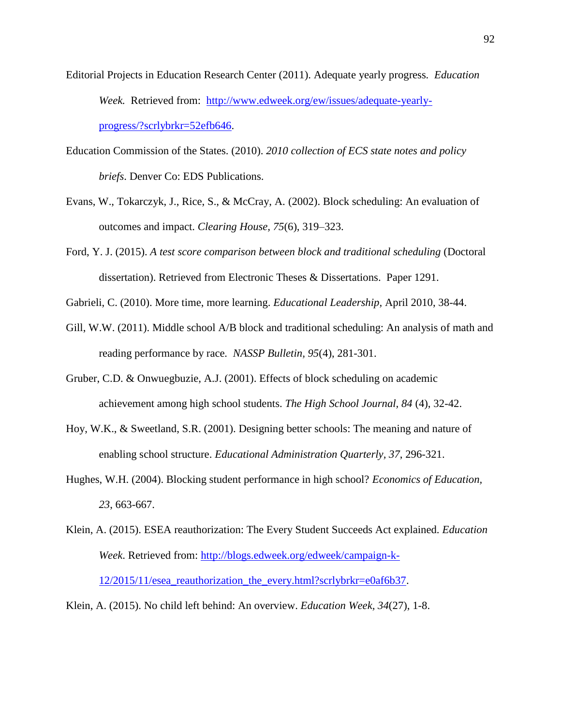- Editorial Projects in Education Research Center (2011). Adequate yearly progress*. Education Week.* Retrieved from: [http://www.edweek.org/ew/issues/adequate-yearly](http://www.edweek.org/ew/issues/adequate-yearly-progress/?scrlybrkr=52efb646)[progress/?scrlybrkr=52efb646.](http://www.edweek.org/ew/issues/adequate-yearly-progress/?scrlybrkr=52efb646)
- Education Commission of the States. (2010). *2010 collection of ECS state notes and policy briefs*. Denver Co: EDS Publications.
- Evans, W., Tokarczyk, J., Rice, S., & McCray, A. (2002). Block scheduling: An evaluation of outcomes and impact. *Clearing House, 75*(6), 319–323.
- Ford, Y. J. (2015). *A test score comparison between block and traditional scheduling* (Doctoral dissertation). Retrieved from Electronic Theses & Dissertations. Paper 1291.
- Gabrieli, C. (2010). More time, more learning. *Educational Leadership,* April 2010, 38-44.
- Gill, W.W. (2011). Middle school A/B block and traditional scheduling: An analysis of math and reading performance by race*. NASSP Bulletin, 95*(4), 281-301.
- Gruber, C.D. & Onwuegbuzie, A.J. (2001). Effects of block scheduling on academic achievement among high school students. *The High School Journal, 84* (4), 32-42.
- Hoy, W.K., & Sweetland, S.R. (2001). Designing better schools: The meaning and nature of enabling school structure. *Educational Administration Quarterly, 37*, 296-321.
- Hughes, W.H. (2004). Blocking student performance in high school? *Economics of Education, 23*, 663-667.
- Klein, A. (2015). ESEA reauthorization: The Every Student Succeeds Act explained. *Education Week*. Retrieved from: [http://blogs.edweek.org/edweek/campaign-k-](http://blogs.edweek.org/edweek/campaign-k-12/2015/11/esea_reauthorization_the_every.html?scrlybrkr=e0af6b37)[12/2015/11/esea\\_reauthorization\\_the\\_every.html?scrlybrkr=e0af6b37.](http://blogs.edweek.org/edweek/campaign-k-12/2015/11/esea_reauthorization_the_every.html?scrlybrkr=e0af6b37)
- Klein, A. (2015). No child left behind: An overview. *Education Week, 34*(27), 1-8.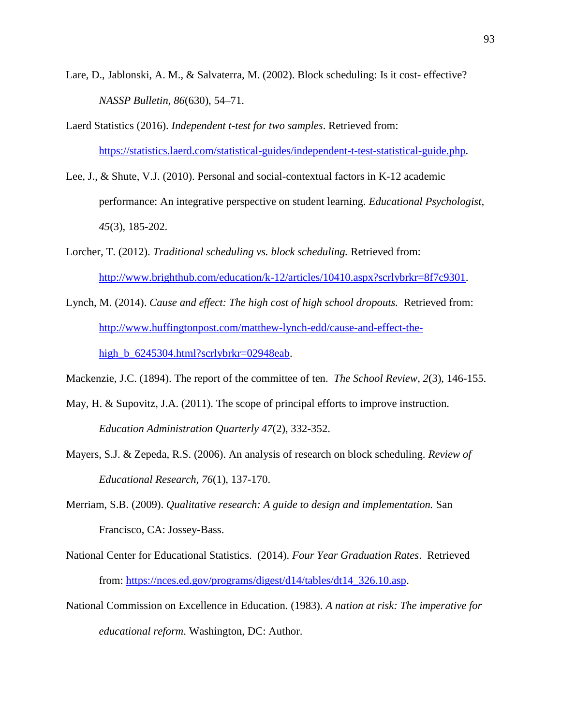- Lare, D., Jablonski, A. M., & Salvaterra, M. (2002). Block scheduling: Is it cost- effective? *NASSP Bulletin, 86*(630), 54–71.
- Laerd Statistics (2016). *Independent t-test for two samples*. Retrieved from: [https://statistics.laerd.com/statistical-guides/independent-t-test-statistical-guide.php.](https://statistics.laerd.com/statistical-guides/independent-t-test-statistical-guide.php)
- Lee, J., & Shute, V.J. (2010). Personal and social-contextual factors in K-12 academic performance: An integrative perspective on student learning. *Educational Psychologist, 45*(3), 185-202.
- Lorcher, T. (2012). *Traditional scheduling vs. block scheduling.* Retrieved from: [http://www.brighthub.com/education/k-12/articles/10410.aspx?scrlybrkr=8f7c9301.](http://www.brighthub.com/education/k-12/articles/10410.aspx?scrlybrkr=8f7c9301)
- Lynch, M. (2014). *Cause and effect: The high cost of high school dropouts.* Retrieved from: [http://www.huffingtonpost.com/matthew-lynch-edd/cause-and-effect-the](http://www.huffingtonpost.com/matthew-lynch-edd/cause-and-effect-the-high_b_6245304.html?scrlybrkr=02948eab)[high\\_b\\_6245304.html?scrlybrkr=02948eab.](http://www.huffingtonpost.com/matthew-lynch-edd/cause-and-effect-the-high_b_6245304.html?scrlybrkr=02948eab)

Mackenzie, J.C. (1894). The report of the committee of ten. *The School Review, 2*(3), 146-155.

- May, H. & Supovitz, J.A. (2011). The scope of principal efforts to improve instruction. *Education Administration Quarterly 47*(2), 332-352.
- Mayers, S.J. & Zepeda, R.S. (2006). An analysis of research on block scheduling. *Review of Educational Research, 76*(1), 137-170.
- Merriam, S.B. (2009). *Qualitative research: A guide to design and implementation.* San Francisco, CA: Jossey-Bass.
- National Center for Educational Statistics. (2014). *Four Year Graduation Rates*. Retrieved from: [https://nces.ed.gov/programs/digest/d14/tables/dt14\\_326.10.asp.](https://nces.ed.gov/programs/digest/d14/tables/dt14_326.10.asp)
- National Commission on Excellence in Education. (1983). *A nation at risk: The imperative for educational reform*. Washington, DC: Author.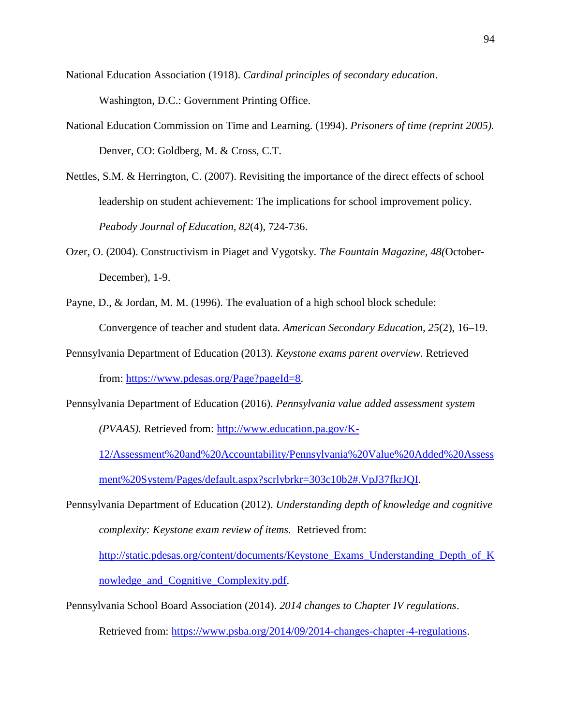- National Education Association (1918). *Cardinal principles of secondary education*. Washington, D.C.: Government Printing Office.
- National Education Commission on Time and Learning. (1994). *Prisoners of time (reprint 2005).* Denver, CO: Goldberg, M. & Cross, C.T.
- Nettles, S.M. & Herrington, C. (2007). Revisiting the importance of the direct effects of school leadership on student achievement: The implications for school improvement policy. *Peabody Journal of Education, 82*(4), 724-736.
- Ozer, O. (2004). Constructivism in Piaget and Vygotsky. *The Fountain Magazine, 48(*October-December), 1-9.
- Payne, D., & Jordan, M. M. (1996). The evaluation of a high school block schedule: Convergence of teacher and student data. *American Secondary Education, 25*(2), 16–19.
- Pennsylvania Department of Education (2013). *Keystone exams parent overview.* Retrieved from: [https://www.pdesas.org/Page?pageId=8.](https://www.pdesas.org/Page?pageId=8)
- Pennsylvania Department of Education (2016). *Pennsylvania value added assessment system (PVAAS).* Retrieved from: [http://www.education.pa.gov/K-](http://www.education.pa.gov/K-12/Assessment%20and%20Accountability/Pennsylvania%20Value%20Added%20Assessment%20System/Pages/default.aspx?scrlybrkr=303c10b2#.VpJ37fkrJQI)

[12/Assessment%20and%20Accountability/Pennsylvania%20Value%20Added%20Assess](http://www.education.pa.gov/K-12/Assessment%20and%20Accountability/Pennsylvania%20Value%20Added%20Assessment%20System/Pages/default.aspx?scrlybrkr=303c10b2#.VpJ37fkrJQI) [ment%20System/Pages/default.aspx?scrlybrkr=303c10b2#.VpJ37fkrJQI.](http://www.education.pa.gov/K-12/Assessment%20and%20Accountability/Pennsylvania%20Value%20Added%20Assessment%20System/Pages/default.aspx?scrlybrkr=303c10b2#.VpJ37fkrJQI)

Pennsylvania Department of Education (2012). *Understanding depth of knowledge and cognitive complexity: Keystone exam review of items.* Retrieved from:

[http://static.pdesas.org/content/documents/Keystone\\_Exams\\_Understanding\\_Depth\\_of\\_K](http://static.pdesas.org/content/documents/Keystone_Exams_Understanding_Depth_of_Knowledge_and_Cognitive_Complexity.pdf) [nowledge\\_and\\_Cognitive\\_Complexity.pdf.](http://static.pdesas.org/content/documents/Keystone_Exams_Understanding_Depth_of_Knowledge_and_Cognitive_Complexity.pdf)

Pennsylvania School Board Association (2014). *2014 changes to Chapter IV regulations*.

Retrieved from: [https://www.psba.org/2014/09/2014-changes-chapter-4-regulations.](https://www.psba.org/2014/09/2014-changes-chapter-4-regulations)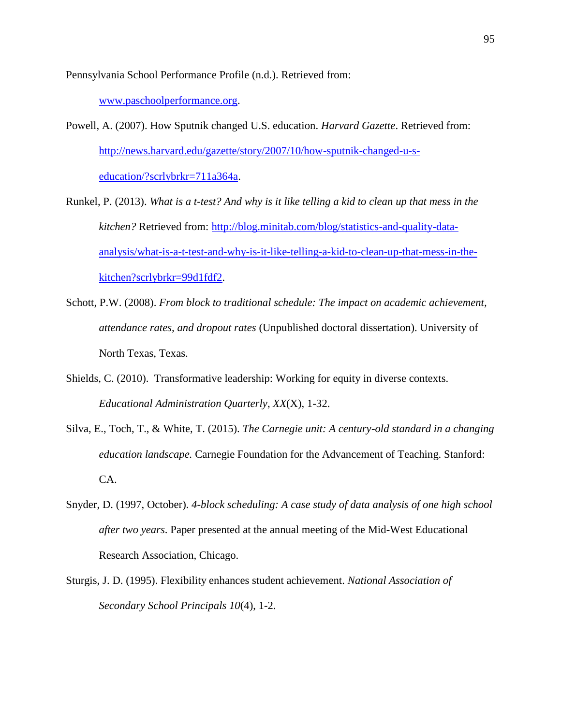Pennsylvania School Performance Profile (n.d.). Retrieved from:

[www.paschoolperformance.org.](http://www.paschoolperformance.org/)

- Powell, A. (2007). How Sputnik changed U.S. education. *Harvard Gazette*. Retrieved from: [http://news.harvard.edu/gazette/story/2007/10/how-sputnik-changed-u-s](http://news.harvard.edu/gazette/story/2007/10/how-sputnik-changed-u-s-education/?scrlybrkr=711a364a)[education/?scrlybrkr=711a364a.](http://news.harvard.edu/gazette/story/2007/10/how-sputnik-changed-u-s-education/?scrlybrkr=711a364a)
- Runkel, P. (2013). *What is a t-test? And why is it like telling a kid to clean up that mess in the kitchen?* Retrieved from: [http://blog.minitab.com/blog/statistics-and-quality-data](http://blog.minitab.com/blog/statistics-and-quality-data-analysis/what-is-a-t-test-and-why-is-it-like-telling-a-kid-to-clean-up-that-mess-in-the-kitchen?scrlybrkr=99d1fdf2)[analysis/what-is-a-t-test-and-why-is-it-like-telling-a-kid-to-clean-up-that-mess-in-the](http://blog.minitab.com/blog/statistics-and-quality-data-analysis/what-is-a-t-test-and-why-is-it-like-telling-a-kid-to-clean-up-that-mess-in-the-kitchen?scrlybrkr=99d1fdf2)[kitchen?scrlybrkr=99d1fdf2.](http://blog.minitab.com/blog/statistics-and-quality-data-analysis/what-is-a-t-test-and-why-is-it-like-telling-a-kid-to-clean-up-that-mess-in-the-kitchen?scrlybrkr=99d1fdf2)
- Schott, P.W. (2008). *From block to traditional schedule: The impact on academic achievement, attendance rates, and dropout rates* (Unpublished doctoral dissertation). University of North Texas, Texas.
- Shields, C. (2010). Transformative leadership: Working for equity in diverse contexts. *Educational Administration Quarterly*, *XX*(X), 1-32.
- Silva, E., Toch, T., & White, T. (2015). *The Carnegie unit: A century-old standard in a changing education landscape.* Carnegie Foundation for the Advancement of Teaching. Stanford: CA.
- Snyder, D. (1997, October). *4-block scheduling: A case study of data analysis of one high school after two years*. Paper presented at the annual meeting of the Mid-West Educational Research Association, Chicago.
- Sturgis, J. D. (1995). Flexibility enhances student achievement. *National Association of Secondary School Principals 10*(4), 1-2.